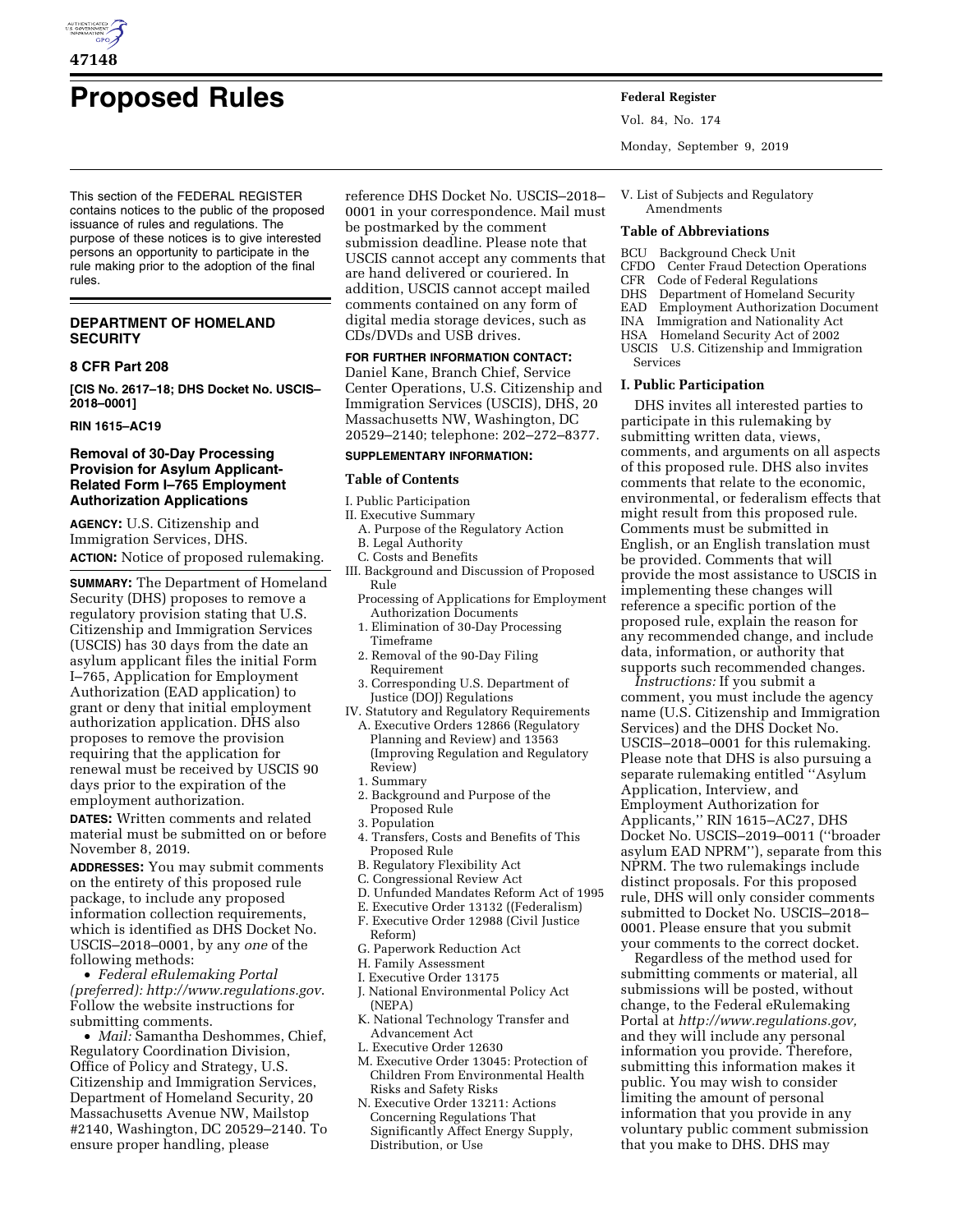

# **Proposed Rules Federal Register**

This section of the FEDERAL REGISTER contains notices to the public of the proposed issuance of rules and regulations. The purpose of these notices is to give interested persons an opportunity to participate in the rule making prior to the adoption of the final rules.

## **DEPARTMENT OF HOMELAND SECURITY**

## **8 CFR Part 208**

**[CIS No. 2617–18; DHS Docket No. USCIS– 2018–0001]** 

**RIN 1615–AC19** 

## **Removal of 30-Day Processing Provision for Asylum Applicant-Related Form I–765 Employment Authorization Applications**

**AGENCY:** U.S. Citizenship and Immigration Services, DHS. **ACTION:** Notice of proposed rulemaking.

**SUMMARY:** The Department of Homeland Security (DHS) proposes to remove a regulatory provision stating that U.S. Citizenship and Immigration Services (USCIS) has 30 days from the date an asylum applicant files the initial Form I–765, Application for Employment Authorization (EAD application) to grant or deny that initial employment authorization application. DHS also proposes to remove the provision requiring that the application for renewal must be received by USCIS 90 days prior to the expiration of the employment authorization.

**DATES:** Written comments and related material must be submitted on or before November 8, 2019.

**ADDRESSES:** You may submit comments on the entirety of this proposed rule package, to include any proposed information collection requirements, which is identified as DHS Docket No. USCIS–2018–0001, by any *one* of the following methods:

• *Federal eRulemaking Portal (preferred):<http://www.regulations.gov>*. Follow the website instructions for submitting comments.

• *Mail:* Samantha Deshommes, Chief, Regulatory Coordination Division, Office of Policy and Strategy, U.S. Citizenship and Immigration Services, Department of Homeland Security, 20 Massachusetts Avenue NW, Mailstop #2140, Washington, DC 20529–2140. To ensure proper handling, please

reference DHS Docket No. USCIS–2018– 0001 in your correspondence. Mail must be postmarked by the comment submission deadline. Please note that USCIS cannot accept any comments that are hand delivered or couriered. In addition, USCIS cannot accept mailed comments contained on any form of digital media storage devices, such as CDs/DVDs and USB drives.

#### **FOR FURTHER INFORMATION CONTACT:**  Daniel Kane, Branch Chief, Service

Center Operations, U.S. Citizenship and Immigration Services (USCIS), DHS, 20 Massachusetts NW, Washington, DC 20529–2140; telephone: 202–272–8377.

#### **SUPPLEMENTARY INFORMATION:**

#### **Table of Contents**

I. Public Participation

- II. Executive Summary
	- A. Purpose of the Regulatory Action
	- B. Legal Authority
	- C. Costs and Benefits
- III. Background and Discussion of Proposed Rule
	- Processing of Applications for Employment Authorization Documents
	- 1. Elimination of 30-Day Processing Timeframe
	- 2. Removal of the 90-Day Filing Requirement
- 3. Corresponding U.S. Department of Justice (DOJ) Regulations
- IV. Statutory and Regulatory Requirements A. Executive Orders 12866 (Regulatory Planning and Review) and 13563 (Improving Regulation and Regulatory Review)
	- 1. Summary
	- 2. Background and Purpose of the Proposed Rule
	- 3. Population
	- 4. Transfers, Costs and Benefits of This Proposed Rule
	- B. Regulatory Flexibility Act
	- C. Congressional Review Act
	- D. Unfunded Mandates Reform Act of 1995
	- E. Executive Order 13132 ((Federalism)
	- F. Executive Order 12988 (Civil Justice
	- Reform)
	- G. Paperwork Reduction Act
	- H. Family Assessment
	- I. Executive Order 13175
	- J. National Environmental Policy Act (NEPA)
	- K. National Technology Transfer and Advancement Act
	- L. Executive Order 12630
	- M. Executive Order 13045: Protection of Children From Environmental Health Risks and Safety Risks
	- N. Executive Order 13211: Actions Concerning Regulations That Significantly Affect Energy Supply, Distribution, or Use

Vol. 84, No. 174

Monday, September 9, 2019

V. List of Subjects and Regulatory Amendments

#### **Table of Abbreviations**

- BCU Background Check Unit
- CFDO Center Fraud Detection Operations
- CFR Code of Federal Regulations
- DHS Department of Homeland Security
- EAD Employment Authorization Document
- INA Immigration and Nationality Act
- HSA Homeland Security Act of 2002
- USCIS U.S. Citizenship and Immigration Services

#### **I. Public Participation**

DHS invites all interested parties to participate in this rulemaking by submitting written data, views, comments, and arguments on all aspects of this proposed rule. DHS also invites comments that relate to the economic, environmental, or federalism effects that might result from this proposed rule. Comments must be submitted in English, or an English translation must be provided. Comments that will provide the most assistance to USCIS in implementing these changes will reference a specific portion of the proposed rule, explain the reason for any recommended change, and include data, information, or authority that supports such recommended changes.

*Instructions:* If you submit a comment, you must include the agency name (U.S. Citizenship and Immigration Services) and the DHS Docket No. USCIS–2018–0001 for this rulemaking. Please note that DHS is also pursuing a separate rulemaking entitled ''Asylum Application, Interview, and Employment Authorization for Applicants,'' RIN 1615–AC27, DHS Docket No. USCIS–2019–0011 (''broader asylum EAD NPRM''), separate from this NPRM. The two rulemakings include distinct proposals. For this proposed rule, DHS will only consider comments submitted to Docket No. USCIS–2018– 0001. Please ensure that you submit your comments to the correct docket.

Regardless of the method used for submitting comments or material, all submissions will be posted, without change, to the Federal eRulemaking Portal at *[http://www.regulations.gov,](http://www.regulations.gov)*  and they will include any personal information you provide. Therefore, submitting this information makes it public. You may wish to consider limiting the amount of personal information that you provide in any voluntary public comment submission that you make to DHS. DHS may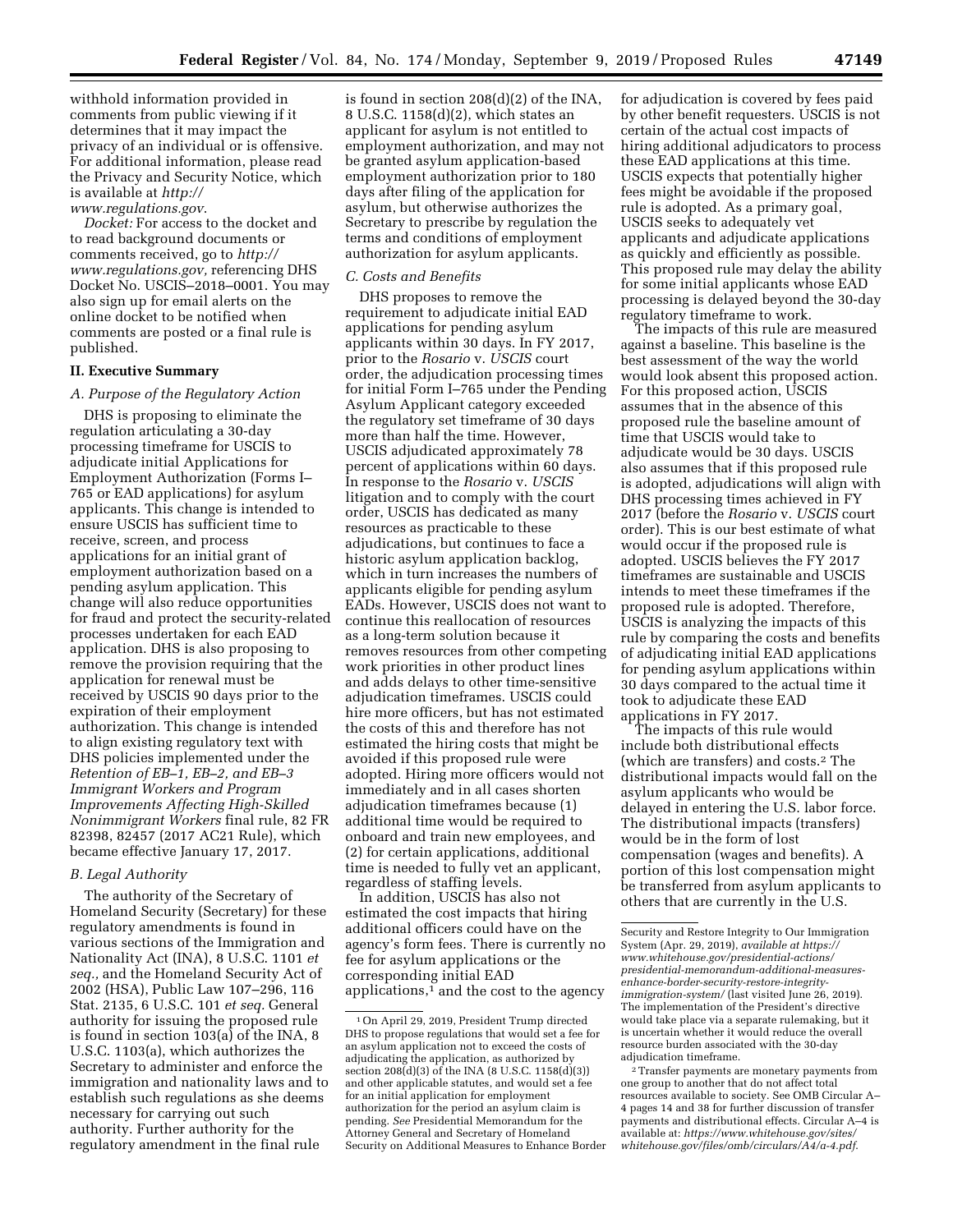withhold information provided in comments from public viewing if it determines that it may impact the privacy of an individual or is offensive. For additional information, please read the Privacy and Security Notice, which is available at *[http://](http://www.regulations.gov) [www.regulations.gov](http://www.regulations.gov)*.

*Docket:* For access to the docket and to read background documents or comments received, go to *[http://](http://www.regulations.gov) [www.regulations.gov,](http://www.regulations.gov)* referencing DHS Docket No. USCIS–2018–0001. You may also sign up for email alerts on the online docket to be notified when comments are posted or a final rule is published.

#### **II. Executive Summary**

### *A. Purpose of the Regulatory Action*

DHS is proposing to eliminate the regulation articulating a 30-day processing timeframe for USCIS to adjudicate initial Applications for Employment Authorization (Forms I– 765 or EAD applications) for asylum applicants. This change is intended to ensure USCIS has sufficient time to receive, screen, and process applications for an initial grant of employment authorization based on a pending asylum application. This change will also reduce opportunities for fraud and protect the security-related processes undertaken for each EAD application. DHS is also proposing to remove the provision requiring that the application for renewal must be received by USCIS 90 days prior to the expiration of their employment authorization. This change is intended to align existing regulatory text with DHS policies implemented under the *Retention of EB–1, EB–2, and EB–3 Immigrant Workers and Program Improvements Affecting High-Skilled Nonimmigrant Workers* final rule, 82 FR 82398, 82457 (2017 AC21 Rule), which became effective January 17, 2017.

## *B. Legal Authority*

The authority of the Secretary of Homeland Security (Secretary) for these regulatory amendments is found in various sections of the Immigration and Nationality Act (INA), 8 U.S.C. 1101 *et seq.,* and the Homeland Security Act of 2002 (HSA), Public Law 107–296, 116 Stat. 2135, 6 U.S.C. 101 *et seq.* General authority for issuing the proposed rule is found in section 103(a) of the INA, 8 U.S.C. 1103(a), which authorizes the Secretary to administer and enforce the immigration and nationality laws and to establish such regulations as she deems necessary for carrying out such authority. Further authority for the regulatory amendment in the final rule

is found in section 208(d)(2) of the INA, 8 U.S.C. 1158(d)(2), which states an applicant for asylum is not entitled to employment authorization, and may not be granted asylum application-based employment authorization prior to 180 days after filing of the application for asylum, but otherwise authorizes the Secretary to prescribe by regulation the terms and conditions of employment authorization for asylum applicants.

#### *C. Costs and Benefits*

DHS proposes to remove the requirement to adjudicate initial EAD applications for pending asylum applicants within 30 days. In FY 2017, prior to the *Rosario* v. *USCIS* court order, the adjudication processing times for initial Form I–765 under the Pending Asylum Applicant category exceeded the regulatory set timeframe of 30 days more than half the time. However, USCIS adjudicated approximately 78 percent of applications within 60 days. In response to the *Rosario* v. *USCIS*  litigation and to comply with the court order, USCIS has dedicated as many resources as practicable to these adjudications, but continues to face a historic asylum application backlog, which in turn increases the numbers of applicants eligible for pending asylum EADs. However, USCIS does not want to continue this reallocation of resources as a long-term solution because it removes resources from other competing work priorities in other product lines and adds delays to other time-sensitive adjudication timeframes. USCIS could hire more officers, but has not estimated the costs of this and therefore has not estimated the hiring costs that might be avoided if this proposed rule were adopted. Hiring more officers would not immediately and in all cases shorten adjudication timeframes because (1) additional time would be required to onboard and train new employees, and (2) for certain applications, additional time is needed to fully vet an applicant, regardless of staffing levels.

In addition, USCIS has also not estimated the cost impacts that hiring additional officers could have on the agency's form fees. There is currently no fee for asylum applications or the corresponding initial EAD applications, $<sup>1</sup>$  and the cost to the agency</sup>

for adjudication is covered by fees paid by other benefit requesters. USCIS is not certain of the actual cost impacts of hiring additional adjudicators to process these EAD applications at this time. USCIS expects that potentially higher fees might be avoidable if the proposed rule is adopted. As a primary goal, USCIS seeks to adequately vet applicants and adjudicate applications as quickly and efficiently as possible. This proposed rule may delay the ability for some initial applicants whose EAD processing is delayed beyond the 30-day regulatory timeframe to work.

The impacts of this rule are measured against a baseline. This baseline is the best assessment of the way the world would look absent this proposed action. For this proposed action, USCIS assumes that in the absence of this proposed rule the baseline amount of time that USCIS would take to adjudicate would be 30 days. USCIS also assumes that if this proposed rule is adopted, adjudications will align with DHS processing times achieved in FY 2017 (before the *Rosario* v. *USCIS* court order). This is our best estimate of what would occur if the proposed rule is adopted. USCIS believes the FY 2017 timeframes are sustainable and USCIS intends to meet these timeframes if the proposed rule is adopted. Therefore, USCIS is analyzing the impacts of this rule by comparing the costs and benefits of adjudicating initial EAD applications for pending asylum applications within 30 days compared to the actual time it took to adjudicate these EAD applications in FY 2017.

The impacts of this rule would include both distributional effects (which are transfers) and costs.2 The distributional impacts would fall on the asylum applicants who would be delayed in entering the U.S. labor force. The distributional impacts (transfers) would be in the form of lost compensation (wages and benefits). A portion of this lost compensation might be transferred from asylum applicants to others that are currently in the U.S.

<sup>1</sup>On April 29, 2019, President Trump directed DHS to propose regulations that would set a fee for an asylum application not to exceed the costs of adjudicating the application, as authorized by section 208(d)(3) of the INA (8 U.S.C. 1158(d)(3)) and other applicable statutes, and would set a fee for an initial application for employment authorization for the period an asylum claim is pending. *See* Presidential Memorandum for the Attorney General and Secretary of Homeland Security on Additional Measures to Enhance Border

Security and Restore Integrity to Our Immigration System (Apr. 29, 2019), *available at [https://](https://www.whitehouse.gov/presidential-actions/presidential-memorandum-additional-measures-enhance-border-security-restore-integrity-immigration-system/) [www.whitehouse.gov/presidential-actions/](https://www.whitehouse.gov/presidential-actions/presidential-memorandum-additional-measures-enhance-border-security-restore-integrity-immigration-system/)  [presidential-memorandum-additional-measures](https://www.whitehouse.gov/presidential-actions/presidential-memorandum-additional-measures-enhance-border-security-restore-integrity-immigration-system/)[enhance-border-security-restore-integrity](https://www.whitehouse.gov/presidential-actions/presidential-memorandum-additional-measures-enhance-border-security-restore-integrity-immigration-system/)[immigration-system/](https://www.whitehouse.gov/presidential-actions/presidential-memorandum-additional-measures-enhance-border-security-restore-integrity-immigration-system/)* (last visited June 26, 2019). The implementation of the President's directive would take place via a separate rulemaking, but it is uncertain whether it would reduce the overall resource burden associated with the 30-day adjudication timeframe.

<sup>2</sup>Transfer payments are monetary payments from one group to another that do not affect total resources available to society. See OMB Circular A– 4 pages 14 and 38 for further discussion of transfer payments and distributional effects. Circular A–4 is available at: *[https://www.whitehouse.gov/sites/](https://www.whitehouse.gov/sites/whitehouse.gov/files/omb/circulars/A4/a-4.pdf) [whitehouse.gov/files/omb/circulars/A4/a-4.pdf](https://www.whitehouse.gov/sites/whitehouse.gov/files/omb/circulars/A4/a-4.pdf)*.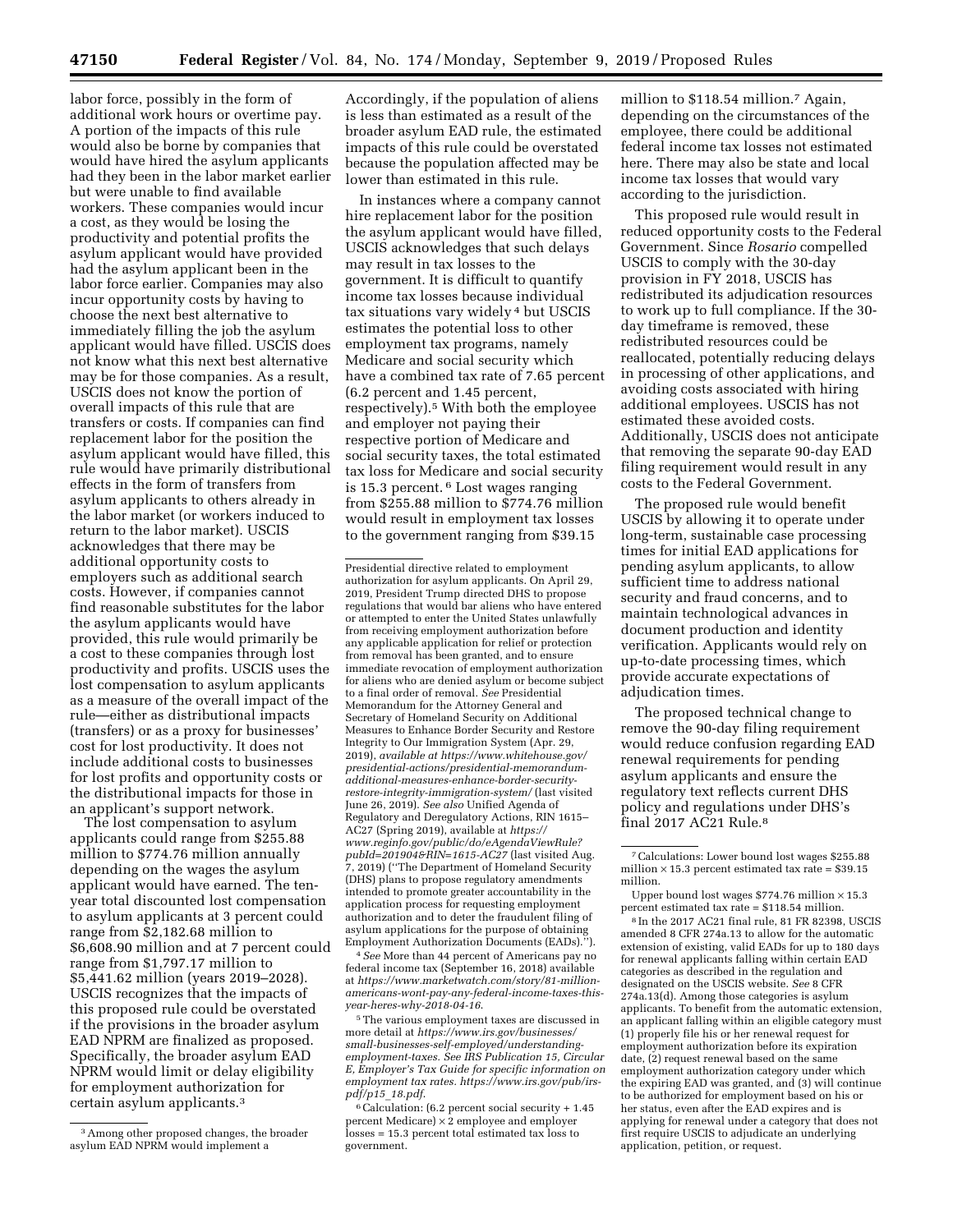labor force, possibly in the form of additional work hours or overtime pay. A portion of the impacts of this rule would also be borne by companies that would have hired the asylum applicants had they been in the labor market earlier but were unable to find available workers. These companies would incur a cost, as they would be losing the productivity and potential profits the asylum applicant would have provided had the asylum applicant been in the labor force earlier. Companies may also incur opportunity costs by having to choose the next best alternative to immediately filling the job the asylum applicant would have filled. USCIS does not know what this next best alternative may be for those companies. As a result, USCIS does not know the portion of overall impacts of this rule that are transfers or costs. If companies can find replacement labor for the position the asylum applicant would have filled, this rule would have primarily distributional effects in the form of transfers from asylum applicants to others already in the labor market (or workers induced to return to the labor market). USCIS acknowledges that there may be additional opportunity costs to employers such as additional search costs. However, if companies cannot find reasonable substitutes for the labor the asylum applicants would have provided, this rule would primarily be a cost to these companies through lost productivity and profits. USCIS uses the lost compensation to asylum applicants as a measure of the overall impact of the rule—either as distributional impacts (transfers) or as a proxy for businesses' cost for lost productivity. It does not include additional costs to businesses for lost profits and opportunity costs or the distributional impacts for those in an applicant's support network.

The lost compensation to asylum applicants could range from \$255.88 million to \$774.76 million annually depending on the wages the asylum applicant would have earned. The tenyear total discounted lost compensation to asylum applicants at 3 percent could range from \$2,182.68 million to \$6,608.90 million and at 7 percent could range from \$1,797.17 million to \$5,441.62 million (years 2019–2028). USCIS recognizes that the impacts of this proposed rule could be overstated if the provisions in the broader asylum EAD NPRM are finalized as proposed. Specifically, the broader asylum EAD NPRM would limit or delay eligibility for employment authorization for certain asylum applicants.3

Accordingly, if the population of aliens is less than estimated as a result of the broader asylum EAD rule, the estimated impacts of this rule could be overstated because the population affected may be lower than estimated in this rule.

In instances where a company cannot hire replacement labor for the position the asylum applicant would have filled, USCIS acknowledges that such delays may result in tax losses to the government. It is difficult to quantify income tax losses because individual tax situations vary widely 4 but USCIS estimates the potential loss to other employment tax programs, namely Medicare and social security which have a combined tax rate of 7.65 percent (6.2 percent and 1.45 percent, respectively).5 With both the employee and employer not paying their respective portion of Medicare and social security taxes, the total estimated tax loss for Medicare and social security is 15.3 percent. 6 Lost wages ranging from \$255.88 million to \$774.76 million would result in employment tax losses to the government ranging from \$39.15

4*See* More than 44 percent of Americans pay no federal income tax (September 16, 2018) available at *[https://www.marketwatch.com/story/81-million](https://www.marketwatch.com/story/81-million-americans-wont-pay-any-federal-income-taxes-this-year-heres-why-2018-04-16)[americans-wont-pay-any-federal-income-taxes-this](https://www.marketwatch.com/story/81-million-americans-wont-pay-any-federal-income-taxes-this-year-heres-why-2018-04-16)[year-heres-why-2018-04-16](https://www.marketwatch.com/story/81-million-americans-wont-pay-any-federal-income-taxes-this-year-heres-why-2018-04-16)*.

5The various employment taxes are discussed in more detail at *[https://www.irs.gov/businesses/](https://www.irs.gov/businesses/small-businesses-self-employed/understanding-employment-taxes) [small-businesses-self-employed/understanding](https://www.irs.gov/businesses/small-businesses-self-employed/understanding-employment-taxes)[employment-taxes.](https://www.irs.gov/businesses/small-businesses-self-employed/understanding-employment-taxes) See IRS Publication 15, Circular E, Employer's Tax Guide for specific information on employment tax rates. [https://www.irs.gov/pub/irs](https://www.irs.gov/pub/irs-pdf/p15_18.pdf)[pdf/p15](https://www.irs.gov/pub/irs-pdf/p15_18.pdf)*\_*18.pdf*.

6Calculation: (6.2 percent social security + 1.45 percent Medicare)  $\times$  2 employee and employer losses = 15.3 percent total estimated tax loss to government.

million to \$118.54 million.<sup>7</sup> Again, depending on the circumstances of the employee, there could be additional federal income tax losses not estimated here. There may also be state and local income tax losses that would vary according to the jurisdiction.

This proposed rule would result in reduced opportunity costs to the Federal Government. Since *Rosario* compelled USCIS to comply with the 30-day provision in FY 2018, USCIS has redistributed its adjudication resources to work up to full compliance. If the 30 day timeframe is removed, these redistributed resources could be reallocated, potentially reducing delays in processing of other applications, and avoiding costs associated with hiring additional employees. USCIS has not estimated these avoided costs. Additionally, USCIS does not anticipate that removing the separate 90-day EAD filing requirement would result in any costs to the Federal Government.

The proposed rule would benefit USCIS by allowing it to operate under long-term, sustainable case processing times for initial EAD applications for pending asylum applicants, to allow sufficient time to address national security and fraud concerns, and to maintain technological advances in document production and identity verification. Applicants would rely on up-to-date processing times, which provide accurate expectations of adjudication times.

The proposed technical change to remove the 90-day filing requirement would reduce confusion regarding EAD renewal requirements for pending asylum applicants and ensure the regulatory text reflects current DHS policy and regulations under DHS's final 2017 AC21 Rule.<sup>8</sup>

8 In the 2017 AC21 final rule, 81 FR 82398, USCIS amended 8 CFR 274a.13 to allow for the automatic extension of existing, valid EADs for up to 180 days for renewal applicants falling within certain EAD categories as described in the regulation and designated on the USCIS website. *See* 8 CFR 274a.13(d). Among those categories is asylum applicants. To benefit from the automatic extension, an applicant falling within an eligible category must (1) properly file his or her renewal request for employment authorization before its expiration date, (2) request renewal based on the same employment authorization category under which the expiring EAD was granted, and (3) will continue to be authorized for employment based on his or her status, even after the EAD expires and is applying for renewal under a category that does not first require USCIS to adjudicate an underlying application, petition, or request.

<sup>3</sup>Among other proposed changes, the broader asylum EAD NPRM would implement a

Presidential directive related to employment authorization for asylum applicants. On April 29, 2019, President Trump directed DHS to propose regulations that would bar aliens who have entered or attempted to enter the United States unlawfully from receiving employment authorization before any applicable application for relief or protection from removal has been granted, and to ensure immediate revocation of employment authorization for aliens who are denied asylum or become subject to a final order of removal. *See* Presidential Memorandum for the Attorney General and Secretary of Homeland Security on Additional Measures to Enhance Border Security and Restore Integrity to Our Immigration System (Apr. 29, 2019), *available at [https://www.whitehouse.gov/](https://www.whitehouse.gov/presidential-actions/presidential-memorandum-additional-measures-enhance-border-security-restore-integrity-immigration-system/)  [presidential-actions/presidential-memorandum](https://www.whitehouse.gov/presidential-actions/presidential-memorandum-additional-measures-enhance-border-security-restore-integrity-immigration-system/)[additional-measures-enhance-border-security](https://www.whitehouse.gov/presidential-actions/presidential-memorandum-additional-measures-enhance-border-security-restore-integrity-immigration-system/)[restore-integrity-immigration-system/](https://www.whitehouse.gov/presidential-actions/presidential-memorandum-additional-measures-enhance-border-security-restore-integrity-immigration-system/)* (last visited June 26, 2019). *See also* Unified Agenda of Regulatory and Deregulatory Actions, RIN 1615– AC27 (Spring 2019), available at *[https://](https://www.reginfo.gov/public/do/eAgendaViewRule?pubId=201904&RIN=1615-AC27) [www.reginfo.gov/public/do/eAgendaViewRule?](https://www.reginfo.gov/public/do/eAgendaViewRule?pubId=201904&RIN=1615-AC27) [pubId=201904&RIN=1615-AC27](https://www.reginfo.gov/public/do/eAgendaViewRule?pubId=201904&RIN=1615-AC27)* (last visited Aug. 7, 2019) (''The Department of Homeland Security (DHS) plans to propose regulatory amendments intended to promote greater accountability in the application process for requesting employment authorization and to deter the fraudulent filing of asylum applications for the purpose of obtaining Employment Authorization Documents (EADs).'').

<sup>7</sup>Calculations: Lower bound lost wages \$255.88 million  $\times$  15.3 percent estimated tax rate = \$39.15 million.

Upper bound lost wages  $$774.76$  million  $\times$  15.3 percent estimated tax rate = \$118.54 million.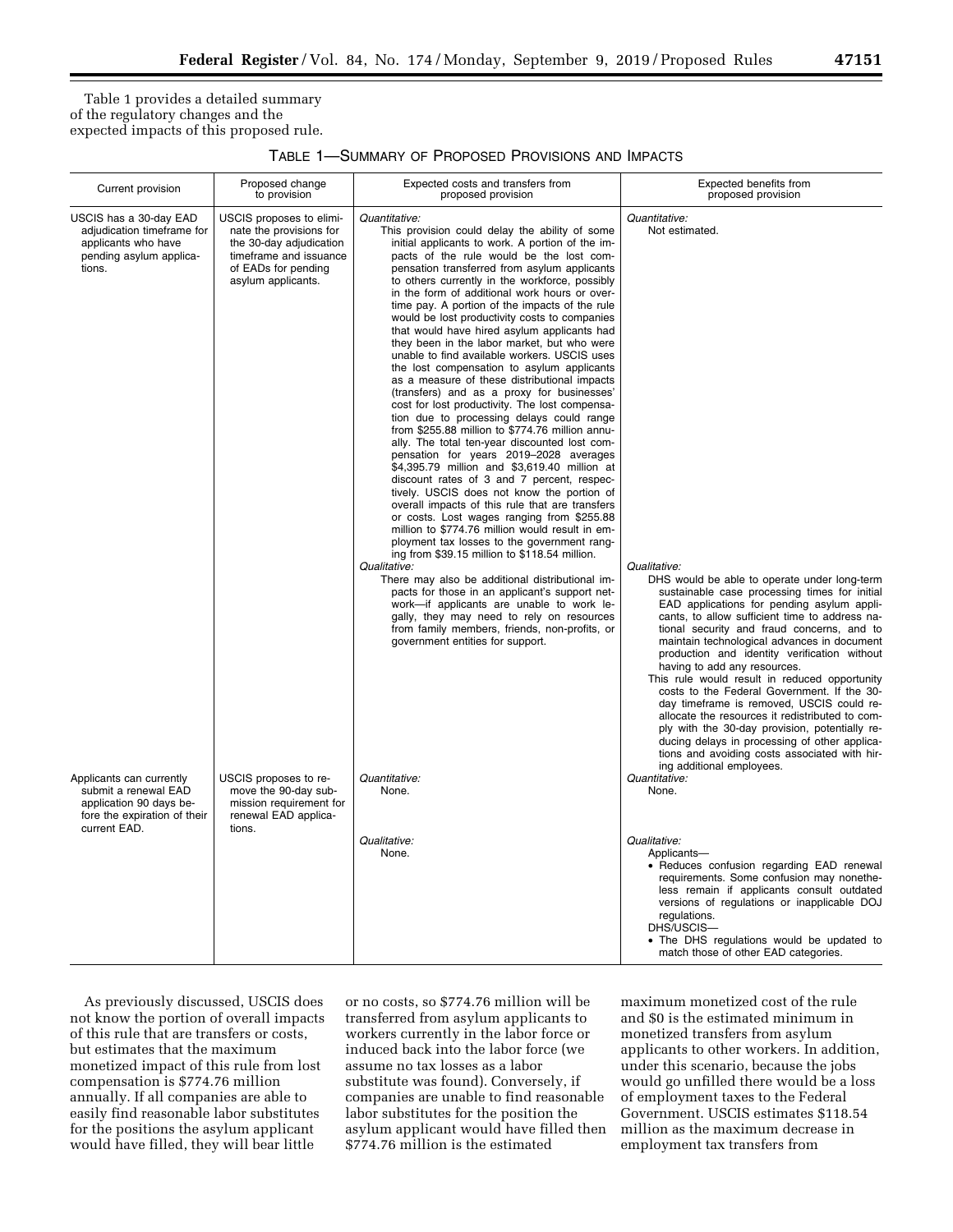Table 1 provides a detailed summary of the regulatory changes and the expected impacts of this proposed rule.

## TABLE 1—SUMMARY OF PROPOSED PROVISIONS AND IMPACTS

| Current provision                                                                                                                                                                                                                               | Proposed change<br>to provision                                                                                                                                                                                                                                     | Expected costs and transfers from<br>proposed provision                                                                                                                                                                                                                                                                                                                                                                                                                                                                                                                                                                                                                                                                                                                                                                                                                                                                                                                                                                                                                                                                                                                                                                                                                                                                                                                                                                                                                                                                                                                                                                                                                                    | Expected benefits from<br>proposed provision                                                                                                                                                                                                                                                                                                                                                                                                                                                                                                                                                                                                                                                                                                                                                                                             |
|-------------------------------------------------------------------------------------------------------------------------------------------------------------------------------------------------------------------------------------------------|---------------------------------------------------------------------------------------------------------------------------------------------------------------------------------------------------------------------------------------------------------------------|--------------------------------------------------------------------------------------------------------------------------------------------------------------------------------------------------------------------------------------------------------------------------------------------------------------------------------------------------------------------------------------------------------------------------------------------------------------------------------------------------------------------------------------------------------------------------------------------------------------------------------------------------------------------------------------------------------------------------------------------------------------------------------------------------------------------------------------------------------------------------------------------------------------------------------------------------------------------------------------------------------------------------------------------------------------------------------------------------------------------------------------------------------------------------------------------------------------------------------------------------------------------------------------------------------------------------------------------------------------------------------------------------------------------------------------------------------------------------------------------------------------------------------------------------------------------------------------------------------------------------------------------------------------------------------------------|------------------------------------------------------------------------------------------------------------------------------------------------------------------------------------------------------------------------------------------------------------------------------------------------------------------------------------------------------------------------------------------------------------------------------------------------------------------------------------------------------------------------------------------------------------------------------------------------------------------------------------------------------------------------------------------------------------------------------------------------------------------------------------------------------------------------------------------|
| USCIS has a 30-day EAD<br>adjudication timeframe for<br>applicants who have<br>pending asylum applica-<br>tions.<br>Applicants can currently<br>submit a renewal EAD<br>application 90 days be-<br>fore the expiration of their<br>current EAD. | USCIS proposes to elimi-<br>nate the provisions for<br>the 30-day adjudication<br>timeframe and issuance<br>of EADs for pending<br>asylum applicants.<br>USCIS proposes to re-<br>move the 90-day sub-<br>mission requirement for<br>renewal EAD applica-<br>tions. | Quantitative:<br>This provision could delay the ability of some<br>initial applicants to work. A portion of the im-<br>pacts of the rule would be the lost com-<br>pensation transferred from asylum applicants<br>to others currently in the workforce, possibly<br>in the form of additional work hours or over-<br>time pay. A portion of the impacts of the rule<br>would be lost productivity costs to companies<br>that would have hired asylum applicants had<br>they been in the labor market, but who were<br>unable to find available workers. USCIS uses<br>the lost compensation to asylum applicants<br>as a measure of these distributional impacts<br>(transfers) and as a proxy for businesses'<br>cost for lost productivity. The lost compensa-<br>tion due to processing delays could range<br>from \$255.88 million to \$774.76 million annu-<br>ally. The total ten-year discounted lost com-<br>pensation for years 2019-2028 averages<br>\$4,395.79 million and \$3,619.40 million at<br>discount rates of 3 and 7 percent, respec-<br>tively. USCIS does not know the portion of<br>overall impacts of this rule that are transfers<br>or costs. Lost wages ranging from \$255.88<br>million to \$774.76 million would result in em-<br>ployment tax losses to the government rang-<br>ing from \$39.15 million to \$118.54 million.<br>Qualitative:<br>There may also be additional distributional im-<br>pacts for those in an applicant's support net-<br>work-if applicants are unable to work le-<br>gally, they may need to rely on resources<br>from family members, friends, non-profits, or<br>government entities for support.<br>Quantitative:<br>None. | Quantitative:<br>Not estimated.<br>Qualitative:<br>DHS would be able to operate under long-term<br>sustainable case processing times for initial<br>EAD applications for pending asylum appli-<br>cants, to allow sufficient time to address na-<br>tional security and fraud concerns, and to<br>maintain technological advances in document<br>production and identity verification without<br>having to add any resources.<br>This rule would result in reduced opportunity<br>costs to the Federal Government. If the 30-<br>day timeframe is removed, USCIS could re-<br>allocate the resources it redistributed to com-<br>ply with the 30-day provision, potentially re-<br>ducing delays in processing of other applica-<br>tions and avoiding costs associated with hir-<br>ing additional employees.<br>Quantitative:<br>None. |
|                                                                                                                                                                                                                                                 |                                                                                                                                                                                                                                                                     | Qualitative:<br>None.                                                                                                                                                                                                                                                                                                                                                                                                                                                                                                                                                                                                                                                                                                                                                                                                                                                                                                                                                                                                                                                                                                                                                                                                                                                                                                                                                                                                                                                                                                                                                                                                                                                                      | Qualitative:<br>Applicants-<br>• Reduces confusion regarding EAD renewal<br>requirements. Some confusion may nonethe-<br>less remain if applicants consult outdated<br>versions of regulations or inapplicable DOJ<br>regulations.<br>DHS/USCIS-<br>• The DHS regulations would be updated to<br>match those of other EAD categories.                                                                                                                                                                                                                                                                                                                                                                                                                                                                                                    |

As previously discussed, USCIS does not know the portion of overall impacts of this rule that are transfers or costs, but estimates that the maximum monetized impact of this rule from lost compensation is \$774.76 million annually. If all companies are able to easily find reasonable labor substitutes for the positions the asylum applicant would have filled, they will bear little

or no costs, so \$774.76 million will be transferred from asylum applicants to workers currently in the labor force or induced back into the labor force (we assume no tax losses as a labor substitute was found). Conversely, if companies are unable to find reasonable labor substitutes for the position the asylum applicant would have filled then \$774.76 million is the estimated

maximum monetized cost of the rule and \$0 is the estimated minimum in monetized transfers from asylum applicants to other workers. In addition, under this scenario, because the jobs would go unfilled there would be a loss of employment taxes to the Federal Government. USCIS estimates \$118.54 million as the maximum decrease in employment tax transfers from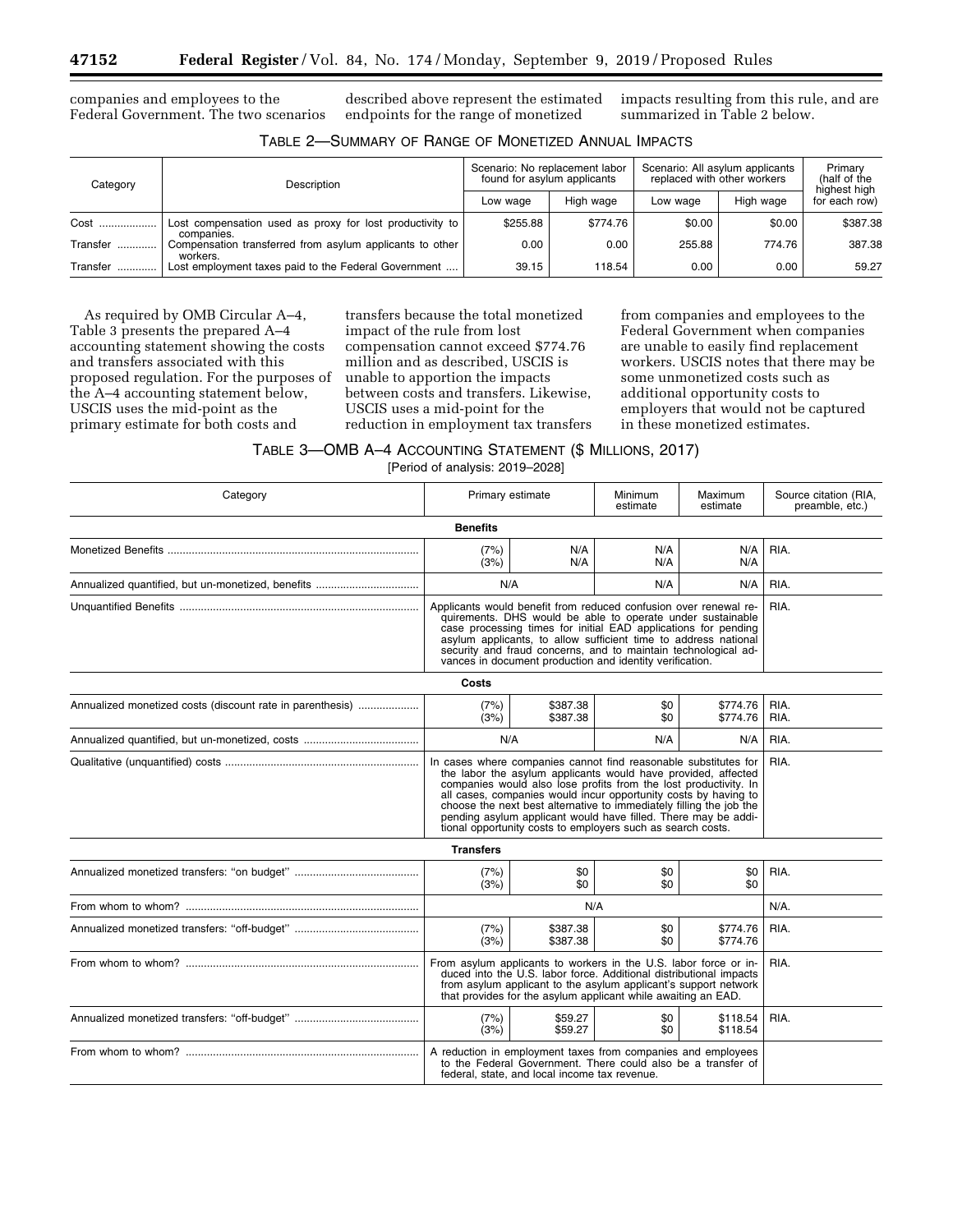companies and employees to the Federal Government. The two scenarios

described above represent the estimated endpoints for the range of monetized

impacts resulting from this rule, and are summarized in Table 2 below.

| Category     | Description                                                            | Scenario: No replacement labor<br>found for asylum applicants |           | Scenario: All asylum applicants<br>replaced with other workers | Primary<br>(half of the<br>highest high |               |
|--------------|------------------------------------------------------------------------|---------------------------------------------------------------|-----------|----------------------------------------------------------------|-----------------------------------------|---------------|
|              |                                                                        | Low wage                                                      | High wage | Low wage                                                       | High wage                               | for each row) |
| Cost         | Lost compensation used as proxy for lost productivity to<br>companies. | \$255.88                                                      | \$774.76  | \$0.00                                                         | \$0.00                                  | \$387.38      |
| Transfer<br> | Compensation transferred from asylum applicants to other<br>workers.   | 0.00                                                          | 0.00      | 255.88                                                         | 774.76                                  | 387.38        |
| Transfer     | Lost employment taxes paid to the Federal Government                   | 39.15                                                         | 118.54    | 0.00                                                           | 0.00                                    | 59.27         |

As required by OMB Circular A–4, Table 3 presents the prepared A–4 accounting statement showing the costs and transfers associated with this proposed regulation. For the purposes of the A–4 accounting statement below, USCIS uses the mid-point as the primary estimate for both costs and

transfers because the total monetized impact of the rule from lost compensation cannot exceed \$774.76 million and as described, USCIS is unable to apportion the impacts between costs and transfers. Likewise, USCIS uses a mid-point for the reduction in employment tax transfers

from companies and employees to the Federal Government when companies are unable to easily find replacement workers. USCIS notes that there may be some unmonetized costs such as additional opportunity costs to employers that would not be captured in these monetized estimates.

TABLE 3—OMB A–4 ACCOUNTING STATEMENT (\$ MILLIONS, 2017)

[Period of analysis: 2019–2028]

| Category                                                  | Primary estimate                                                                                                                                                                                                                                                                                                                                                                                                                                                                |                                                                                                                                                                                                                                                                                                                                                                                                           | Minimum<br>estimate                                                                                                          | Maximum<br>estimate  | Source citation (RIA,<br>preamble, etc.) |  |  |
|-----------------------------------------------------------|---------------------------------------------------------------------------------------------------------------------------------------------------------------------------------------------------------------------------------------------------------------------------------------------------------------------------------------------------------------------------------------------------------------------------------------------------------------------------------|-----------------------------------------------------------------------------------------------------------------------------------------------------------------------------------------------------------------------------------------------------------------------------------------------------------------------------------------------------------------------------------------------------------|------------------------------------------------------------------------------------------------------------------------------|----------------------|------------------------------------------|--|--|
| <b>Benefits</b>                                           |                                                                                                                                                                                                                                                                                                                                                                                                                                                                                 |                                                                                                                                                                                                                                                                                                                                                                                                           |                                                                                                                              |                      |                                          |  |  |
|                                                           | (7%)<br>(3%)                                                                                                                                                                                                                                                                                                                                                                                                                                                                    | N/A<br>N/A                                                                                                                                                                                                                                                                                                                                                                                                | N/A<br>N/A                                                                                                                   | N/A<br>N/A           | RIA.                                     |  |  |
|                                                           | N/A                                                                                                                                                                                                                                                                                                                                                                                                                                                                             |                                                                                                                                                                                                                                                                                                                                                                                                           | N/A                                                                                                                          | N/A                  | RIA.                                     |  |  |
|                                                           |                                                                                                                                                                                                                                                                                                                                                                                                                                                                                 | Applicants would benefit from reduced confusion over renewal re-<br>RIA.<br>quirements. DHS would be able to operate under sustainable<br>case processing times for initial EAD applications for pending<br>asylum applicants, to allow sufficient time to address national<br>security and fraud concerns, and to maintain technological ad-<br>vances in document production and identity verification. |                                                                                                                              |                      |                                          |  |  |
|                                                           | Costs                                                                                                                                                                                                                                                                                                                                                                                                                                                                           |                                                                                                                                                                                                                                                                                                                                                                                                           |                                                                                                                              |                      |                                          |  |  |
| Annualized monetized costs (discount rate in parenthesis) | (7%)<br>(3%)                                                                                                                                                                                                                                                                                                                                                                                                                                                                    | \$387.38<br>\$387.38                                                                                                                                                                                                                                                                                                                                                                                      | \$0<br>\$0                                                                                                                   | \$774.76<br>\$774.76 | RIA.<br>RIA.                             |  |  |
|                                                           | N/A                                                                                                                                                                                                                                                                                                                                                                                                                                                                             |                                                                                                                                                                                                                                                                                                                                                                                                           | N/A                                                                                                                          | N/A                  | RIA.                                     |  |  |
|                                                           | In cases where companies cannot find reasonable substitutes for<br>the labor the asylum applicants would have provided, affected<br>companies would also lose profits from the lost productivity. In<br>all cases, companies would incur opportunity costs by having to<br>choose the next best alternative to immediately filling the job the<br>pending asylum applicant would have filled. There may be addi-<br>tional opportunity costs to employers such as search costs. | RIA.                                                                                                                                                                                                                                                                                                                                                                                                      |                                                                                                                              |                      |                                          |  |  |
|                                                           | <b>Transfers</b>                                                                                                                                                                                                                                                                                                                                                                                                                                                                |                                                                                                                                                                                                                                                                                                                                                                                                           |                                                                                                                              |                      |                                          |  |  |
|                                                           | (7%)<br>(3%)                                                                                                                                                                                                                                                                                                                                                                                                                                                                    | \$0<br>\$0                                                                                                                                                                                                                                                                                                                                                                                                | \$0<br>\$0                                                                                                                   | \$0<br>\$0           | RIA.                                     |  |  |
|                                                           |                                                                                                                                                                                                                                                                                                                                                                                                                                                                                 | N/A                                                                                                                                                                                                                                                                                                                                                                                                       |                                                                                                                              |                      | $N/A$ .                                  |  |  |
|                                                           | (7%)<br>(3%)                                                                                                                                                                                                                                                                                                                                                                                                                                                                    | \$387.38<br>\$387.38                                                                                                                                                                                                                                                                                                                                                                                      | \$0<br>\$0                                                                                                                   | \$774.76<br>\$774.76 | RIA.                                     |  |  |
|                                                           | From asylum applicants to workers in the U.S. labor force or in-<br>duced into the U.S. labor force. Additional distributional impacts<br>from asylum applicant to the asylum applicant's support network<br>that provides for the asylum applicant while awaiting an EAD.                                                                                                                                                                                                      |                                                                                                                                                                                                                                                                                                                                                                                                           |                                                                                                                              |                      | RIA.                                     |  |  |
|                                                           | (7%)<br>(3%)                                                                                                                                                                                                                                                                                                                                                                                                                                                                    | \$59.27<br>\$59.27                                                                                                                                                                                                                                                                                                                                                                                        | \$0<br>\$0                                                                                                                   | \$118.54<br>\$118.54 | RIA.                                     |  |  |
|                                                           |                                                                                                                                                                                                                                                                                                                                                                                                                                                                                 | federal, state, and local income tax revenue.                                                                                                                                                                                                                                                                                                                                                             | A reduction in employment taxes from companies and employees<br>to the Federal Government. There could also be a transfer of |                      |                                          |  |  |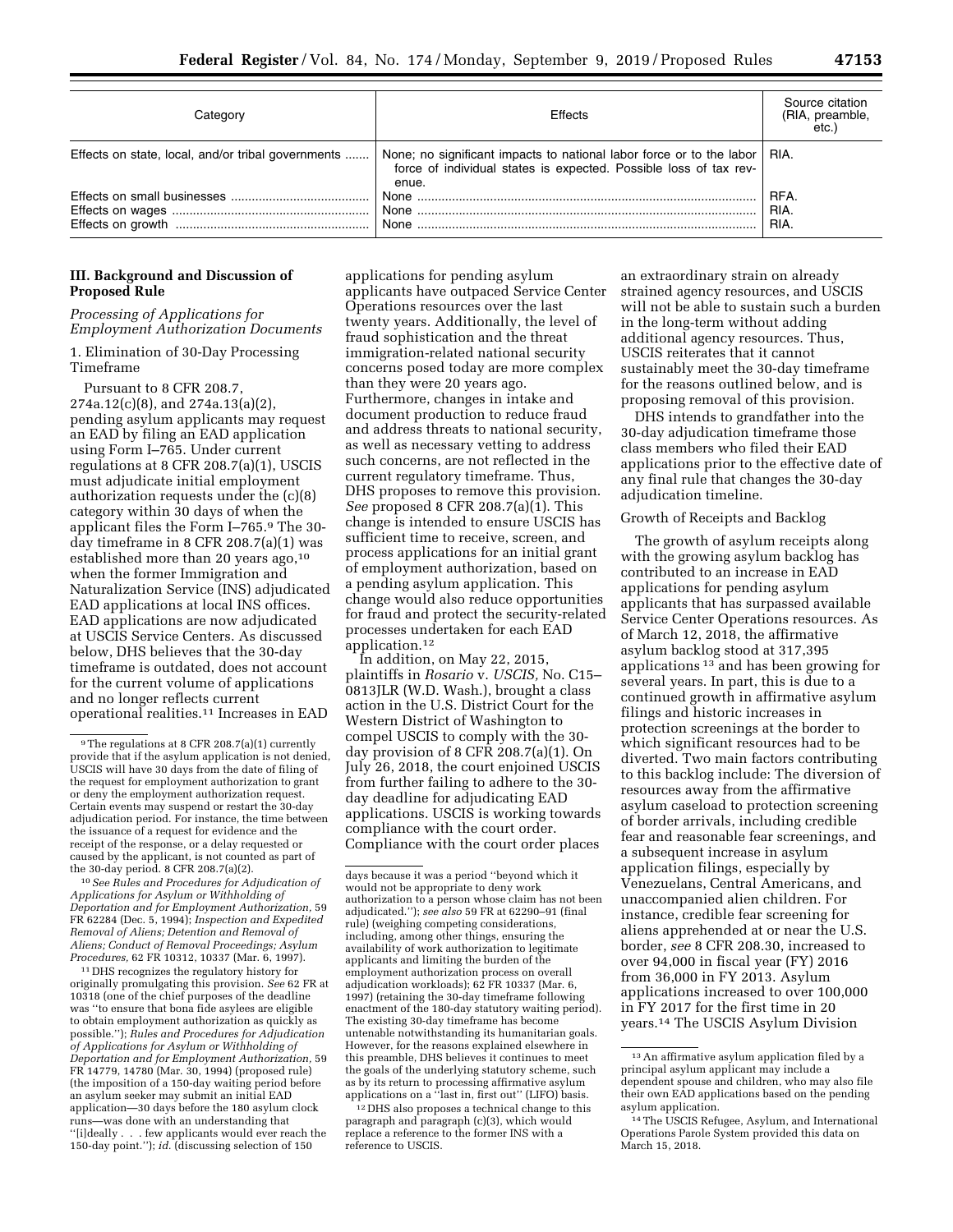|  |  | ∕<br>- - | 7<br>٠<br>٠ |  |
|--|--|----------|-------------|--|
|  |  |          |             |  |

| Categorv                                           | Effects                                                                                                                                                   | Source citation<br>(RIA, preamble,<br>etc.) |
|----------------------------------------------------|-----------------------------------------------------------------------------------------------------------------------------------------------------------|---------------------------------------------|
| Effects on state, local, and/or tribal governments | None; no significant impacts to national labor force or to the labor   RIA.<br>force of individual states is expected. Possible loss of tax rev-<br>enue. |                                             |
|                                                    |                                                                                                                                                           | RFA.<br>RIA.<br>RIA.                        |

## **III. Background and Discussion of Proposed Rule**

*Processing of Applications for Employment Authorization Documents* 

1. Elimination of 30-Day Processing Timeframe

Pursuant to 8 CFR 208.7, 274a.12(c)(8), and 274a.13(a)(2), pending asylum applicants may request an EAD by filing an EAD application using Form I–765. Under current regulations at 8 CFR 208.7(a)(1), USCIS must adjudicate initial employment authorization requests under the (c)(8) category within 30 days of when the applicant files the Form I–765.9 The 30 day timeframe in 8 CFR 208.7(a)(1) was established more than 20 years ago,<sup>10</sup> when the former Immigration and Naturalization Service (INS) adjudicated EAD applications at local INS offices. EAD applications are now adjudicated at USCIS Service Centers. As discussed below, DHS believes that the 30-day timeframe is outdated, does not account for the current volume of applications and no longer reflects current operational realities.11 Increases in EAD

10*See Rules and Procedures for Adjudication of Applications for Asylum or Withholding of Deportation and for Employment Authorization,* 59 FR 62284 (Dec. 5, 1994); *Inspection and Expedited Removal of Aliens; Detention and Removal of Aliens; Conduct of Removal Proceedings; Asylum Procedures,* 62 FR 10312, 10337 (Mar. 6, 1997).

11 DHS recognizes the regulatory history for originally promulgating this provision. *See* 62 FR at 10318 (one of the chief purposes of the deadline was ''to ensure that bona fide asylees are eligible to obtain employment authorization as quickly as possible.''); *Rules and Procedures for Adjudication of Applications for Asylum or Withholding of Deportation and for Employment Authorization,* 59 FR 14779, 14780 (Mar. 30, 1994) (proposed rule) (the imposition of a 150-day waiting period before an asylum seeker may submit an initial EAD application—30 days before the 180 asylum clock runs—was done with an understanding that ''[i]deally . . . few applicants would ever reach the 150-day point.''); *id.* (discussing selection of 150

applications for pending asylum applicants have outpaced Service Center Operations resources over the last twenty years. Additionally, the level of fraud sophistication and the threat immigration-related national security concerns posed today are more complex than they were 20 years ago. Furthermore, changes in intake and document production to reduce fraud and address threats to national security, as well as necessary vetting to address such concerns, are not reflected in the current regulatory timeframe. Thus, DHS proposes to remove this provision. *See* proposed 8 CFR 208.7(a)(1). This change is intended to ensure USCIS has sufficient time to receive, screen, and process applications for an initial grant of employment authorization, based on a pending asylum application. This change would also reduce opportunities for fraud and protect the security-related processes undertaken for each EAD application.12

In addition, on May 22, 2015, plaintiffs in *Rosario* v. *USCIS,* No. C15– 0813JLR (W.D. Wash.), brought a class action in the U.S. District Court for the Western District of Washington to compel USCIS to comply with the 30 day provision of 8 CFR 208.7(a)(1). On July 26, 2018, the court enjoined USCIS from further failing to adhere to the 30 day deadline for adjudicating EAD applications. USCIS is working towards compliance with the court order. Compliance with the court order places

12 DHS also proposes a technical change to this paragraph and paragraph (c)(3), which would replace a reference to the former INS with a reference to USCIS.

an extraordinary strain on already strained agency resources, and USCIS will not be able to sustain such a burden in the long-term without adding additional agency resources. Thus, USCIS reiterates that it cannot sustainably meet the 30-day timeframe for the reasons outlined below, and is proposing removal of this provision.

DHS intends to grandfather into the 30-day adjudication timeframe those class members who filed their EAD applications prior to the effective date of any final rule that changes the 30-day adjudication timeline.

## Growth of Receipts and Backlog

The growth of asylum receipts along with the growing asylum backlog has contributed to an increase in EAD applications for pending asylum applicants that has surpassed available Service Center Operations resources. As of March 12, 2018, the affirmative asylum backlog stood at 317,395 applications 13 and has been growing for several years. In part, this is due to a continued growth in affirmative asylum filings and historic increases in protection screenings at the border to which significant resources had to be diverted. Two main factors contributing to this backlog include: The diversion of resources away from the affirmative asylum caseload to protection screening of border arrivals, including credible fear and reasonable fear screenings, and a subsequent increase in asylum application filings, especially by Venezuelans, Central Americans, and unaccompanied alien children. For instance, credible fear screening for aliens apprehended at or near the U.S. border, *see* 8 CFR 208.30, increased to over 94,000 in fiscal year (FY) 2016 from 36,000 in FY 2013. Asylum applications increased to over 100,000 in FY 2017 for the first time in 20 years.14 The USCIS Asylum Division

<sup>9</sup>The regulations at 8 CFR 208.7(a)(1) currently provide that if the asylum application is not denied, USCIS will have 30 days from the date of filing of the request for employment authorization to grant or deny the employment authorization request. Certain events may suspend or restart the 30-day adjudication period. For instance, the time between the issuance of a request for evidence and the receipt of the response, or a delay requested or caused by the applicant, is not counted as part of the 30-day period. 8 CFR 208.7(a)(2).

days because it was a period ''beyond which it would not be appropriate to deny work authorization to a person whose claim has not been adjudicated.''); *see also* 59 FR at 62290–91 (final rule) (weighing competing considerations, including, among other things, ensuring the availability of work authorization to legitimate applicants and limiting the burden of the employment authorization process on overall adjudication workloads); 62 FR 10337 (Mar. 6, 1997) (retaining the 30-day timeframe following enactment of the 180-day statutory waiting period). The existing 30-day timeframe has become untenable notwithstanding its humanitarian goals. However, for the reasons explained elsewhere in this preamble, DHS believes it continues to meet the goals of the underlying statutory scheme, such as by its return to processing affirmative asylum applications on a ''last in, first out'' (LIFO) basis.

<sup>13</sup>An affirmative asylum application filed by a principal asylum applicant may include a dependent spouse and children, who may also file their own EAD applications based on the pending asylum application.

<sup>14</sup>The USCIS Refugee, Asylum, and International Operations Parole System provided this data on March 15, 2018.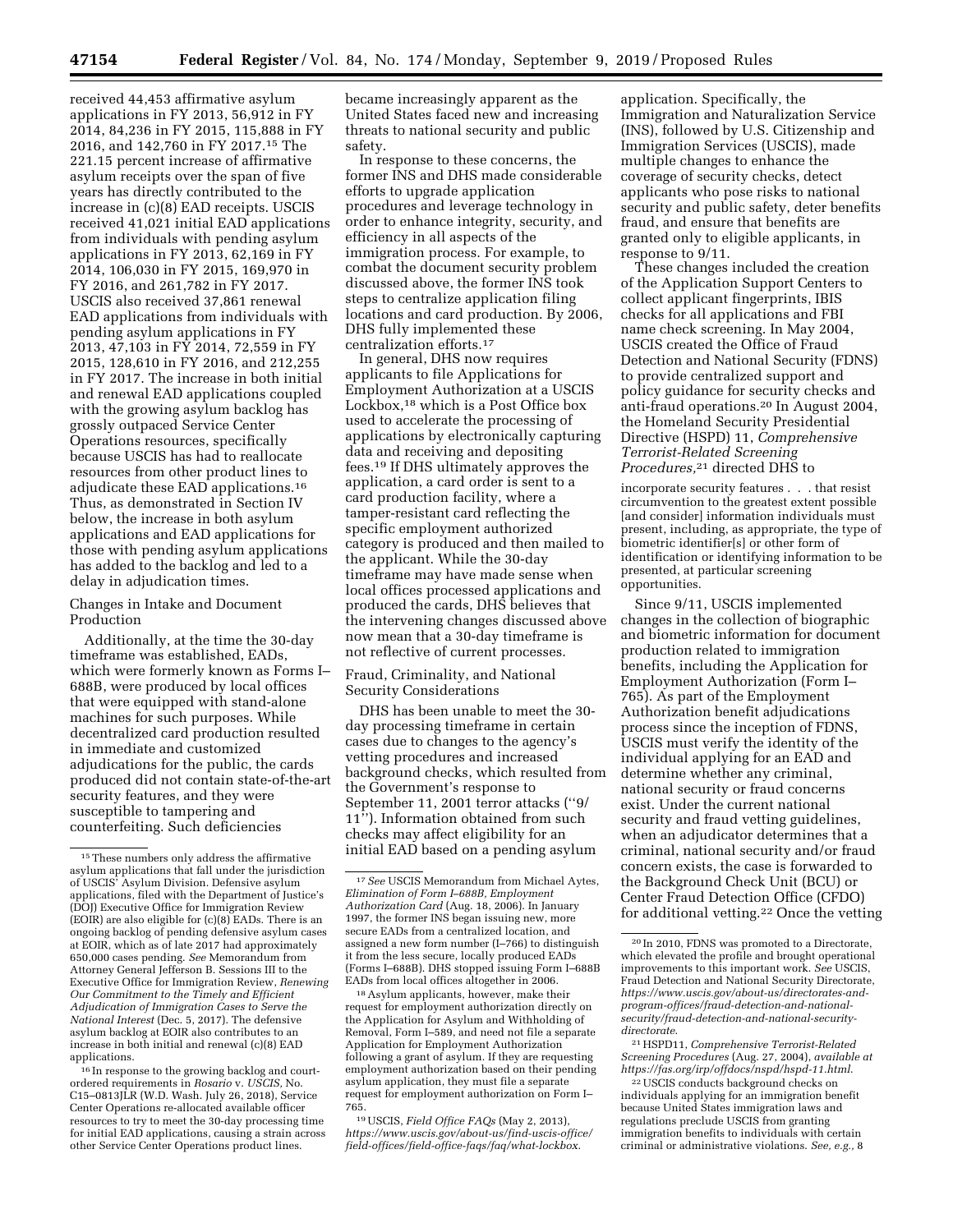received 44,453 affirmative asylum applications in FY 2013, 56,912 in FY 2014, 84,236 in FY 2015, 115,888 in FY 2016, and 142,760 in FY 2017.15 The 221.15 percent increase of affirmative asylum receipts over the span of five years has directly contributed to the increase in (c)(8) EAD receipts. USCIS received 41,021 initial EAD applications from individuals with pending asylum applications in FY 2013, 62,169 in FY 2014, 106,030 in FY 2015, 169,970 in FY 2016, and 261,782 in FY 2017. USCIS also received 37,861 renewal EAD applications from individuals with pending asylum applications in FY 2013, 47,103 in FY 2014, 72,559 in FY 2015, 128,610 in FY 2016, and 212,255 in FY 2017. The increase in both initial and renewal EAD applications coupled with the growing asylum backlog has grossly outpaced Service Center Operations resources, specifically because USCIS has had to reallocate resources from other product lines to adjudicate these EAD applications.16 Thus, as demonstrated in Section IV below, the increase in both asylum applications and EAD applications for those with pending asylum applications has added to the backlog and led to a delay in adjudication times.

## Changes in Intake and Document Production

Additionally, at the time the 30-day timeframe was established, EADs, which were formerly known as Forms I– 688B, were produced by local offices that were equipped with stand-alone machines for such purposes. While decentralized card production resulted in immediate and customized adjudications for the public, the cards produced did not contain state-of-the-art security features, and they were susceptible to tampering and counterfeiting. Such deficiencies

16 In response to the growing backlog and courtordered requirements in *Rosario* v. *USCIS,* No. C15–0813JLR (W.D. Wash. July 26, 2018), Service Center Operations re-allocated available officer resources to try to meet the 30-day processing time for initial EAD applications, causing a strain across other Service Center Operations product lines.

became increasingly apparent as the United States faced new and increasing threats to national security and public safety.

In response to these concerns, the former INS and DHS made considerable efforts to upgrade application procedures and leverage technology in order to enhance integrity, security, and efficiency in all aspects of the immigration process. For example, to combat the document security problem discussed above, the former INS took steps to centralize application filing locations and card production. By 2006, DHS fully implemented these centralization efforts.17

In general, DHS now requires applicants to file Applications for Employment Authorization at a USCIS Lockbox,18 which is a Post Office box used to accelerate the processing of applications by electronically capturing data and receiving and depositing fees.19 If DHS ultimately approves the application, a card order is sent to a card production facility, where a tamper-resistant card reflecting the specific employment authorized category is produced and then mailed to the applicant. While the 30-day timeframe may have made sense when local offices processed applications and produced the cards, DHS believes that the intervening changes discussed above now mean that a 30-day timeframe is not reflective of current processes.

## Fraud, Criminality, and National Security Considerations

DHS has been unable to meet the 30 day processing timeframe in certain cases due to changes to the agency's vetting procedures and increased background checks, which resulted from the Government's response to September 11, 2001 terror attacks (''9/ 11''). Information obtained from such checks may affect eligibility for an initial EAD based on a pending asylum

18Asylum applicants, however, make their request for employment authorization directly on the Application for Asylum and Withholding of Removal, Form I–589, and need not file a separate Application for Employment Authorization following a grant of asylum. If they are requesting employment authorization based on their pending asylum application, they must file a separate request for employment authorization on Form I– 765.

19USCIS, *Field Office FAQs* (May 2, 2013), *[https://www.uscis.gov/about-us/find-uscis-office/](https://www.uscis.gov/about-us/find-uscis-office/field-offices/field-office-faqs/faq/what-lockbox)  [field-offices/field-office-faqs/faq/what-lockbox](https://www.uscis.gov/about-us/find-uscis-office/field-offices/field-office-faqs/faq/what-lockbox)*.

application. Specifically, the Immigration and Naturalization Service (INS), followed by U.S. Citizenship and Immigration Services (USCIS), made multiple changes to enhance the coverage of security checks, detect applicants who pose risks to national security and public safety, deter benefits fraud, and ensure that benefits are granted only to eligible applicants, in response to 9/11.

These changes included the creation of the Application Support Centers to collect applicant fingerprints, IBIS checks for all applications and FBI name check screening. In May 2004, USCIS created the Office of Fraud Detection and National Security (FDNS) to provide centralized support and policy guidance for security checks and anti-fraud operations.20 In August 2004, the Homeland Security Presidential Directive (HSPD) 11, *Comprehensive Terrorist-Related Screening Procedures,*21 directed DHS to

incorporate security features . . . that resist circumvention to the greatest extent possible [and consider] information individuals must present, including, as appropriate, the type of biometric identifier[s] or other form of identification or identifying information to be presented, at particular screening opportunities.

Since 9/11, USCIS implemented changes in the collection of biographic and biometric information for document production related to immigration benefits, including the Application for Employment Authorization (Form I– 765). As part of the Employment Authorization benefit adjudications process since the inception of FDNS, USCIS must verify the identity of the individual applying for an EAD and determine whether any criminal, national security or fraud concerns exist. Under the current national security and fraud vetting guidelines, when an adjudicator determines that a criminal, national security and/or fraud concern exists, the case is forwarded to the Background Check Unit (BCU) or Center Fraud Detection Office (CFDO) for additional vetting.22 Once the vetting

21HSPD11, *Comprehensive Terrorist-Related Screening Procedures* (Aug. 27, 2004), *available at <https://fas.org/irp/offdocs/nspd/hspd-11.html>*.

<sup>15</sup>These numbers only address the affirmative asylum applications that fall under the jurisdiction of USCIS' Asylum Division. Defensive asylum applications, filed with the Department of Justice's (DOJ) Executive Office for Immigration Review (EOIR) are also eligible for (c)(8) EADs. There is an ongoing backlog of pending defensive asylum cases at EOIR, which as of late 2017 had approximately 650,000 cases pending. *See* Memorandum from Attorney General Jefferson B. Sessions III to the Executive Office for Immigration Review, *Renewing Our Commitment to the Timely and Efficient Adjudication of Immigration Cases to Serve the National Interest* (Dec. 5, 2017). The defensive asylum backlog at EOIR also contributes to an increase in both initial and renewal (c)(8) EAD applications.

<sup>17</sup>*See* USCIS Memorandum from Michael Aytes, *Elimination of Form I–688B, Employment Authorization Card* (Aug. 18, 2006). In January 1997, the former INS began issuing new, more secure EADs from a centralized location, and assigned a new form number (I–766) to distinguish it from the less secure, locally produced EADs (Forms I–688B). DHS stopped issuing Form I–688B EADs from local offices altogether in 2006.

<sup>20</sup> In 2010, FDNS was promoted to a Directorate, which elevated the profile and brought operational improvements to this important work. *See* USCIS, Fraud Detection and National Security Directorate, *[https://www.uscis.gov/about-us/directorates-and](https://www.uscis.gov/about-us/directorates-and-program-offices/fraud-detection-and-national-security/fraud-detection-and-national-security-directorate)[program-offices/fraud-detection-and-national](https://www.uscis.gov/about-us/directorates-and-program-offices/fraud-detection-and-national-security/fraud-detection-and-national-security-directorate)[security/fraud-detection-and-national-security](https://www.uscis.gov/about-us/directorates-and-program-offices/fraud-detection-and-national-security/fraud-detection-and-national-security-directorate)[directorate](https://www.uscis.gov/about-us/directorates-and-program-offices/fraud-detection-and-national-security/fraud-detection-and-national-security-directorate)*.

<sup>22</sup>USCIS conducts background checks on individuals applying for an immigration benefit because United States immigration laws and regulations preclude USCIS from granting immigration benefits to individuals with certain criminal or administrative violations. *See, e.g.,* 8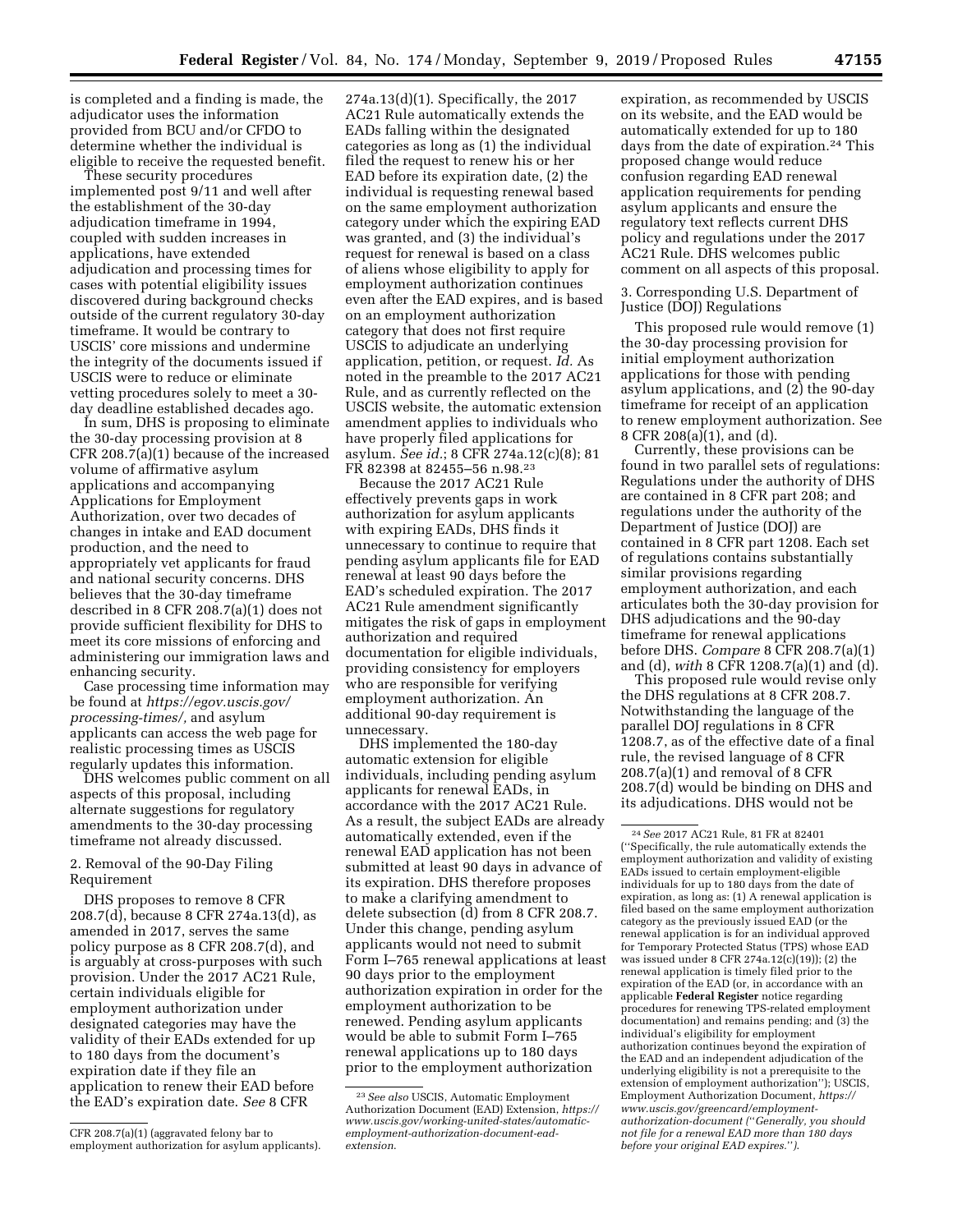is completed and a finding is made, the adjudicator uses the information provided from BCU and/or CFDO to determine whether the individual is eligible to receive the requested benefit.

These security procedures implemented post 9/11 and well after the establishment of the 30-day adjudication timeframe in 1994, coupled with sudden increases in applications, have extended adjudication and processing times for cases with potential eligibility issues discovered during background checks outside of the current regulatory 30-day timeframe. It would be contrary to USCIS' core missions and undermine the integrity of the documents issued if USCIS were to reduce or eliminate vetting procedures solely to meet a 30 day deadline established decades ago.

In sum, DHS is proposing to eliminate the 30-day processing provision at 8 CFR 208.7(a)(1) because of the increased volume of affirmative asylum applications and accompanying Applications for Employment Authorization, over two decades of changes in intake and EAD document production, and the need to appropriately vet applicants for fraud and national security concerns. DHS believes that the 30-day timeframe described in 8 CFR 208.7(a)(1) does not provide sufficient flexibility for DHS to meet its core missions of enforcing and administering our immigration laws and enhancing security.

Case processing time information may be found at *[https://egov.uscis.gov/](https://egov.uscis.gov/processing-times/)  [processing-times/,](https://egov.uscis.gov/processing-times/)* and asylum applicants can access the web page for realistic processing times as USCIS regularly updates this information.

DHS welcomes public comment on all aspects of this proposal, including alternate suggestions for regulatory amendments to the 30-day processing timeframe not already discussed.

2. Removal of the 90-Day Filing Requirement

DHS proposes to remove 8 CFR 208.7(d), because 8 CFR 274a.13(d), as amended in 2017, serves the same policy purpose as 8 CFR 208.7(d), and is arguably at cross-purposes with such provision. Under the 2017 AC21 Rule, certain individuals eligible for employment authorization under designated categories may have the validity of their EADs extended for up to 180 days from the document's expiration date if they file an application to renew their EAD before the EAD's expiration date. *See* 8 CFR

274a.13(d)(1). Specifically, the 2017 AC21 Rule automatically extends the EADs falling within the designated categories as long as (1) the individual filed the request to renew his or her EAD before its expiration date, (2) the individual is requesting renewal based on the same employment authorization category under which the expiring EAD was granted, and (3) the individual's request for renewal is based on a class of aliens whose eligibility to apply for employment authorization continues even after the EAD expires, and is based on an employment authorization category that does not first require USCIS to adjudicate an underlying application, petition, or request. *Id.* As noted in the preamble to the 2017 AC21 Rule, and as currently reflected on the USCIS website, the automatic extension amendment applies to individuals who have properly filed applications for asylum. *See id.*; 8 CFR 274a.12(c)(8); 81 FR 82398 at 82455–56 n.98.23

Because the 2017 AC21 Rule effectively prevents gaps in work authorization for asylum applicants with expiring EADs, DHS finds it unnecessary to continue to require that pending asylum applicants file for EAD renewal at least 90 days before the EAD's scheduled expiration. The 2017 AC21 Rule amendment significantly mitigates the risk of gaps in employment authorization and required documentation for eligible individuals, providing consistency for employers who are responsible for verifying employment authorization. An additional 90-day requirement is unnecessary.

DHS implemented the 180-day automatic extension for eligible individuals, including pending asylum applicants for renewal EADs, in accordance with the 2017 AC21 Rule. As a result, the subject EADs are already automatically extended, even if the renewal EAD application has not been submitted at least 90 days in advance of its expiration. DHS therefore proposes to make a clarifying amendment to delete subsection (d) from 8 CFR 208.7. Under this change, pending asylum applicants would not need to submit Form I–765 renewal applications at least 90 days prior to the employment authorization expiration in order for the employment authorization to be renewed. Pending asylum applicants would be able to submit Form I–765 renewal applications up to 180 days prior to the employment authorization

expiration, as recommended by USCIS on its website, and the EAD would be automatically extended for up to 180 days from the date of expiration.24 This proposed change would reduce confusion regarding EAD renewal application requirements for pending asylum applicants and ensure the regulatory text reflects current DHS policy and regulations under the 2017 AC21 Rule. DHS welcomes public comment on all aspects of this proposal.

3. Corresponding U.S. Department of Justice (DOJ) Regulations

This proposed rule would remove (1) the 30-day processing provision for initial employment authorization applications for those with pending asylum applications, and (2) the 90-day timeframe for receipt of an application to renew employment authorization. See 8 CFR 208(a) $(1)$ , and (d).

Currently, these provisions can be found in two parallel sets of regulations: Regulations under the authority of DHS are contained in 8 CFR part 208; and regulations under the authority of the Department of Justice (DOJ) are contained in 8 CFR part 1208. Each set of regulations contains substantially similar provisions regarding employment authorization, and each articulates both the 30-day provision for DHS adjudications and the 90-day timeframe for renewal applications before DHS. *Compare* 8 CFR 208.7(a)(1) and (d), *with* 8 CFR 1208.7(a)(1) and (d).

This proposed rule would revise only the DHS regulations at 8 CFR 208.7. Notwithstanding the language of the parallel DOJ regulations in 8 CFR 1208.7, as of the effective date of a final rule, the revised language of 8 CFR 208.7(a)(1) and removal of 8 CFR 208.7(d) would be binding on DHS and its adjudications. DHS would not be

CFR 208.7(a)(1) (aggravated felony bar to employment authorization for asylum applicants).

<sup>23</sup>*See also* USCIS, Automatic Employment Authorization Document (EAD) Extension, *[https://](https://www.uscis.gov/working-united-states/automatic-employment-authorization-document-ead-extension)  [www.uscis.gov/working-united-states/automatic](https://www.uscis.gov/working-united-states/automatic-employment-authorization-document-ead-extension)[employment-authorization-document-ead](https://www.uscis.gov/working-united-states/automatic-employment-authorization-document-ead-extension)[extension](https://www.uscis.gov/working-united-states/automatic-employment-authorization-document-ead-extension)*.

<sup>24</sup>*See* 2017 AC21 Rule, 81 FR at 82401 (''Specifically, the rule automatically extends the employment authorization and validity of existing EADs issued to certain employment-eligible individuals for up to 180 days from the date of expiration, as long as: (1) A renewal application is filed based on the same employment authorization category as the previously issued EAD (or the renewal application is for an individual approved for Temporary Protected Status (TPS) whose EAD was issued under 8 CFR 274a.12(c)(19)); (2) the renewal application is timely filed prior to the expiration of the EAD (or, in accordance with an applicable **Federal Register** notice regarding procedures for renewing TPS-related employment documentation) and remains pending; and (3) the individual's eligibility for employment authorization continues beyond the expiration of the EAD and an independent adjudication of the underlying eligibility is not a prerequisite to the extension of employment authorization''); USCIS, Employment Authorization Document, *[https://](https://www.uscis.gov/greencard/employment-authorization-document) [www.uscis.gov/greencard/employment](https://www.uscis.gov/greencard/employment-authorization-document)[authorization-document](https://www.uscis.gov/greencard/employment-authorization-document) (*''*Generally, you should not file for a renewal EAD more than 180 days before your original EAD expires.*''*)*.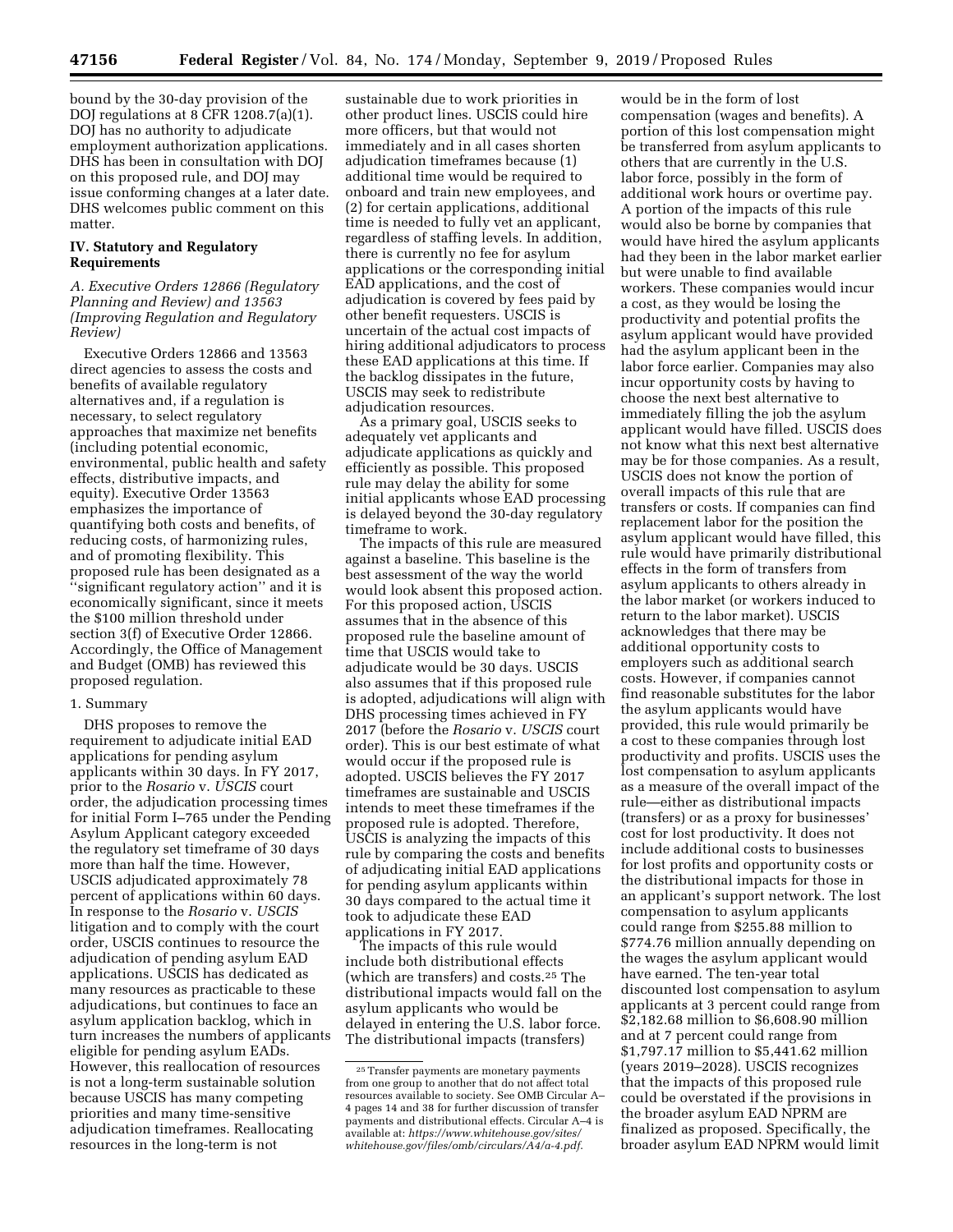bound by the 30-day provision of the DOJ regulations at 8 CFR 1208.7(a)(1). DOJ has no authority to adjudicate employment authorization applications. DHS has been in consultation with DOJ on this proposed rule, and DOJ may issue conforming changes at a later date. DHS welcomes public comment on this matter.

## **IV. Statutory and Regulatory Requirements**

## *A. Executive Orders 12866 (Regulatory Planning and Review) and 13563 (Improving Regulation and Regulatory Review)*

Executive Orders 12866 and 13563 direct agencies to assess the costs and benefits of available regulatory alternatives and, if a regulation is necessary, to select regulatory approaches that maximize net benefits (including potential economic, environmental, public health and safety effects, distributive impacts, and equity). Executive Order 13563 emphasizes the importance of quantifying both costs and benefits, of reducing costs, of harmonizing rules, and of promoting flexibility. This proposed rule has been designated as a ''significant regulatory action'' and it is economically significant, since it meets the \$100 million threshold under section 3(f) of Executive Order 12866. Accordingly, the Office of Management and Budget (OMB) has reviewed this proposed regulation.

#### 1. Summary

DHS proposes to remove the requirement to adjudicate initial EAD applications for pending asylum applicants within 30 days. In FY 2017, prior to the *Rosario* v. *USCIS* court order, the adjudication processing times for initial Form I–765 under the Pending Asylum Applicant category exceeded the regulatory set timeframe of 30 days more than half the time. However, USCIS adjudicated approximately 78 percent of applications within 60 days. In response to the *Rosario* v. *USCIS*  litigation and to comply with the court order, USCIS continues to resource the adjudication of pending asylum EAD applications. USCIS has dedicated as many resources as practicable to these adjudications, but continues to face an asylum application backlog, which in turn increases the numbers of applicants eligible for pending asylum EADs. However, this reallocation of resources is not a long-term sustainable solution because USCIS has many competing priorities and many time-sensitive adjudication timeframes. Reallocating resources in the long-term is not

sustainable due to work priorities in other product lines. USCIS could hire more officers, but that would not immediately and in all cases shorten adjudication timeframes because (1) additional time would be required to onboard and train new employees, and (2) for certain applications, additional time is needed to fully vet an applicant, regardless of staffing levels. In addition, there is currently no fee for asylum applications or the corresponding initial EAD applications, and the cost of adjudication is covered by fees paid by other benefit requesters. USCIS is uncertain of the actual cost impacts of hiring additional adjudicators to process these EAD applications at this time. If the backlog dissipates in the future, USCIS may seek to redistribute adjudication resources.

As a primary goal, USCIS seeks to adequately vet applicants and adjudicate applications as quickly and efficiently as possible. This proposed rule may delay the ability for some initial applicants whose EAD processing is delayed beyond the 30-day regulatory timeframe to work.

The impacts of this rule are measured against a baseline. This baseline is the best assessment of the way the world would look absent this proposed action. For this proposed action, USCIS assumes that in the absence of this proposed rule the baseline amount of time that USCIS would take to adjudicate would be 30 days. USCIS also assumes that if this proposed rule is adopted, adjudications will align with DHS processing times achieved in FY 2017 (before the *Rosario* v. *USCIS* court order). This is our best estimate of what would occur if the proposed rule is adopted. USCIS believes the FY 2017 timeframes are sustainable and USCIS intends to meet these timeframes if the proposed rule is adopted. Therefore, USCIS is analyzing the impacts of this rule by comparing the costs and benefits of adjudicating initial EAD applications for pending asylum applicants within 30 days compared to the actual time it took to adjudicate these EAD applications in FY 2017.

The impacts of this rule would include both distributional effects (which are transfers) and costs.25 The distributional impacts would fall on the asylum applicants who would be delayed in entering the U.S. labor force. The distributional impacts (transfers)

would be in the form of lost compensation (wages and benefits). A portion of this lost compensation might be transferred from asylum applicants to others that are currently in the U.S. labor force, possibly in the form of additional work hours or overtime pay. A portion of the impacts of this rule would also be borne by companies that would have hired the asylum applicants had they been in the labor market earlier but were unable to find available workers. These companies would incur a cost, as they would be losing the productivity and potential profits the asylum applicant would have provided had the asylum applicant been in the labor force earlier. Companies may also incur opportunity costs by having to choose the next best alternative to immediately filling the job the asylum applicant would have filled. USCIS does not know what this next best alternative may be for those companies. As a result, USCIS does not know the portion of overall impacts of this rule that are transfers or costs. If companies can find replacement labor for the position the asylum applicant would have filled, this rule would have primarily distributional effects in the form of transfers from asylum applicants to others already in the labor market (or workers induced to return to the labor market). USCIS acknowledges that there may be additional opportunity costs to employers such as additional search costs. However, if companies cannot find reasonable substitutes for the labor the asylum applicants would have provided, this rule would primarily be a cost to these companies through lost productivity and profits. USCIS uses the lost compensation to asylum applicants as a measure of the overall impact of the rule—either as distributional impacts (transfers) or as a proxy for businesses' cost for lost productivity. It does not include additional costs to businesses for lost profits and opportunity costs or the distributional impacts for those in an applicant's support network. The lost compensation to asylum applicants could range from \$255.88 million to \$774.76 million annually depending on the wages the asylum applicant would have earned. The ten-year total discounted lost compensation to asylum applicants at 3 percent could range from \$2,182.68 million to \$6,608.90 million and at 7 percent could range from \$1,797.17 million to \$5,441.62 million (years 2019–2028). USCIS recognizes that the impacts of this proposed rule could be overstated if the provisions in the broader asylum EAD NPRM are finalized as proposed. Specifically, the broader asylum EAD NPRM would limit

<sup>25</sup>Transfer payments are monetary payments from one group to another that do not affect total resources available to society. See OMB Circular A– 4 pages 14 and 38 for further discussion of transfer payments and distributional effects. Circular A–4 is available at: *[https://www.whitehouse.gov/sites/](https://www.whitehouse.gov/sites/whitehouse.gov/files/omb/circulars/A4/a-4.pdf) [whitehouse.gov/files/omb/circulars/A4/a-4.pdf](https://www.whitehouse.gov/sites/whitehouse.gov/files/omb/circulars/A4/a-4.pdf)*.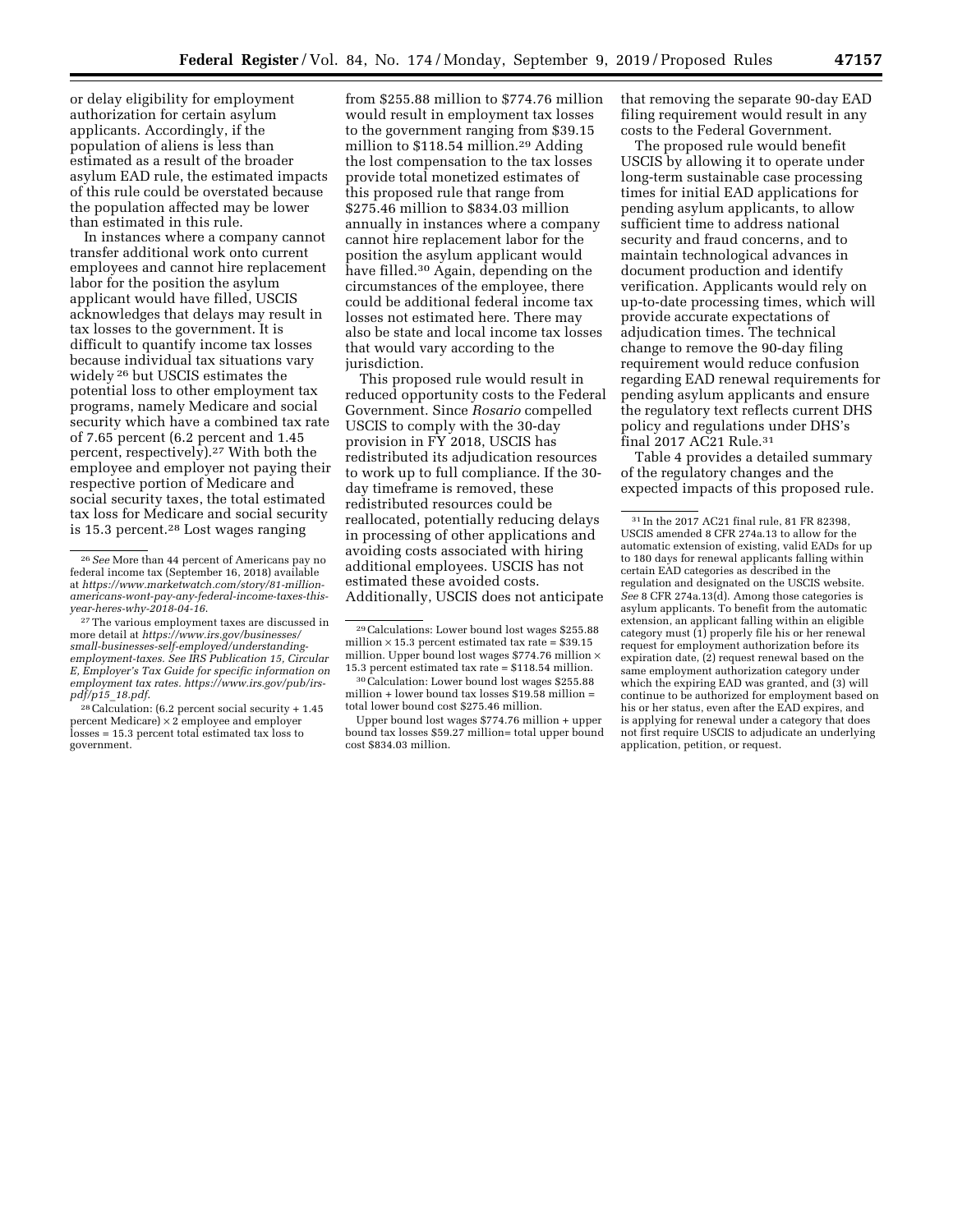or delay eligibility for employment authorization for certain asylum applicants. Accordingly, if the population of aliens is less than estimated as a result of the broader asylum EAD rule, the estimated impacts of this rule could be overstated because the population affected may be lower than estimated in this rule.

In instances where a company cannot transfer additional work onto current employees and cannot hire replacement labor for the position the asylum applicant would have filled, USCIS acknowledges that delays may result in tax losses to the government. It is difficult to quantify income tax losses because individual tax situations vary widely 26 but USCIS estimates the potential loss to other employment tax programs, namely Medicare and social security which have a combined tax rate of 7.65 percent (6.2 percent and 1.45 percent, respectively).27 With both the employee and employer not paying their respective portion of Medicare and social security taxes, the total estimated tax loss for Medicare and social security is 15.3 percent.28 Lost wages ranging

from \$255.88 million to \$774.76 million would result in employment tax losses to the government ranging from \$39.15 million to \$118.54 million.29 Adding the lost compensation to the tax losses provide total monetized estimates of this proposed rule that range from \$275.46 million to \$834.03 million annually in instances where a company cannot hire replacement labor for the position the asylum applicant would have filled.30 Again, depending on the circumstances of the employee, there could be additional federal income tax losses not estimated here. There may also be state and local income tax losses that would vary according to the jurisdiction.

This proposed rule would result in reduced opportunity costs to the Federal Government. Since *Rosario* compelled USCIS to comply with the 30-day provision in FY 2018, USCIS has redistributed its adjudication resources to work up to full compliance. If the 30 day timeframe is removed, these redistributed resources could be reallocated, potentially reducing delays in processing of other applications and avoiding costs associated with hiring additional employees. USCIS has not estimated these avoided costs. Additionally, USCIS does not anticipate

that removing the separate 90-day EAD filing requirement would result in any costs to the Federal Government.

The proposed rule would benefit USCIS by allowing it to operate under long-term sustainable case processing times for initial EAD applications for pending asylum applicants, to allow sufficient time to address national security and fraud concerns, and to maintain technological advances in document production and identify verification. Applicants would rely on up-to-date processing times, which will provide accurate expectations of adjudication times. The technical change to remove the 90-day filing requirement would reduce confusion regarding EAD renewal requirements for pending asylum applicants and ensure the regulatory text reflects current DHS policy and regulations under DHS's final 2017 AC21 Rule.31

Table 4 provides a detailed summary of the regulatory changes and the expected impacts of this proposed rule.

<sup>26</sup>*See* More than 44 percent of Americans pay no federal income tax (September 16, 2018) available at *[https://www.marketwatch.com/story/81-million](https://www.marketwatch.com/story/81-million-americans-wont-pay-any-federal-income-taxes-this-year-heres-why-2018-04-16)[americans-wont-pay-any-federal-income-taxes-this-](https://www.marketwatch.com/story/81-million-americans-wont-pay-any-federal-income-taxes-this-year-heres-why-2018-04-16)*

<sup>&</sup>lt;sup>27</sup>The various employment taxes are discussed in more detail at *[https://www.irs.gov/businesses/](https://www.irs.gov/businesses/small-businesses-self-employed/understanding-employment-taxes) [small-businesses-self-employed/understanding](https://www.irs.gov/businesses/small-businesses-self-employed/understanding-employment-taxes)[employment-taxes.](https://www.irs.gov/businesses/small-businesses-self-employed/understanding-employment-taxes) See IRS Publication 15, Circular E, Employer's Tax Guide for specific information on employment tax rates. [https://www.irs.gov/pub/irs](https://www.irs.gov/pub/irs-pdf/p15_18.pdf)pdf/p15*\_*18.pdf*[.](https://www.irs.gov/pub/irs-pdf/p15_18.pdf) 28Calculation: (6.2 percent social security + 1.45

percent Medicare) × 2 employee and employer losses = 15.3 percent total estimated tax loss to government.

<sup>29</sup>Calculations: Lower bound lost wages \$255.88 million  $\times$  15.3 percent estimated tax rate = \$39.15 million. Upper bound lost wages \$774.76 million × 15.3 percent estimated tax rate = \$118.54 million.

<sup>30</sup>Calculation: Lower bound lost wages \$255.88 million + lower bound tax losses \$19.58 million = total lower bound cost \$275.46 million.

Upper bound lost wages \$774.76 million + upper bound tax losses \$59.27 million= total upper bound cost \$834.03 million.

<sup>31</sup> In the 2017 AC21 final rule, 81 FR 82398, USCIS amended 8 CFR 274a.13 to allow for the automatic extension of existing, valid EADs for up to 180 days for renewal applicants falling within certain EAD categories as described in the regulation and designated on the USCIS website. *See* 8 CFR 274a.13(d). Among those categories is asylum applicants. To benefit from the automatic extension, an applicant falling within an eligible category must (1) properly file his or her renewal request for employment authorization before its expiration date, (2) request renewal based on the same employment authorization category under which the expiring EAD was granted, and (3) will continue to be authorized for employment based on his or her status, even after the EAD expires, and is applying for renewal under a category that does not first require USCIS to adjudicate an underlying application, petition, or request.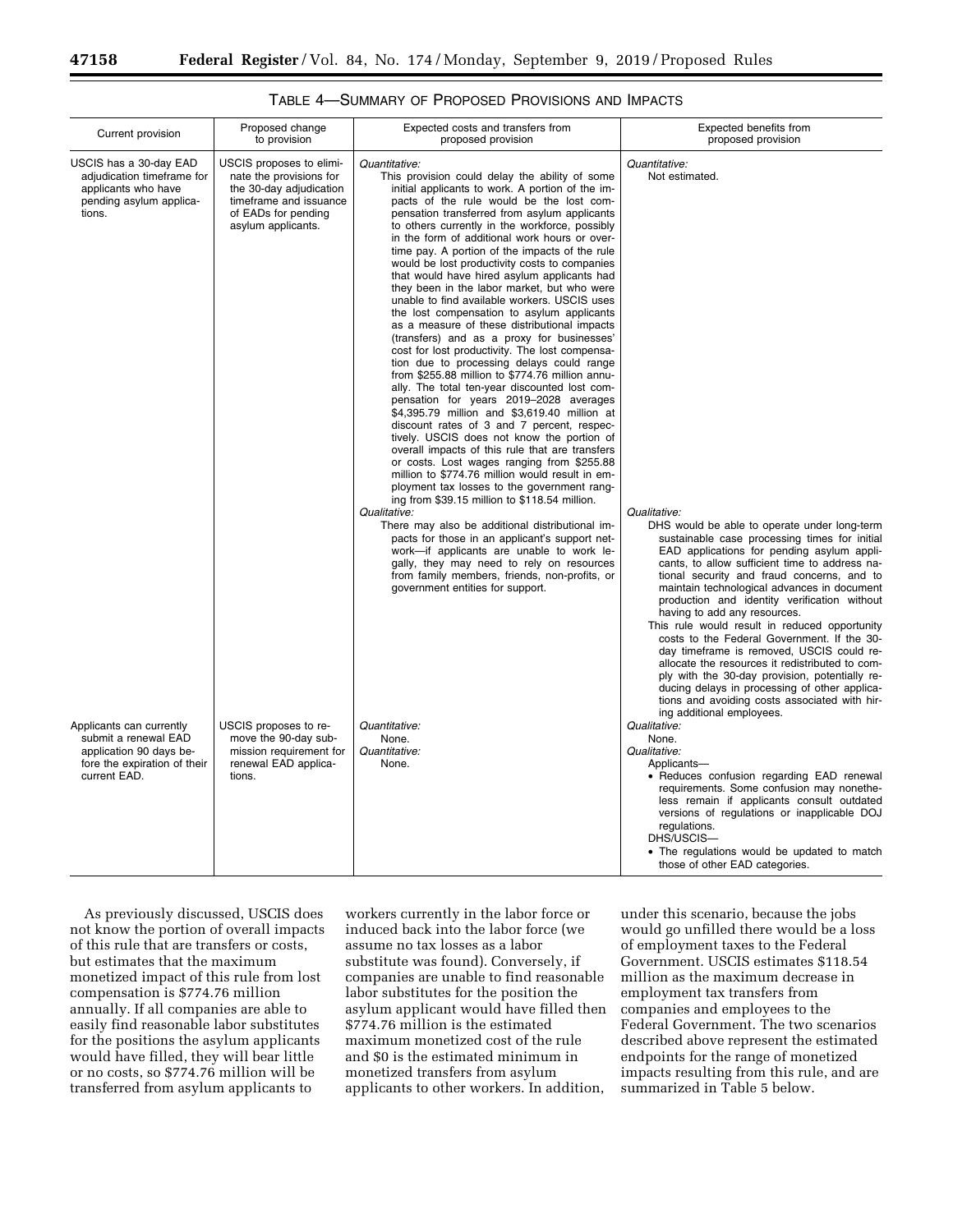| Current provision                                                                                                           | Proposed change<br>to provision                                                                                                                       | Expected costs and transfers from<br>proposed provision                                                                                                                                                                                                                                                                                                                                                                                                                                                                                                                                                                                                                                                                                                                                                                                                                                                                                                                                                                                                                                                                                                                                                                                                                                                                                                                                                                                                                                                                                                                                                                                                          | Expected benefits from<br>proposed provision                                                                                                                                                                                                                                                                                                                                                                                                                                                                                                                                                                                                                                                                                                                                                                   |
|-----------------------------------------------------------------------------------------------------------------------------|-------------------------------------------------------------------------------------------------------------------------------------------------------|------------------------------------------------------------------------------------------------------------------------------------------------------------------------------------------------------------------------------------------------------------------------------------------------------------------------------------------------------------------------------------------------------------------------------------------------------------------------------------------------------------------------------------------------------------------------------------------------------------------------------------------------------------------------------------------------------------------------------------------------------------------------------------------------------------------------------------------------------------------------------------------------------------------------------------------------------------------------------------------------------------------------------------------------------------------------------------------------------------------------------------------------------------------------------------------------------------------------------------------------------------------------------------------------------------------------------------------------------------------------------------------------------------------------------------------------------------------------------------------------------------------------------------------------------------------------------------------------------------------------------------------------------------------|----------------------------------------------------------------------------------------------------------------------------------------------------------------------------------------------------------------------------------------------------------------------------------------------------------------------------------------------------------------------------------------------------------------------------------------------------------------------------------------------------------------------------------------------------------------------------------------------------------------------------------------------------------------------------------------------------------------------------------------------------------------------------------------------------------------|
| USCIS has a 30-day EAD<br>adjudication timeframe for<br>applicants who have<br>pending asylum applica-<br>tions.            | USCIS proposes to elimi-<br>nate the provisions for<br>the 30-day adjudication<br>timeframe and issuance<br>of EADs for pending<br>asylum applicants. | Quantitative:<br>This provision could delay the ability of some<br>initial applicants to work. A portion of the im-<br>pacts of the rule would be the lost com-<br>pensation transferred from asylum applicants<br>to others currently in the workforce, possibly<br>in the form of additional work hours or over-<br>time pay. A portion of the impacts of the rule<br>would be lost productivity costs to companies<br>that would have hired asylum applicants had<br>they been in the labor market, but who were<br>unable to find available workers. USCIS uses<br>the lost compensation to asylum applicants<br>as a measure of these distributional impacts<br>(transfers) and as a proxy for businesses'<br>cost for lost productivity. The lost compensa-<br>tion due to processing delays could range<br>from \$255.88 million to \$774.76 million annu-<br>ally. The total ten-year discounted lost com-<br>pensation for years 2019-2028 averages<br>\$4,395.79 million and \$3,619.40 million at<br>discount rates of 3 and 7 percent, respec-<br>tively. USCIS does not know the portion of<br>overall impacts of this rule that are transfers<br>or costs. Lost wages ranging from \$255.88<br>million to \$774.76 million would result in em-<br>ployment tax losses to the government rang-<br>ing from \$39.15 million to \$118.54 million.<br>Qualitative:<br>There may also be additional distributional im-<br>pacts for those in an applicant's support net-<br>work-if applicants are unable to work le-<br>gally, they may need to rely on resources<br>from family members, friends, non-profits, or<br>government entities for support. | Quantitative:<br>Not estimated.<br>Qualitative:<br>DHS would be able to operate under long-term<br>sustainable case processing times for initial<br>EAD applications for pending asylum appli-<br>cants, to allow sufficient time to address na-<br>tional security and fraud concerns, and to<br>maintain technological advances in document<br>production and identity verification without<br>having to add any resources.<br>This rule would result in reduced opportunity<br>costs to the Federal Government. If the 30-<br>day timeframe is removed, USCIS could re-<br>allocate the resources it redistributed to com-<br>ply with the 30-day provision, potentially re-<br>ducing delays in processing of other applica-<br>tions and avoiding costs associated with hir-<br>ing additional employees. |
| Applicants can currently<br>submit a renewal EAD<br>application 90 days be-<br>fore the expiration of their<br>current EAD. | USCIS proposes to re-<br>move the 90-day sub-<br>mission requirement for<br>renewal EAD applica-<br>tions.                                            | Quantitative:<br>None.<br>Quantitative:<br>None.                                                                                                                                                                                                                                                                                                                                                                                                                                                                                                                                                                                                                                                                                                                                                                                                                                                                                                                                                                                                                                                                                                                                                                                                                                                                                                                                                                                                                                                                                                                                                                                                                 | Qualitative:<br>None.<br>Qualitative:<br>Applicants-<br>• Reduces confusion regarding EAD renewal<br>requirements. Some confusion may nonethe-<br>less remain if applicants consult outdated<br>versions of regulations or inapplicable DOJ<br>regulations.                                                                                                                                                                                                                                                                                                                                                                                                                                                                                                                                                    |
|                                                                                                                             |                                                                                                                                                       |                                                                                                                                                                                                                                                                                                                                                                                                                                                                                                                                                                                                                                                                                                                                                                                                                                                                                                                                                                                                                                                                                                                                                                                                                                                                                                                                                                                                                                                                                                                                                                                                                                                                  | DHS/USCIS-<br>• The regulations would be updated to match<br>those of other EAD categories.                                                                                                                                                                                                                                                                                                                                                                                                                                                                                                                                                                                                                                                                                                                    |

# TABLE 4—SUMMARY OF PROPOSED PROVISIONS AND IMPACTS

As previously discussed, USCIS does not know the portion of overall impacts of this rule that are transfers or costs, but estimates that the maximum monetized impact of this rule from lost compensation is \$774.76 million annually. If all companies are able to easily find reasonable labor substitutes for the positions the asylum applicants would have filled, they will bear little or no costs, so \$774.76 million will be transferred from asylum applicants to

workers currently in the labor force or induced back into the labor force (we assume no tax losses as a labor substitute was found). Conversely, if companies are unable to find reasonable labor substitutes for the position the asylum applicant would have filled then \$774.76 million is the estimated maximum monetized cost of the rule and \$0 is the estimated minimum in monetized transfers from asylum applicants to other workers. In addition,

under this scenario, because the jobs would go unfilled there would be a loss of employment taxes to the Federal Government. USCIS estimates \$118.54 million as the maximum decrease in employment tax transfers from companies and employees to the Federal Government. The two scenarios described above represent the estimated endpoints for the range of monetized impacts resulting from this rule, and are summarized in Table 5 below.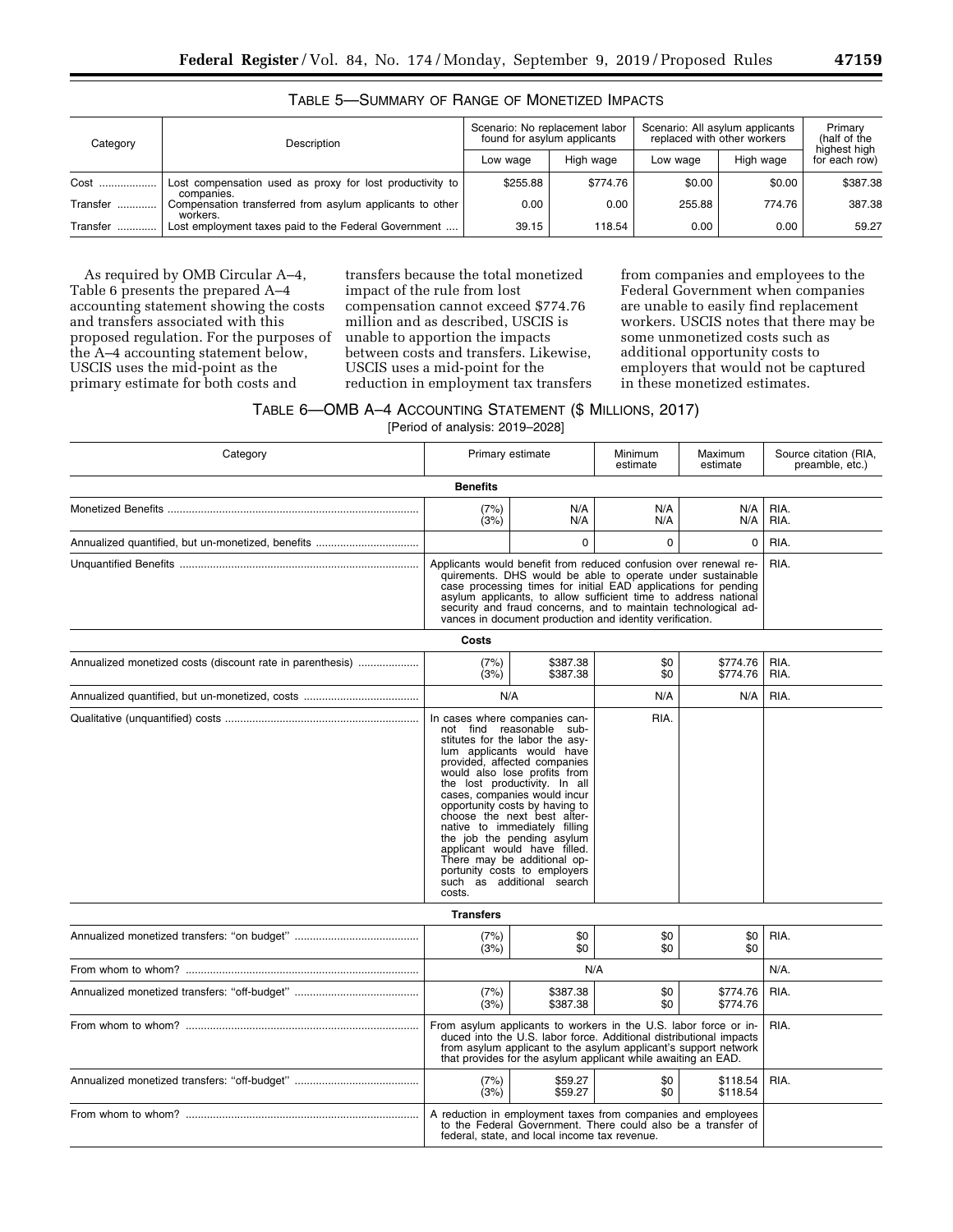| Category      | Description                                                            | Scenario: No replacement labor<br>found for asylum applicants |           | Scenario: All asylum applicants<br>replaced with other workers | Primary<br>(half of the |                               |
|---------------|------------------------------------------------------------------------|---------------------------------------------------------------|-----------|----------------------------------------------------------------|-------------------------|-------------------------------|
|               |                                                                        | Low wage                                                      | High wage | Low wage                                                       | High wage               | highest high<br>for each row) |
| Cost<br>.     | Lost compensation used as proxy for lost productivity to<br>companies. | \$255.88                                                      | \$774.76  | \$0.00                                                         | \$0.00                  | \$387.38                      |
| Transfer<br>  | Compensation transferred from asylum applicants to other<br>workers.   | 0.00                                                          | 0.00      | 255.88                                                         | 774.76                  | 387.38                        |
| Transfer<br>. | Lost employment taxes paid to the Federal Government                   | 39.15                                                         | 118.54    | 0.00                                                           | 0.00                    | 59.27                         |

## TABLE 5—SUMMARY OF RANGE OF MONETIZED IMPACTS

As required by OMB Circular A–4, Table 6 presents the prepared A–4 accounting statement showing the costs and transfers associated with this proposed regulation. For the purposes of the A–4 accounting statement below, USCIS uses the mid-point as the primary estimate for both costs and

transfers because the total monetized impact of the rule from lost compensation cannot exceed \$774.76 million and as described, USCIS is unable to apportion the impacts between costs and transfers. Likewise, USCIS uses a mid-point for the reduction in employment tax transfers

from companies and employees to the Federal Government when companies are unable to easily find replacement workers. USCIS notes that there may be some unmonetized costs such as additional opportunity costs to employers that would not be captured in these monetized estimates.

# TABLE 6—OMB A–4 ACCOUNTING STATEMENT (\$ MILLIONS, 2017)

[Period of analysis: 2019–2028]

| Category                                                  | Primary estimate<br>Minimum<br>estimate                                                                                                                                                                                                                                                                                                                                                                                                                                                                                                  |                                                                                                                                                                               |            | Maximum<br>estimate  | Source citation (RIA,<br>preamble, etc.) |
|-----------------------------------------------------------|------------------------------------------------------------------------------------------------------------------------------------------------------------------------------------------------------------------------------------------------------------------------------------------------------------------------------------------------------------------------------------------------------------------------------------------------------------------------------------------------------------------------------------------|-------------------------------------------------------------------------------------------------------------------------------------------------------------------------------|------------|----------------------|------------------------------------------|
|                                                           | <b>Benefits</b>                                                                                                                                                                                                                                                                                                                                                                                                                                                                                                                          |                                                                                                                                                                               |            |                      |                                          |
|                                                           | N/A<br>N/A<br>N/A<br>RIA.<br>(7%)<br>(3%)<br>N/A<br>N/A<br>N/A<br>RIA.                                                                                                                                                                                                                                                                                                                                                                                                                                                                   |                                                                                                                                                                               |            |                      |                                          |
|                                                           |                                                                                                                                                                                                                                                                                                                                                                                                                                                                                                                                          | $\mathbf 0$                                                                                                                                                                   | 0          | 0                    | RIA.                                     |
|                                                           | Applicants would benefit from reduced confusion over renewal re-<br>quirements. DHS would be able to operate under sustainable<br>case processing times for initial EAD applications for pending<br>asylum applicants, to allow sufficient time to address national<br>security and fraud concerns, and to maintain technological ad-<br>vances in document production and identity verification.                                                                                                                                        | RIA.                                                                                                                                                                          |            |                      |                                          |
|                                                           | Costs                                                                                                                                                                                                                                                                                                                                                                                                                                                                                                                                    |                                                                                                                                                                               |            |                      |                                          |
| Annualized monetized costs (discount rate in parenthesis) | (7%)<br>(3%)                                                                                                                                                                                                                                                                                                                                                                                                                                                                                                                             | \$387.38<br>\$387.38                                                                                                                                                          | \$0<br>\$0 | \$774.76<br>\$774.76 | RIA.<br>RIA.                             |
|                                                           |                                                                                                                                                                                                                                                                                                                                                                                                                                                                                                                                          | N/A                                                                                                                                                                           | N/A        | N/A                  | RIA.                                     |
|                                                           | RIA.<br>In cases where companies can-<br>not find reasonable sub-<br>stitutes for the labor the asy-<br>lum applicants would have<br>provided, affected companies<br>would also lose profits from<br>the lost productivity. In all<br>cases, companies would incur<br>opportunity costs by having to<br>choose the next best alter-<br>native to immediately filling<br>the job the pending asylum<br>applicant would have filled.<br>There may be additional op-<br>portunity costs to employers<br>such as additional search<br>costs. |                                                                                                                                                                               |            |                      |                                          |
|                                                           | <b>Transfers</b>                                                                                                                                                                                                                                                                                                                                                                                                                                                                                                                         |                                                                                                                                                                               |            |                      |                                          |
|                                                           | (7%)<br>(3%)                                                                                                                                                                                                                                                                                                                                                                                                                                                                                                                             | \$0<br>\$0                                                                                                                                                                    | \$0<br>\$0 | \$0<br>\$0           | RIA.                                     |
|                                                           |                                                                                                                                                                                                                                                                                                                                                                                                                                                                                                                                          | N/A                                                                                                                                                                           |            |                      | $N/A$ .                                  |
|                                                           | (7%)<br>(3%)                                                                                                                                                                                                                                                                                                                                                                                                                                                                                                                             | \$387.38<br>\$387.38                                                                                                                                                          | \$0<br>\$0 | \$774.76<br>\$774.76 | RIA.                                     |
|                                                           | From asylum applicants to workers in the U.S. labor force or in-<br>duced into the U.S. labor force. Additional distributional impacts<br>from asylum applicant to the asylum applicant's support network<br>that provides for the asylum applicant while awaiting an EAD.                                                                                                                                                                                                                                                               | RIA.                                                                                                                                                                          |            |                      |                                          |
|                                                           | (7%)<br>(3%)                                                                                                                                                                                                                                                                                                                                                                                                                                                                                                                             | \$59.27<br>\$59.27                                                                                                                                                            | \$0<br>\$0 | \$118.54<br>\$118.54 | RIA.                                     |
|                                                           |                                                                                                                                                                                                                                                                                                                                                                                                                                                                                                                                          | A reduction in employment taxes from companies and employees<br>to the Federal Government. There could also be a transfer of<br>federal, state, and local income tax revenue. |            |                      |                                          |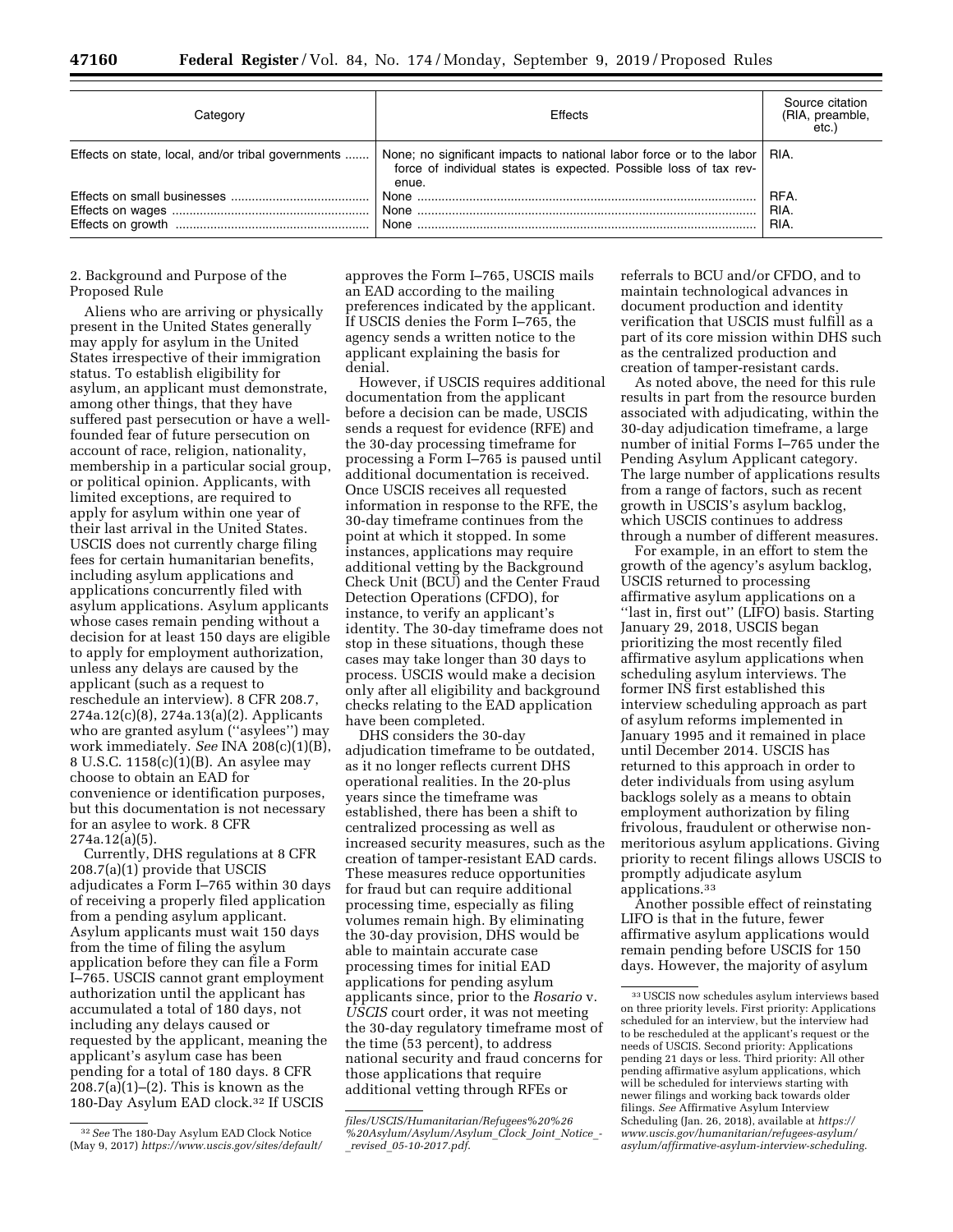| Categorv                                           | Effects                                                                                                                                                   | Source citation<br>(RIA, preamble,<br>etc.) |
|----------------------------------------------------|-----------------------------------------------------------------------------------------------------------------------------------------------------------|---------------------------------------------|
| Effects on state, local, and/or tribal governments | None; no significant impacts to national labor force or to the labor   RIA.<br>force of individual states is expected. Possible loss of tax rev-<br>enue. |                                             |
|                                                    |                                                                                                                                                           | RFA.<br>RIA.<br>RIA.                        |

#### 2. Background and Purpose of the Proposed Rule

Aliens who are arriving or physically present in the United States generally may apply for asylum in the United States irrespective of their immigration status. To establish eligibility for asylum, an applicant must demonstrate, among other things, that they have suffered past persecution or have a wellfounded fear of future persecution on account of race, religion, nationality, membership in a particular social group, or political opinion. Applicants, with limited exceptions, are required to apply for asylum within one year of their last arrival in the United States. USCIS does not currently charge filing fees for certain humanitarian benefits, including asylum applications and applications concurrently filed with asylum applications. Asylum applicants whose cases remain pending without a decision for at least 150 days are eligible to apply for employment authorization, unless any delays are caused by the applicant (such as a request to reschedule an interview). 8 CFR 208.7, 274a.12(c)(8), 274a.13(a)(2). Applicants who are granted asylum (''asylees'') may work immediately. *See* INA 208(c)(1)(B), 8 U.S.C. 1158(c)(1)(B). An asylee may choose to obtain an EAD for convenience or identification purposes, but this documentation is not necessary for an asylee to work. 8 CFR 274a.12(a)(5).

Currently, DHS regulations at 8 CFR 208.7(a)(1) provide that USCIS adjudicates a Form I–765 within 30 days of receiving a properly filed application from a pending asylum applicant. Asylum applicants must wait 150 days from the time of filing the asylum application before they can file a Form I–765. USCIS cannot grant employment authorization until the applicant has accumulated a total of 180 days, not including any delays caused or requested by the applicant, meaning the applicant's asylum case has been pending for a total of 180 days. 8 CFR 208.7(a)(1)–(2). This is known as the 180-Day Asylum EAD clock.32 If USCIS

approves the Form I–765, USCIS mails an EAD according to the mailing preferences indicated by the applicant. If USCIS denies the Form I–765, the agency sends a written notice to the applicant explaining the basis for denial.

However, if USCIS requires additional documentation from the applicant before a decision can be made, USCIS sends a request for evidence (RFE) and the 30-day processing timeframe for processing a Form I–765 is paused until additional documentation is received. Once USCIS receives all requested information in response to the RFE, the 30-day timeframe continues from the point at which it stopped. In some instances, applications may require additional vetting by the Background Check Unit (BCU) and the Center Fraud Detection Operations (CFDO), for instance, to verify an applicant's identity. The 30-day timeframe does not stop in these situations, though these cases may take longer than 30 days to process. USCIS would make a decision only after all eligibility and background checks relating to the EAD application have been completed.

DHS considers the 30-day adjudication timeframe to be outdated, as it no longer reflects current DHS operational realities. In the 20-plus years since the timeframe was established, there has been a shift to centralized processing as well as increased security measures, such as the creation of tamper-resistant EAD cards. These measures reduce opportunities for fraud but can require additional processing time, especially as filing volumes remain high. By eliminating the 30-day provision, DHS would be able to maintain accurate case processing times for initial EAD applications for pending asylum applicants since, prior to the *Rosario* v. *USCIS* court order, it was not meeting the 30-day regulatory timeframe most of the time (53 percent), to address national security and fraud concerns for those applications that require additional vetting through RFEs or

referrals to BCU and/or CFDO, and to maintain technological advances in document production and identity verification that USCIS must fulfill as a part of its core mission within DHS such as the centralized production and creation of tamper-resistant cards.

As noted above, the need for this rule results in part from the resource burden associated with adjudicating, within the 30-day adjudication timeframe, a large number of initial Forms I–765 under the Pending Asylum Applicant category. The large number of applications results from a range of factors, such as recent growth in USCIS's asylum backlog, which USCIS continues to address through a number of different measures.

For example, in an effort to stem the growth of the agency's asylum backlog, USCIS returned to processing affirmative asylum applications on a ''last in, first out'' (LIFO) basis. Starting January 29, 2018, USCIS began prioritizing the most recently filed affirmative asylum applications when scheduling asylum interviews. The former INS first established this interview scheduling approach as part of asylum reforms implemented in January 1995 and it remained in place until December 2014. USCIS has returned to this approach in order to deter individuals from using asylum backlogs solely as a means to obtain employment authorization by filing frivolous, fraudulent or otherwise nonmeritorious asylum applications. Giving priority to recent filings allows USCIS to promptly adjudicate asylum applications.33

Another possible effect of reinstating LIFO is that in the future, fewer affirmative asylum applications would remain pending before USCIS for 150 days. However, the majority of asylum

<sup>32</sup>*See* The 180-Day Asylum EAD Clock Notice (May 9, 2017) *[https://www.uscis.gov/sites/default/](https://www.uscis.gov/sites/default/files/USCIS/Humanitarian/Refugees%20%26%20Asylum/Asylum/Asylum_Clock_Joint_Notice_-_revised_05-10-2017.pdf)* 

*[files/USCIS/Humanitarian/Refugees%20%26](https://www.uscis.gov/sites/default/files/USCIS/Humanitarian/Refugees%20%26%20Asylum/Asylum/Asylum_Clock_Joint_Notice_-_revised_05-10-2017.pdf) [%20Asylum/Asylum/Asylum](https://www.uscis.gov/sites/default/files/USCIS/Humanitarian/Refugees%20%26%20Asylum/Asylum/Asylum_Clock_Joint_Notice_-_revised_05-10-2017.pdf)*\_*Clock*\_*Joint*\_*Notice*\_*-*  \_*revised*\_*[05-10-2017.pdf](https://www.uscis.gov/sites/default/files/USCIS/Humanitarian/Refugees%20%26%20Asylum/Asylum/Asylum_Clock_Joint_Notice_-_revised_05-10-2017.pdf)*.

<sup>33</sup>USCIS now schedules asylum interviews based on three priority levels. First priority: Applications scheduled for an interview, but the interview had to be rescheduled at the applicant's request or the needs of USCIS. Second priority: Applications pending 21 days or less. Third priority: All other pending affirmative asylum applications, which will be scheduled for interviews starting with newer filings and working back towards older filings. *See* Affirmative Asylum Interview Scheduling (Jan. 26, 2018), available at *[https://](https://www.uscis.gov/humanitarian/refugees-asylum/asylum/affirmative-asylum-interview-scheduling) [www.uscis.gov/humanitarian/refugees-asylum/](https://www.uscis.gov/humanitarian/refugees-asylum/asylum/affirmative-asylum-interview-scheduling)  [asylum/affirmative-asylum-interview-scheduling](https://www.uscis.gov/humanitarian/refugees-asylum/asylum/affirmative-asylum-interview-scheduling)*.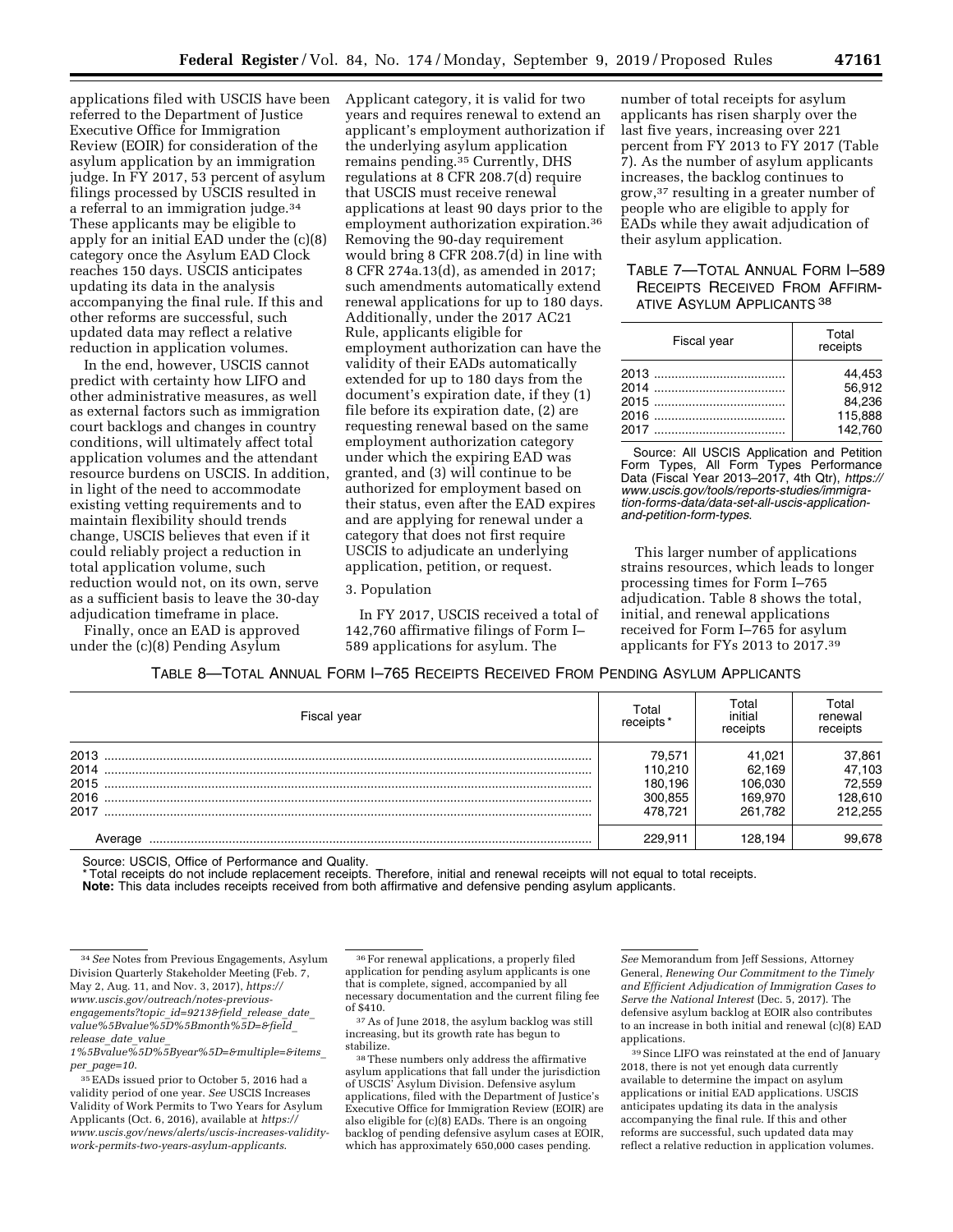applications filed with USCIS have been referred to the Department of Justice Executive Office for Immigration Review (EOIR) for consideration of the asylum application by an immigration judge. In FY 2017, 53 percent of asylum filings processed by USCIS resulted in a referral to an immigration judge.<sup>34</sup> These applicants may be eligible to apply for an initial EAD under the (c)(8) category once the Asylum EAD Clock reaches 150 days. USCIS anticipates updating its data in the analysis accompanying the final rule. If this and other reforms are successful, such updated data may reflect a relative reduction in application volumes.

In the end, however, USCIS cannot predict with certainty how LIFO and other administrative measures, as well as external factors such as immigration court backlogs and changes in country conditions, will ultimately affect total application volumes and the attendant resource burdens on USCIS. In addition, in light of the need to accommodate existing vetting requirements and to maintain flexibility should trends change, USCIS believes that even if it could reliably project a reduction in total application volume, such reduction would not, on its own, serve as a sufficient basis to leave the 30-day adjudication timeframe in place.

Finally, once an EAD is approved under the (c)(8) Pending Asylum

Applicant category, it is valid for two years and requires renewal to extend an applicant's employment authorization if the underlying asylum application remains pending.35 Currently, DHS regulations at 8 CFR 208.7(d) require that USCIS must receive renewal applications at least 90 days prior to the employment authorization expiration.36 Removing the 90-day requirement would bring 8 CFR 208.7(d) in line with 8 CFR 274a.13(d), as amended in 2017; such amendments automatically extend renewal applications for up to 180 days. Additionally, under the 2017 AC21 Rule, applicants eligible for employment authorization can have the validity of their EADs automatically extended for up to 180 days from the document's expiration date, if they (1) file before its expiration date, (2) are requesting renewal based on the same employment authorization category under which the expiring EAD was granted, and (3) will continue to be authorized for employment based on their status, even after the EAD expires and are applying for renewal under a category that does not first require USCIS to adjudicate an underlying application, petition, or request.

#### 3. Population

In FY 2017, USCIS received a total of 142,760 affirmative filings of Form I– 589 applications for asylum. The

number of total receipts for asylum applicants has risen sharply over the last five years, increasing over 221 percent from FY 2013 to FY 2017 (Table 7). As the number of asylum applicants increases, the backlog continues to grow,37 resulting in a greater number of people who are eligible to apply for EADs while they await adjudication of their asylum application.

## TABLE 7—TOTAL ANNUAL FORM I–589 RECEIPTS RECEIVED FROM AFFIRM-**ATIVE ASYLUM APPLICANTS 38**

| Fiscal year | Total<br>receipts |
|-------------|-------------------|
|             | 44.453            |
|             | 56.912            |
|             | 84.236            |
|             | 115.888           |
|             | 142.760           |

Source: All USCIS Application and Petition Form Types, All Form Types Performance Data (Fiscal Year 2013–2017, 4th Qtr), *[https://](https://www.uscis.gov/tools/reports-studies/immigra-tion-forms-data/data-set-all-uscis-application-and-petition-form-types) [www.uscis.gov/tools/reports-studies/immigra](https://www.uscis.gov/tools/reports-studies/immigra-tion-forms-data/data-set-all-uscis-application-and-petition-form-types)[tion-forms-data/data-set-all-uscis-application](https://www.uscis.gov/tools/reports-studies/immigra-tion-forms-data/data-set-all-uscis-application-and-petition-form-types)[and-petition-form-types](https://www.uscis.gov/tools/reports-studies/immigra-tion-forms-data/data-set-all-uscis-application-and-petition-form-types)*.

This larger number of applications strains resources, which leads to longer processing times for Form I–765 adjudication. Table 8 shows the total, initial, and renewal applications received for Form I–765 for asylum applicants for FYs 2013 to 2017.39

TABLE 8—TOTAL ANNUAL FORM I–765 RECEIPTS RECEIVED FROM PENDING ASYLUM APPLICANTS

| Fiscal year | Total<br>receipts | Total<br>initial<br>receipts | Total<br>renewal<br>receipts |
|-------------|-------------------|------------------------------|------------------------------|
| 2013        | 79.571            | 41.021                       | 37,861                       |
| 2014        | 110.210           | 62.169                       | 47,103                       |
| 2015        | 180.196           | 106.030                      | 72.559                       |
| 2016        | 300,855           | 169.970                      | 128,610                      |
| 2017        | 478.721           | 261.782                      | 212.255                      |
|             | 229.911           | 128.194                      | 99.678                       |

Source: USCIS, Office of Performance and Quality.

\* Total receipts do not include replacement receipts. Therefore, initial and renewal receipts will not equal to total receipts. **Note:** This data includes receipts received from both affirmative and defensive pending asylum applicants.

 $37$  As of June 2018, the asylum backlog was still increasing, but its growth rate has begun to stabilize. 38These numbers only address the affirmative

asylum applications that fall under the jurisdiction of USCIS' Asylum Division. Defensive asylum applications, filed with the Department of Justice's Executive Office for Immigration Review (EOIR) are also eligible for (c)(8) EADs. There is an ongoing backlog of pending defensive asylum cases at EOIR, which has approximately 650,000 cases pending.

*See* Memorandum from Jeff Sessions, Attorney General, *Renewing Our Commitment to the Timely and Efficient Adjudication of Immigration Cases to Serve the National Interest* (Dec. 5, 2017). The defensive asylum backlog at EOIR also contributes to an increase in both initial and renewal (c)(8) EAD applications.

39Since LIFO was reinstated at the end of January 2018, there is not yet enough data currently available to determine the impact on asylum applications or initial EAD applications. USCIS anticipates updating its data in the analysis accompanying the final rule. If this and other reforms are successful, such updated data may reflect a relative reduction in application volumes.

<sup>34</sup>*See* Notes from Previous Engagements, Asylum Division Quarterly Stakeholder Meeting (Feb. 7, May 2, Aug. 11, and Nov. 3, 2017), *[https://](https://www.uscis.gov/outreach/notes-previous-engagements?topic_id=9213&field_release_date_value%5Bvalue%5D%5Bmonth%5D=&field_release_date_value_1%5Bvalue%5D%5Byear%5D=&multiple=&items_per_page=10) [www.uscis.gov/outreach/notes-previous](https://www.uscis.gov/outreach/notes-previous-engagements?topic_id=9213&field_release_date_value%5Bvalue%5D%5Bmonth%5D=&field_release_date_value_1%5Bvalue%5D%5Byear%5D=&multiple=&items_per_page=10)[engagements?topic](https://www.uscis.gov/outreach/notes-previous-engagements?topic_id=9213&field_release_date_value%5Bvalue%5D%5Bmonth%5D=&field_release_date_value_1%5Bvalue%5D%5Byear%5D=&multiple=&items_per_page=10)*\_*id=9213&field*\_*release*\_*date*\_ *[value%5Bvalue%5D%5Bmonth%5D=&field](https://www.uscis.gov/outreach/notes-previous-engagements?topic_id=9213&field_release_date_value%5Bvalue%5D%5Bmonth%5D=&field_release_date_value_1%5Bvalue%5D%5Byear%5D=&multiple=&items_per_page=10)*\_ *[release](https://www.uscis.gov/outreach/notes-previous-engagements?topic_id=9213&field_release_date_value%5Bvalue%5D%5Bmonth%5D=&field_release_date_value_1%5Bvalue%5D%5Byear%5D=&multiple=&items_per_page=10)*\_*date*\_*value*\_

*[<sup>1%5</sup>Bvalue%5D%5Byear%5D=&multiple=&items](https://www.uscis.gov/outreach/notes-previous-engagements?topic_id=9213&field_release_date_value%5Bvalue%5D%5Bmonth%5D=&field_release_date_value_1%5Bvalue%5D%5Byear%5D=&multiple=&items_per_page=10)*\_ *per*\_*[page=10](https://www.uscis.gov/outreach/notes-previous-engagements?topic_id=9213&field_release_date_value%5Bvalue%5D%5Bmonth%5D=&field_release_date_value_1%5Bvalue%5D%5Byear%5D=&multiple=&items_per_page=10)*.

<sup>35</sup>EADs issued prior to October 5, 2016 had a validity period of one year. *See* USCIS Increases Validity of Work Permits to Two Years for Asylum Applicants (Oct. 6, 2016), available at *[https://](https://www.uscis.gov/news/alerts/uscis-increases-validity-work-permits-two-years-asylum-applicants) [www.uscis.gov/news/alerts/uscis-increases-validity](https://www.uscis.gov/news/alerts/uscis-increases-validity-work-permits-two-years-asylum-applicants)[work-permits-two-years-asylum-applicants](https://www.uscis.gov/news/alerts/uscis-increases-validity-work-permits-two-years-asylum-applicants)*.

<sup>36</sup>For renewal applications, a properly filed application for pending asylum applicants is one that is complete, signed, accompanied by all necessary documentation and the current filing fee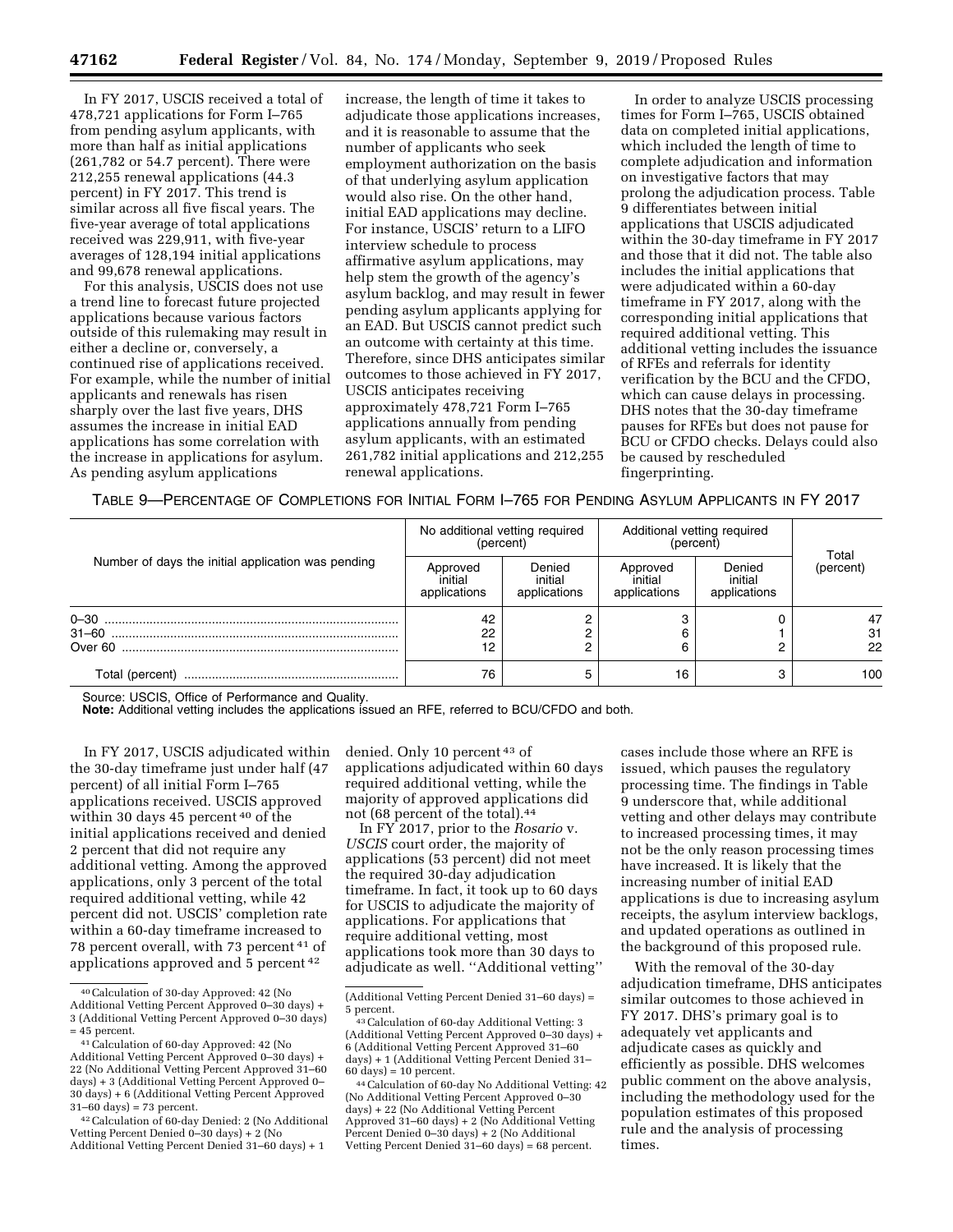In FY 2017, USCIS received a total of 478,721 applications for Form I–765 from pending asylum applicants, with more than half as initial applications (261,782 or 54.7 percent). There were 212,255 renewal applications (44.3 percent) in FY 2017. This trend is similar across all five fiscal years. The five-year average of total applications received was 229,911, with five-year averages of 128,194 initial applications and 99,678 renewal applications.

For this analysis, USCIS does not use a trend line to forecast future projected applications because various factors outside of this rulemaking may result in either a decline or, conversely, a continued rise of applications received. For example, while the number of initial applicants and renewals has risen sharply over the last five years, DHS assumes the increase in initial EAD applications has some correlation with the increase in applications for asylum. As pending asylum applications

increase, the length of time it takes to adjudicate those applications increases, and it is reasonable to assume that the number of applicants who seek employment authorization on the basis of that underlying asylum application would also rise. On the other hand, initial EAD applications may decline. For instance, USCIS' return to a LIFO interview schedule to process affirmative asylum applications, may help stem the growth of the agency's asylum backlog, and may result in fewer pending asylum applicants applying for an EAD. But USCIS cannot predict such an outcome with certainty at this time. Therefore, since DHS anticipates similar outcomes to those achieved in FY 2017, USCIS anticipates receiving approximately 478,721 Form I–765 applications annually from pending asylum applicants, with an estimated 261,782 initial applications and 212,255 renewal applications.

In order to analyze USCIS processing times for Form I–765, USCIS obtained data on completed initial applications, which included the length of time to complete adjudication and information on investigative factors that may prolong the adjudication process. Table 9 differentiates between initial applications that USCIS adjudicated within the 30-day timeframe in FY 2017 and those that it did not. The table also includes the initial applications that were adjudicated within a 60-day timeframe in FY 2017, along with the corresponding initial applications that required additional vetting. This additional vetting includes the issuance of RFEs and referrals for identity verification by the BCU and the CFDO, which can cause delays in processing. DHS notes that the 30-day timeframe pauses for RFEs but does not pause for BCU or CFDO checks. Delays could also be caused by rescheduled fingerprinting.

TABLE 9—PERCENTAGE OF COMPLETIONS FOR INITIAL FORM I–765 FOR PENDING ASYLUM APPLICANTS IN FY 2017

| Number of days the initial application was pending | No additional vetting required<br>(percent) |                                   | Additional vetting required<br>(percent) |                                   |                    |
|----------------------------------------------------|---------------------------------------------|-----------------------------------|------------------------------------------|-----------------------------------|--------------------|
|                                                    | Approved<br>initial<br>applications         | Denied<br>initial<br>applications | Approved<br>initial<br>applications      | Denied<br>initial<br>applications | Total<br>(percent) |
|                                                    | 42<br>22<br>12                              |                                   | 6                                        |                                   | 47<br>31<br>22     |
| Total (percent)                                    | 76                                          |                                   | 16                                       |                                   | 100                |

Source: USCIS, Office of Performance and Quality.

**Note:** Additional vetting includes the applications issued an RFE, referred to BCU/CFDO and both.

In FY 2017, USCIS adjudicated within the 30-day timeframe just under half (47 percent) of all initial Form I–765 applications received. USCIS approved within 30 days 45 percent 40 of the initial applications received and denied 2 percent that did not require any additional vetting. Among the approved applications, only 3 percent of the total required additional vetting, while 42 percent did not. USCIS' completion rate within a 60-day timeframe increased to 78 percent overall, with 73 percent 41 of applications approved and 5 percent 42

denied. Only 10 percent 43 of applications adjudicated within 60 days required additional vetting, while the majority of approved applications did not (68 percent of the total).44

In FY 2017, prior to the *Rosario* v. *USCIS* court order, the majority of applications (53 percent) did not meet the required 30-day adjudication timeframe. In fact, it took up to 60 days for USCIS to adjudicate the majority of applications. For applications that require additional vetting, most applications took more than 30 days to adjudicate as well. ''Additional vetting''

44 Calculation of 60-day No Additional Vetting: 42 (No Additional Vetting Percent Approved 0–30 days) + 22 (No Additional Vetting Percent Approved 31–60 days) + 2 (No Additional Vetting Percent Denied 0–30 days) + 2 (No Additional Vetting Percent Denied 31–60 days) = 68 percent.

cases include those where an RFE is issued, which pauses the regulatory processing time. The findings in Table 9 underscore that, while additional vetting and other delays may contribute to increased processing times, it may not be the only reason processing times have increased. It is likely that the increasing number of initial EAD applications is due to increasing asylum receipts, the asylum interview backlogs, and updated operations as outlined in the background of this proposed rule.

With the removal of the 30-day adjudication timeframe, DHS anticipates similar outcomes to those achieved in FY 2017. DHS's primary goal is to adequately vet applicants and adjudicate cases as quickly and efficiently as possible. DHS welcomes public comment on the above analysis, including the methodology used for the population estimates of this proposed rule and the analysis of processing times.

<sup>40</sup>Calculation of 30-day Approved: 42 (No Additional Vetting Percent Approved 0–30 days) + 3 (Additional Vetting Percent Approved 0–30 days)  $= 45$  percent.

<sup>41</sup>Calculation of 60-day Approved: 42 (No Additional Vetting Percent Approved 0–30 days) + 22 (No Additional Vetting Percent Approved 31–60 days) + 3 (Additional Vetting Percent Approved 0– 30 days) + 6 (Additional Vetting Percent Approved 31–60 days) = 73 percent.

<sup>42</sup>Calculation of 60-day Denied: 2 (No Additional Vetting Percent Denied 0–30 days) + 2 (No Additional Vetting Percent Denied 31–60 days) + 1

<sup>(</sup>Additional Vetting Percent Denied 31–60 days) =

<sup>&</sup>lt;sup>43</sup> Calculation of 60-day Additional Vetting: 3 (Additional Vetting Percent Approved 0–30 days) + 6 (Additional Vetting Percent Approved 31–60 days) + 1 (Additional Vetting Percent Denied 31-60 days) = 10 percent.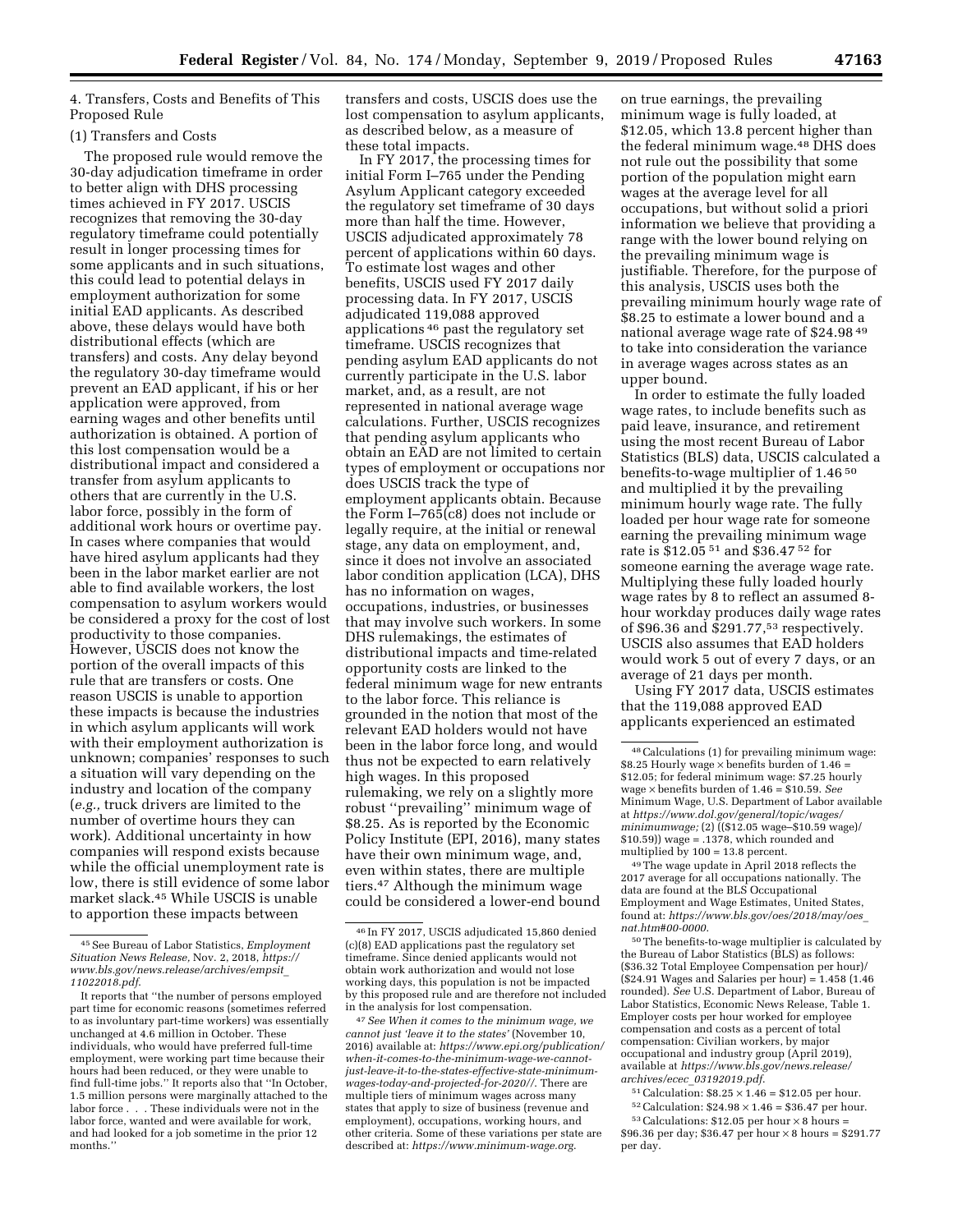4. Transfers, Costs and Benefits of This Proposed Rule

#### (1) Transfers and Costs

The proposed rule would remove the 30-day adjudication timeframe in order to better align with DHS processing times achieved in FY 2017. USCIS recognizes that removing the 30-day regulatory timeframe could potentially result in longer processing times for some applicants and in such situations, this could lead to potential delays in employment authorization for some initial EAD applicants. As described above, these delays would have both distributional effects (which are transfers) and costs. Any delay beyond the regulatory 30-day timeframe would prevent an EAD applicant, if his or her application were approved, from earning wages and other benefits until authorization is obtained. A portion of this lost compensation would be a distributional impact and considered a transfer from asylum applicants to others that are currently in the U.S. labor force, possibly in the form of additional work hours or overtime pay. In cases where companies that would have hired asylum applicants had they been in the labor market earlier are not able to find available workers, the lost compensation to asylum workers would be considered a proxy for the cost of lost productivity to those companies. However, USCIS does not know the portion of the overall impacts of this rule that are transfers or costs. One reason USCIS is unable to apportion these impacts is because the industries in which asylum applicants will work with their employment authorization is unknown; companies' responses to such a situation will vary depending on the industry and location of the company (*e.g.,* truck drivers are limited to the number of overtime hours they can work). Additional uncertainty in how companies will respond exists because while the official unemployment rate is low, there is still evidence of some labor market slack.45 While USCIS is unable to apportion these impacts between

transfers and costs, USCIS does use the lost compensation to asylum applicants, as described below, as a measure of these total impacts.

In FY 2017, the processing times for initial Form I–765 under the Pending Asylum Applicant category exceeded the regulatory set timeframe of 30 days more than half the time. However, USCIS adjudicated approximately 78 percent of applications within 60 days. To estimate lost wages and other benefits, USCIS used FY 2017 daily processing data. In FY 2017, USCIS adjudicated 119,088 approved applications 46 past the regulatory set timeframe. USCIS recognizes that pending asylum EAD applicants do not currently participate in the U.S. labor market, and, as a result, are not represented in national average wage calculations. Further, USCIS recognizes that pending asylum applicants who obtain an EAD are not limited to certain types of employment or occupations nor does USCIS track the type of employment applicants obtain. Because the Form I–765(c8) does not include or legally require, at the initial or renewal stage, any data on employment, and, since it does not involve an associated labor condition application (LCA), DHS has no information on wages, occupations, industries, or businesses that may involve such workers. In some DHS rulemakings, the estimates of distributional impacts and time-related opportunity costs are linked to the federal minimum wage for new entrants to the labor force. This reliance is grounded in the notion that most of the relevant EAD holders would not have been in the labor force long, and would thus not be expected to earn relatively high wages. In this proposed rulemaking, we rely on a slightly more robust ''prevailing'' minimum wage of \$8.25. As is reported by the Economic Policy Institute (EPI, 2016), many states have their own minimum wage, and, even within states, there are multiple tiers.47 Although the minimum wage could be considered a lower-end bound

47*See When it comes to the minimum wage, we cannot just 'leave it to the states'* (November 10, 2016) available at: *[https://www.epi.org/publication/](https://www.epi.org/publication/when-it-comes-to-the-minimum-wage-we-cannot-just-leave-it-to-the-states-effective-state-minimum-wages-today-and-projected-for-2020//)  [when-it-comes-to-the-minimum-wage-we-cannot](https://www.epi.org/publication/when-it-comes-to-the-minimum-wage-we-cannot-just-leave-it-to-the-states-effective-state-minimum-wages-today-and-projected-for-2020//)[just-leave-it-to-the-states-effective-state-minimum](https://www.epi.org/publication/when-it-comes-to-the-minimum-wage-we-cannot-just-leave-it-to-the-states-effective-state-minimum-wages-today-and-projected-for-2020//)[wages-today-and-projected-for-2020//](https://www.epi.org/publication/when-it-comes-to-the-minimum-wage-we-cannot-just-leave-it-to-the-states-effective-state-minimum-wages-today-and-projected-for-2020//)*. There are multiple tiers of minimum wages across many states that apply to size of business (revenue and employment), occupations, working hours, and other criteria. Some of these variations per state are described at: *<https://www.minimum-wage.org>*.

on true earnings, the prevailing minimum wage is fully loaded, at \$12.05, which 13.8 percent higher than the federal minimum wage.48 DHS does not rule out the possibility that some portion of the population might earn wages at the average level for all occupations, but without solid a priori information we believe that providing a range with the lower bound relying on the prevailing minimum wage is justifiable. Therefore, for the purpose of this analysis, USCIS uses both the prevailing minimum hourly wage rate of \$8.25 to estimate a lower bound and a national average wage rate of \$24.98 49 to take into consideration the variance in average wages across states as an upper bound.

In order to estimate the fully loaded wage rates, to include benefits such as paid leave, insurance, and retirement using the most recent Bureau of Labor Statistics (BLS) data, USCIS calculated a benefits-to-wage multiplier of 1.46 50 and multiplied it by the prevailing minimum hourly wage rate. The fully loaded per hour wage rate for someone earning the prevailing minimum wage rate is \$12.05 51 and \$36.47 52 for someone earning the average wage rate. Multiplying these fully loaded hourly wage rates by 8 to reflect an assumed 8 hour workday produces daily wage rates of \$96.36 and \$291.77,53 respectively. USCIS also assumes that EAD holders would work 5 out of every 7 days, or an average of 21 days per month.

Using FY 2017 data, USCIS estimates that the 119,088 approved EAD applicants experienced an estimated

49The wage update in April 2018 reflects the 2017 average for all occupations nationally. The data are found at the BLS Occupational Employment and Wage Estimates, United States, found at: *[https://www.bls.gov/oes/2018/may/oes](https://www.bls.gov/oes/2018/may/oes_nat.htm#00-0000)*\_ *[nat.htm#00-0000](https://www.bls.gov/oes/2018/may/oes_nat.htm#00-0000)*.

50The benefits-to-wage multiplier is calculated by the Bureau of Labor Statistics (BLS) as follows: (\$36.32 Total Employee Compensation per hour)/ (\$24.91 Wages and Salaries per hour) = 1.458 (1.46 rounded). *See* U.S. Department of Labor, Bureau of Labor Statistics, Economic News Release, Table 1. Employer costs per hour worked for employee compensation and costs as a percent of total compensation: Civilian workers, by major occupational and industry group (April 2019), available at *[https://www.bls.gov/news.release/](https://www.bls.gov/news.release/archives/ecec_03192019.pdf) archives/ecec*\_*[03192019.pdf](https://www.bls.gov/news.release/archives/ecec_03192019.pdf)*.

- $51$  Calculation:  $$8.25 \times 1.46 = $12.05$  per hour.
- $^{52}$  Calculation:  $$24.98\times1.46=\$36.47$  per hour.  $53$  Calculations: \$12.05 per hour  $\times$  8 hours =

<sup>45</sup>See Bureau of Labor Statistics, *Employment Situation News Release,* Nov. 2, 2018, *[https://](https://www.bls.gov/news.release/archives/empsit_11022018.pdf) [www.bls.gov/news.release/archives/empsit](https://www.bls.gov/news.release/archives/empsit_11022018.pdf)*\_ *[11022018.pdf](https://www.bls.gov/news.release/archives/empsit_11022018.pdf)*.

It reports that ''the number of persons employed part time for economic reasons (sometimes referred to as involuntary part-time workers) was essentially unchanged at 4.6 million in October. These individuals, who would have preferred full-time employment, were working part time because their hours had been reduced, or they were unable to find full-time jobs.'' It reports also that ''In October, 1.5 million persons were marginally attached to the labor force . . . These individuals were not in the labor force, wanted and were available for work, and had looked for a job sometime in the prior 12 months.''

<sup>46</sup> In FY 2017, USCIS adjudicated 15,860 denied (c)(8) EAD applications past the regulatory set timeframe. Since denied applicants would not obtain work authorization and would not lose working days, this population is not be impacted by this proposed rule and are therefore not included in the analysis for lost compensation.

<sup>48</sup>Calculations (1) for prevailing minimum wage: \$8.25 Hourly wage  $\times$  benefits burden of 1.46 = \$12.05; for federal minimum wage: \$7.25 hourly wage × benefits burden of 1.46 = \$10.59. *See*  Minimum Wage, U.S. Department of Labor available at *[https://www.dol.gov/general/topic/wages/](https://www.dol.gov/general/topic/wages/minimumwage)  [minimumwage;](https://www.dol.gov/general/topic/wages/minimumwage)* (2) ((\$12.05 wage–\$10.59 wage)/ \$10.59)) wage = .1378, which rounded and multiplied by 100 = 13.8 percent.

<sup>\$96.36</sup> per day; \$36.47 per hour  $\times$  8 hours = \$291.77 per day.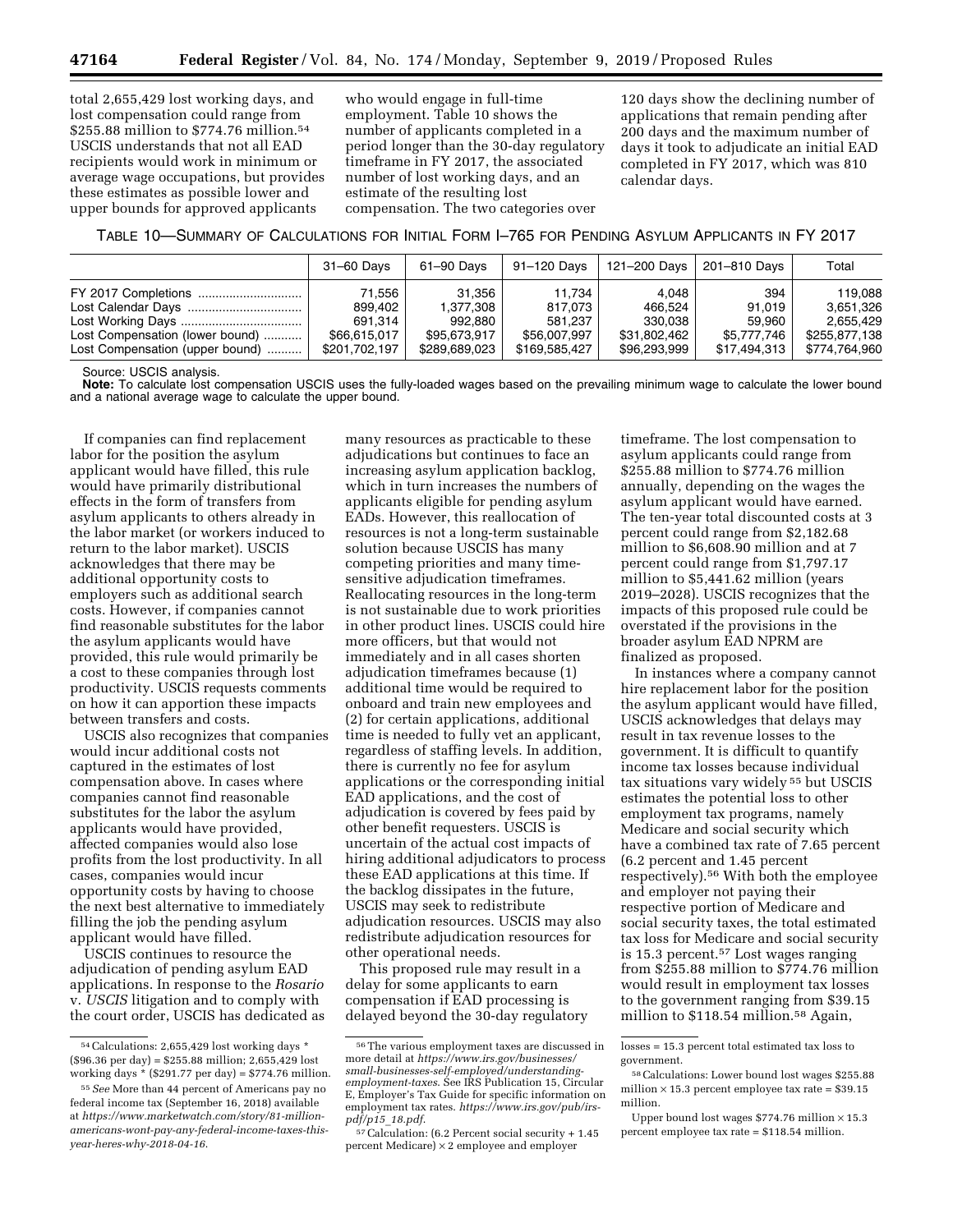total 2,655,429 lost working days, and lost compensation could range from \$255.88 million to \$774.76 million.54 USCIS understands that not all EAD recipients would work in minimum or average wage occupations, but provides these estimates as possible lower and upper bounds for approved applicants

who would engage in full-time employment. Table 10 shows the number of applicants completed in a period longer than the 30-day regulatory timeframe in FY 2017, the associated number of lost working days, and an estimate of the resulting lost compensation. The two categories over

120 days show the declining number of applications that remain pending after 200 days and the maximum number of days it took to adjudicate an initial EAD completed in FY 2017, which was 810 calendar days.

TABLE 10—SUMMARY OF CALCULATIONS FOR INITIAL FORM I–765 FOR PENDING ASYLUM APPLICANTS IN FY 2017

|                                 | 31–60 Days    | 61-90 Days    | 91-120 Davs   | 121–200 Days | 201–810 Davs | Total         |
|---------------------------------|---------------|---------------|---------------|--------------|--------------|---------------|
|                                 | 71.556        | 31.356        | 11.734        | 4.048        | 394          | 119.088       |
|                                 | 899.402       | 1.377.308     | 817.073       | 466.524      | 91.019       | 3.651.326     |
|                                 | 691.314       | 992.880       | 581.237       | 330.038      | 59.960       | 2.655.429     |
| Lost Compensation (lower bound) | \$66,615,017  | \$95.673.917  | \$56,007,997  | \$31,802,462 | \$5,777,746  | \$255,877,138 |
| Lost Compensation (upper bound) | \$201,702,197 | \$289,689,023 | \$169,585,427 | \$96,293,999 | \$17,494,313 | \$774,764,960 |

Source: USCIS analysis.

Note: To calculate lost compensation USCIS uses the fully-loaded wages based on the prevailing minimum wage to calculate the lower bound and a national average wage to calculate the upper bound.

If companies can find replacement labor for the position the asylum applicant would have filled, this rule would have primarily distributional effects in the form of transfers from asylum applicants to others already in the labor market (or workers induced to return to the labor market). USCIS acknowledges that there may be additional opportunity costs to employers such as additional search costs. However, if companies cannot find reasonable substitutes for the labor the asylum applicants would have provided, this rule would primarily be a cost to these companies through lost productivity. USCIS requests comments on how it can apportion these impacts between transfers and costs.

USCIS also recognizes that companies would incur additional costs not captured in the estimates of lost compensation above. In cases where companies cannot find reasonable substitutes for the labor the asylum applicants would have provided, affected companies would also lose profits from the lost productivity. In all cases, companies would incur opportunity costs by having to choose the next best alternative to immediately filling the job the pending asylum applicant would have filled.

USCIS continues to resource the adjudication of pending asylum EAD applications. In response to the *Rosario*  v. *USCIS* litigation and to comply with the court order, USCIS has dedicated as

many resources as practicable to these adjudications but continues to face an increasing asylum application backlog, which in turn increases the numbers of applicants eligible for pending asylum EADs. However, this reallocation of resources is not a long-term sustainable solution because USCIS has many competing priorities and many timesensitive adjudication timeframes. Reallocating resources in the long-term is not sustainable due to work priorities in other product lines. USCIS could hire more officers, but that would not immediately and in all cases shorten adjudication timeframes because (1) additional time would be required to onboard and train new employees and (2) for certain applications, additional time is needed to fully vet an applicant, regardless of staffing levels. In addition, there is currently no fee for asylum applications or the corresponding initial EAD applications, and the cost of adjudication is covered by fees paid by other benefit requesters. USCIS is uncertain of the actual cost impacts of hiring additional adjudicators to process these EAD applications at this time. If the backlog dissipates in the future, USCIS may seek to redistribute adjudication resources. USCIS may also redistribute adjudication resources for other operational needs.

This proposed rule may result in a delay for some applicants to earn compensation if EAD processing is delayed beyond the 30-day regulatory

timeframe. The lost compensation to asylum applicants could range from \$255.88 million to \$774.76 million annually, depending on the wages the asylum applicant would have earned. The ten-year total discounted costs at 3 percent could range from \$2,182.68 million to \$6,608.90 million and at 7 percent could range from \$1,797.17 million to \$5,441.62 million (years 2019–2028). USCIS recognizes that the impacts of this proposed rule could be overstated if the provisions in the broader asylum EAD NPRM are finalized as proposed.

In instances where a company cannot hire replacement labor for the position the asylum applicant would have filled, USCIS acknowledges that delays may result in tax revenue losses to the government. It is difficult to quantify income tax losses because individual tax situations vary widely 55 but USCIS estimates the potential loss to other employment tax programs, namely Medicare and social security which have a combined tax rate of 7.65 percent (6.2 percent and 1.45 percent respectively).56 With both the employee and employer not paying their respective portion of Medicare and social security taxes, the total estimated tax loss for Medicare and social security is 15.3 percent.57 Lost wages ranging from \$255.88 million to \$774.76 million would result in employment tax losses to the government ranging from \$39.15 million to \$118.54 million.58 Again,

<sup>54</sup>Calculations: 2,655,429 lost working days \*  $($96.36\text{ per day}) = $255.88\text{ million}; 2,655,429\text{ lost}$ working days \* (\$291.77 per day) = \$774.76 million.

<sup>55</sup>*See* More than 44 percent of Americans pay no federal income tax (September 16, 2018) available at *[https://www.marketwatch.com/story/81-million](https://www.marketwatch.com/story/81-million-americans-wont-pay-any-federal-income-taxes-this-year-heres-why-2018-04-16)[americans-wont-pay-any-federal-income-taxes-this](https://www.marketwatch.com/story/81-million-americans-wont-pay-any-federal-income-taxes-this-year-heres-why-2018-04-16)[year-heres-why-2018-04-16](https://www.marketwatch.com/story/81-million-americans-wont-pay-any-federal-income-taxes-this-year-heres-why-2018-04-16)*.

<sup>56</sup>The various employment taxes are discussed in more detail at *[https://www.irs.gov/businesses/](https://www.irs.gov/businesses/small-businesses-self-employed/understanding-employment-taxes) [small-businesses-self-employed/understanding](https://www.irs.gov/businesses/small-businesses-self-employed/understanding-employment-taxes)[employment-taxes](https://www.irs.gov/businesses/small-businesses-self-employed/understanding-employment-taxes)*. See IRS Publication 15, Circular E, Employer's Tax Guide for specific information on employment tax rates. *[https://www.irs.gov/pub/irs](https://www.irs.gov/pub/irs-pdf/p15_18.pdf)[pdf/p15](https://www.irs.gov/pub/irs-pdf/p15_18.pdf)*\_*18.pdf*.

<sup>57</sup>Calculation: (6.2 Percent social security + 1.45 percent Medicare) × 2 employee and employer

losses = 15.3 percent total estimated tax loss to government.

<sup>58</sup>Calculations: Lower bound lost wages \$255.88 million  $\times$  15.3 percent employee tax rate = \$39.15 million.

Upper bound lost wages  $$774.76$  million  $\times$  15.3 percent employee tax rate = \$118.54 million.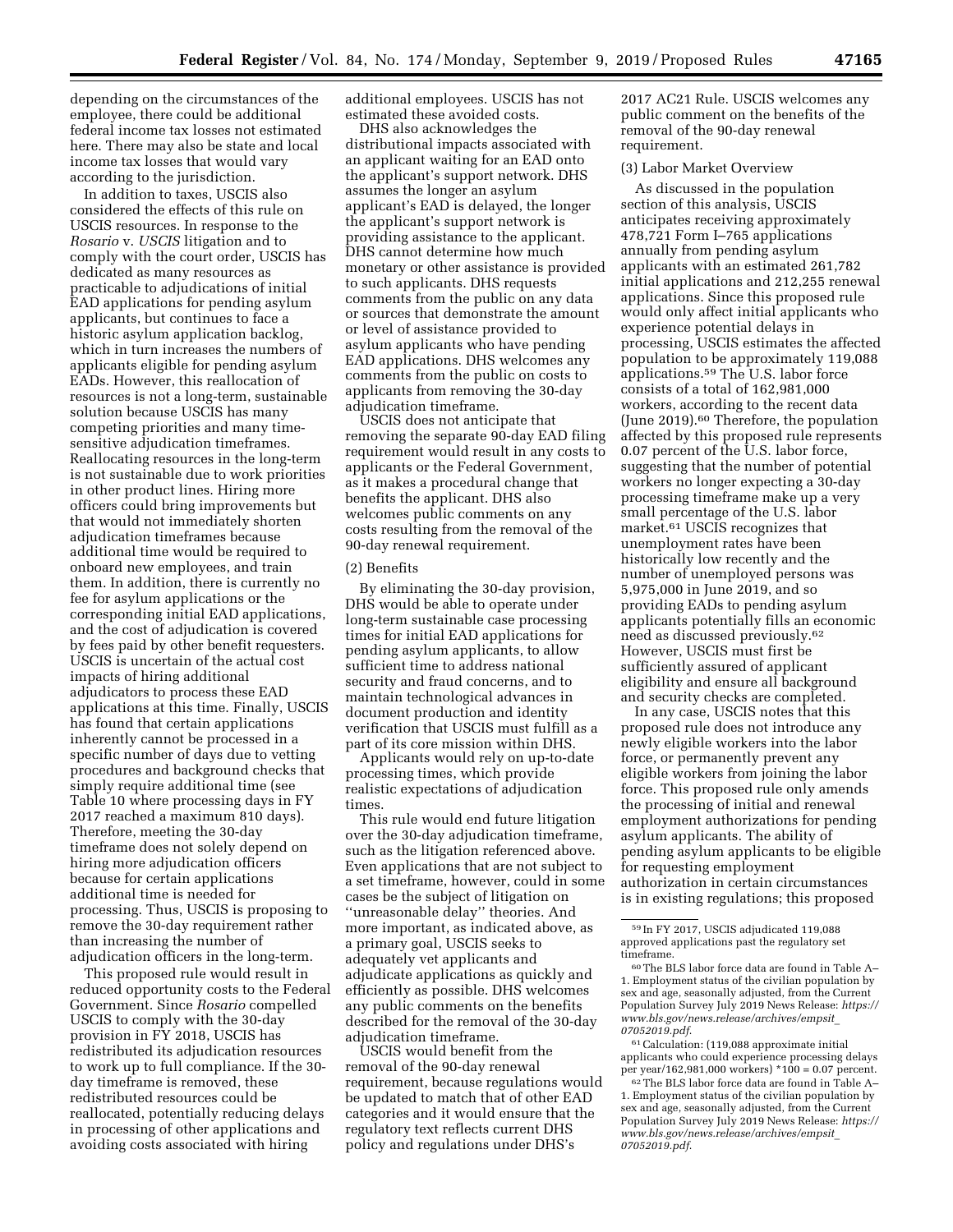depending on the circumstances of the employee, there could be additional federal income tax losses not estimated here. There may also be state and local income tax losses that would vary according to the jurisdiction.

In addition to taxes, USCIS also considered the effects of this rule on USCIS resources. In response to the *Rosario* v. *USCIS* litigation and to comply with the court order, USCIS has dedicated as many resources as practicable to adjudications of initial EAD applications for pending asylum applicants, but continues to face a historic asylum application backlog, which in turn increases the numbers of applicants eligible for pending asylum EADs. However, this reallocation of resources is not a long-term, sustainable solution because USCIS has many competing priorities and many timesensitive adjudication timeframes. Reallocating resources in the long-term is not sustainable due to work priorities in other product lines. Hiring more officers could bring improvements but that would not immediately shorten adjudication timeframes because additional time would be required to onboard new employees, and train them. In addition, there is currently no fee for asylum applications or the corresponding initial EAD applications, and the cost of adjudication is covered by fees paid by other benefit requesters. USCIS is uncertain of the actual cost impacts of hiring additional adjudicators to process these EAD applications at this time. Finally, USCIS has found that certain applications inherently cannot be processed in a specific number of days due to vetting procedures and background checks that simply require additional time (see Table 10 where processing days in FY 2017 reached a maximum 810 days). Therefore, meeting the 30-day timeframe does not solely depend on hiring more adjudication officers because for certain applications additional time is needed for processing. Thus, USCIS is proposing to remove the 30-day requirement rather than increasing the number of adjudication officers in the long-term.

This proposed rule would result in reduced opportunity costs to the Federal Government. Since *Rosario* compelled USCIS to comply with the 30-day provision in FY 2018, USCIS has redistributed its adjudication resources to work up to full compliance. If the 30 day timeframe is removed, these redistributed resources could be reallocated, potentially reducing delays in processing of other applications and avoiding costs associated with hiring

additional employees. USCIS has not estimated these avoided costs.

DHS also acknowledges the distributional impacts associated with an applicant waiting for an EAD onto the applicant's support network. DHS assumes the longer an asylum applicant's EAD is delayed, the longer the applicant's support network is providing assistance to the applicant. DHS cannot determine how much monetary or other assistance is provided to such applicants. DHS requests comments from the public on any data or sources that demonstrate the amount or level of assistance provided to asylum applicants who have pending EAD applications. DHS welcomes any comments from the public on costs to applicants from removing the 30-day adjudication timeframe.

USCIS does not anticipate that removing the separate 90-day EAD filing requirement would result in any costs to applicants or the Federal Government, as it makes a procedural change that benefits the applicant. DHS also welcomes public comments on any costs resulting from the removal of the 90-day renewal requirement.

#### (2) Benefits

By eliminating the 30-day provision, DHS would be able to operate under long-term sustainable case processing times for initial EAD applications for pending asylum applicants, to allow sufficient time to address national security and fraud concerns, and to maintain technological advances in document production and identity verification that USCIS must fulfill as a part of its core mission within DHS.

Applicants would rely on up-to-date processing times, which provide realistic expectations of adjudication times.

This rule would end future litigation over the 30-day adjudication timeframe, such as the litigation referenced above. Even applications that are not subject to a set timeframe, however, could in some cases be the subject of litigation on ''unreasonable delay'' theories. And more important, as indicated above, as a primary goal, USCIS seeks to adequately vet applicants and adjudicate applications as quickly and efficiently as possible. DHS welcomes any public comments on the benefits described for the removal of the 30-day adjudication timeframe.

USCIS would benefit from the removal of the 90-day renewal requirement, because regulations would be updated to match that of other EAD categories and it would ensure that the regulatory text reflects current DHS policy and regulations under DHS's

2017 AC21 Rule. USCIS welcomes any public comment on the benefits of the removal of the 90-day renewal requirement.

#### (3) Labor Market Overview

As discussed in the population section of this analysis, USCIS anticipates receiving approximately 478,721 Form I–765 applications annually from pending asylum applicants with an estimated 261,782 initial applications and 212,255 renewal applications. Since this proposed rule would only affect initial applicants who experience potential delays in processing, USCIS estimates the affected population to be approximately 119,088 applications.59 The U.S. labor force consists of a total of 162,981,000 workers, according to the recent data (June 2019).60 Therefore, the population affected by this proposed rule represents 0.07 percent of the U.S. labor force, suggesting that the number of potential workers no longer expecting a 30-day processing timeframe make up a very small percentage of the U.S. labor market.61 USCIS recognizes that unemployment rates have been historically low recently and the number of unemployed persons was 5,975,000 in June 2019, and so providing EADs to pending asylum applicants potentially fills an economic need as discussed previously.62 However, USCIS must first be sufficiently assured of applicant eligibility and ensure all background and security checks are completed.

In any case, USCIS notes that this proposed rule does not introduce any newly eligible workers into the labor force, or permanently prevent any eligible workers from joining the labor force. This proposed rule only amends the processing of initial and renewal employment authorizations for pending asylum applicants. The ability of pending asylum applicants to be eligible for requesting employment authorization in certain circumstances is in existing regulations; this proposed

61Calculation: (119,088 approximate initial applicants who could experience processing delays per year/162,981,000 workers) \*100 = 0.07 percent.

<sup>59</sup> In FY 2017, USCIS adjudicated 119,088 approved applications past the regulatory set timeframe.

<sup>60</sup>The BLS labor force data are found in Table A– 1. Employment status of the civilian population by sex and age, seasonally adjusted, from the Current Population Survey July 2019 News Release: *[https://](https://www.bls.gov/news.release/archives/empsit_07052019.pdf)  [www.bls.gov/news.release/archives/empsit](https://www.bls.gov/news.release/archives/empsit_07052019.pdf)*\_ *[07052019.pdf](https://www.bls.gov/news.release/archives/empsit_07052019.pdf)*.

<sup>62</sup>The BLS labor force data are found in Table A– 1. Employment status of the civilian population by sex and age, seasonally adjusted, from the Current Population Survey July 2019 News Release: *[https://](https://www.bls.gov/news.release/archives/empsit_07052019.pdf)  [www.bls.gov/news.release/archives/empsit](https://www.bls.gov/news.release/archives/empsit_07052019.pdf)*\_ *[07052019.pdf](https://www.bls.gov/news.release/archives/empsit_07052019.pdf)*.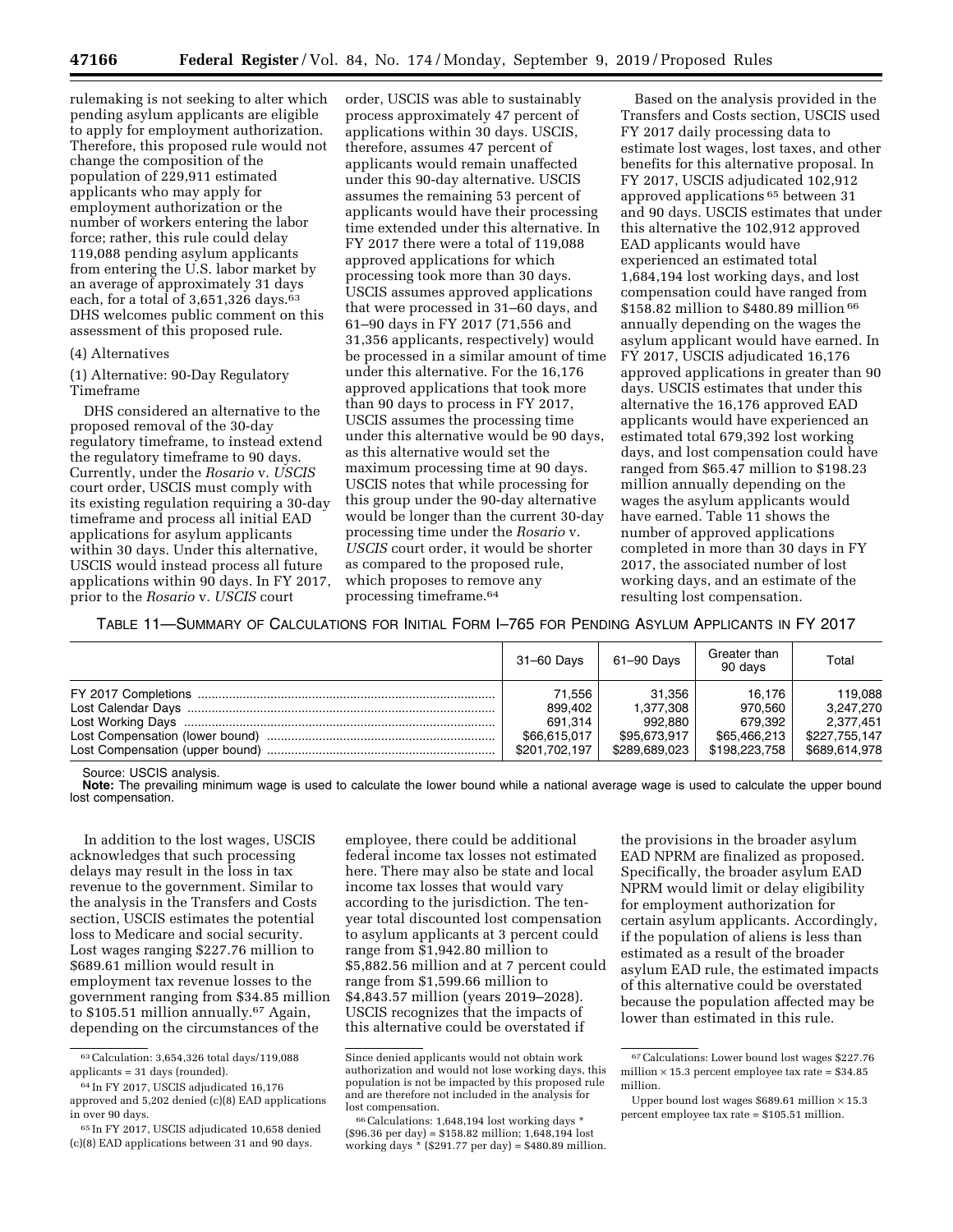rulemaking is not seeking to alter which pending asylum applicants are eligible to apply for employment authorization. Therefore, this proposed rule would not change the composition of the population of 229,911 estimated applicants who may apply for employment authorization or the number of workers entering the labor force; rather, this rule could delay 119,088 pending asylum applicants from entering the U.S. labor market by an average of approximately 31 days each, for a total of 3,651,326 days.<sup>63</sup> DHS welcomes public comment on this assessment of this proposed rule.

## (4) Alternatives

(1) Alternative: 90-Day Regulatory Timeframe

DHS considered an alternative to the proposed removal of the 30-day regulatory timeframe, to instead extend the regulatory timeframe to 90 days. Currently, under the *Rosario* v. *USCIS*  court order, USCIS must comply with its existing regulation requiring a 30-day timeframe and process all initial EAD applications for asylum applicants within 30 days. Under this alternative, USCIS would instead process all future applications within 90 days. In FY 2017, prior to the *Rosario* v. *USCIS* court

order, USCIS was able to sustainably process approximately 47 percent of applications within 30 days. USCIS, therefore, assumes 47 percent of applicants would remain unaffected under this 90-day alternative. USCIS assumes the remaining 53 percent of applicants would have their processing time extended under this alternative. In FY 2017 there were a total of 119,088 approved applications for which processing took more than 30 days. USCIS assumes approved applications that were processed in 31–60 days, and 61–90 days in FY 2017 (71,556 and 31,356 applicants, respectively) would be processed in a similar amount of time under this alternative. For the 16,176 approved applications that took more than 90 days to process in FY 2017, USCIS assumes the processing time under this alternative would be 90 days, as this alternative would set the maximum processing time at 90 days. USCIS notes that while processing for this group under the 90-day alternative would be longer than the current 30-day processing time under the *Rosario* v. *USCIS* court order, it would be shorter as compared to the proposed rule, which proposes to remove any processing timeframe.64

Based on the analysis provided in the Transfers and Costs section, USCIS used FY 2017 daily processing data to estimate lost wages, lost taxes, and other benefits for this alternative proposal. In FY 2017, USCIS adjudicated 102,912 approved applications 65 between 31 and 90 days. USCIS estimates that under this alternative the 102,912 approved EAD applicants would have experienced an estimated total 1,684,194 lost working days, and lost compensation could have ranged from \$158.82 million to \$480.89 million 66 annually depending on the wages the asylum applicant would have earned. In FY 2017, USCIS adjudicated 16,176 approved applications in greater than 90 days. USCIS estimates that under this alternative the 16,176 approved EAD applicants would have experienced an estimated total 679,392 lost working days, and lost compensation could have ranged from \$65.47 million to \$198.23 million annually depending on the wages the asylum applicants would have earned. Table 11 shows the number of approved applications completed in more than 30 days in FY 2017, the associated number of lost working days, and an estimate of the resulting lost compensation.

TABLE 11—SUMMARY OF CALCULATIONS FOR INITIAL FORM I–765 FOR PENDING ASYLUM APPLICANTS IN FY 2017

| 31-60 Days    | 61-90 Days    | Greater than<br>90 davs | Total         |
|---------------|---------------|-------------------------|---------------|
| 71.556        | 31.356        | 16.176                  | 119.088       |
| 899.402       | 1,377,308     | 970.560                 | 3,247,270     |
| 691.314       | 992.880       | 679.392                 | 2.377.451     |
| \$66.615.017  | \$95.673.917  | \$65.466.213            | \$227.755.147 |
| \$201,702,197 | \$289,689,023 | \$198,223,758           | \$689,614,978 |

Source: USCIS analysis.

**Note:** The prevailing minimum wage is used to calculate the lower bound while a national average wage is used to calculate the upper bound lost compensation.

In addition to the lost wages, USCIS acknowledges that such processing delays may result in the loss in tax revenue to the government. Similar to the analysis in the Transfers and Costs section, USCIS estimates the potential loss to Medicare and social security. Lost wages ranging \$227.76 million to \$689.61 million would result in employment tax revenue losses to the government ranging from \$34.85 million to \$105.51 million annually.67 Again, depending on the circumstances of the

employee, there could be additional federal income tax losses not estimated here. There may also be state and local income tax losses that would vary according to the jurisdiction. The tenyear total discounted lost compensation to asylum applicants at 3 percent could range from \$1,942.80 million to \$5,882.56 million and at 7 percent could range from \$1,599.66 million to \$4,843.57 million (years 2019–2028). USCIS recognizes that the impacts of this alternative could be overstated if

the provisions in the broader asylum EAD NPRM are finalized as proposed. Specifically, the broader asylum EAD NPRM would limit or delay eligibility for employment authorization for certain asylum applicants. Accordingly, if the population of aliens is less than estimated as a result of the broader asylum EAD rule, the estimated impacts of this alternative could be overstated because the population affected may be lower than estimated in this rule.

<sup>63</sup>Calculation: 3,654,326 total days/119,088 applicants = 31 days (rounded).

<sup>64</sup> In FY 2017, USCIS adjudicated 16,176 approved and 5,202 denied (c)(8) EAD applications in over 90 days.

<sup>65</sup> In FY 2017, USCIS adjudicated 10,658 denied (c)(8) EAD applications between 31 and 90 days.

Since denied applicants would not obtain work authorization and would not lose working days, this population is not be impacted by this proposed rule and are therefore not included in the analysis for lost compensation.

<sup>66</sup>Calculations: 1,648,194 lost working days \* (\$96.36 per day) = \$158.82 million; 1,648,194 lost working days  $*(\$291.77$  per day) =  $\$480.89$  million.

<sup>67</sup>Calculations: Lower bound lost wages \$227.76 million  $\times$  15.3 percent employee tax rate = \$34.85 million.

Upper bound lost wages  $$689.61$  million  $\times$  15.3 percent employee tax rate = \$105.51 million.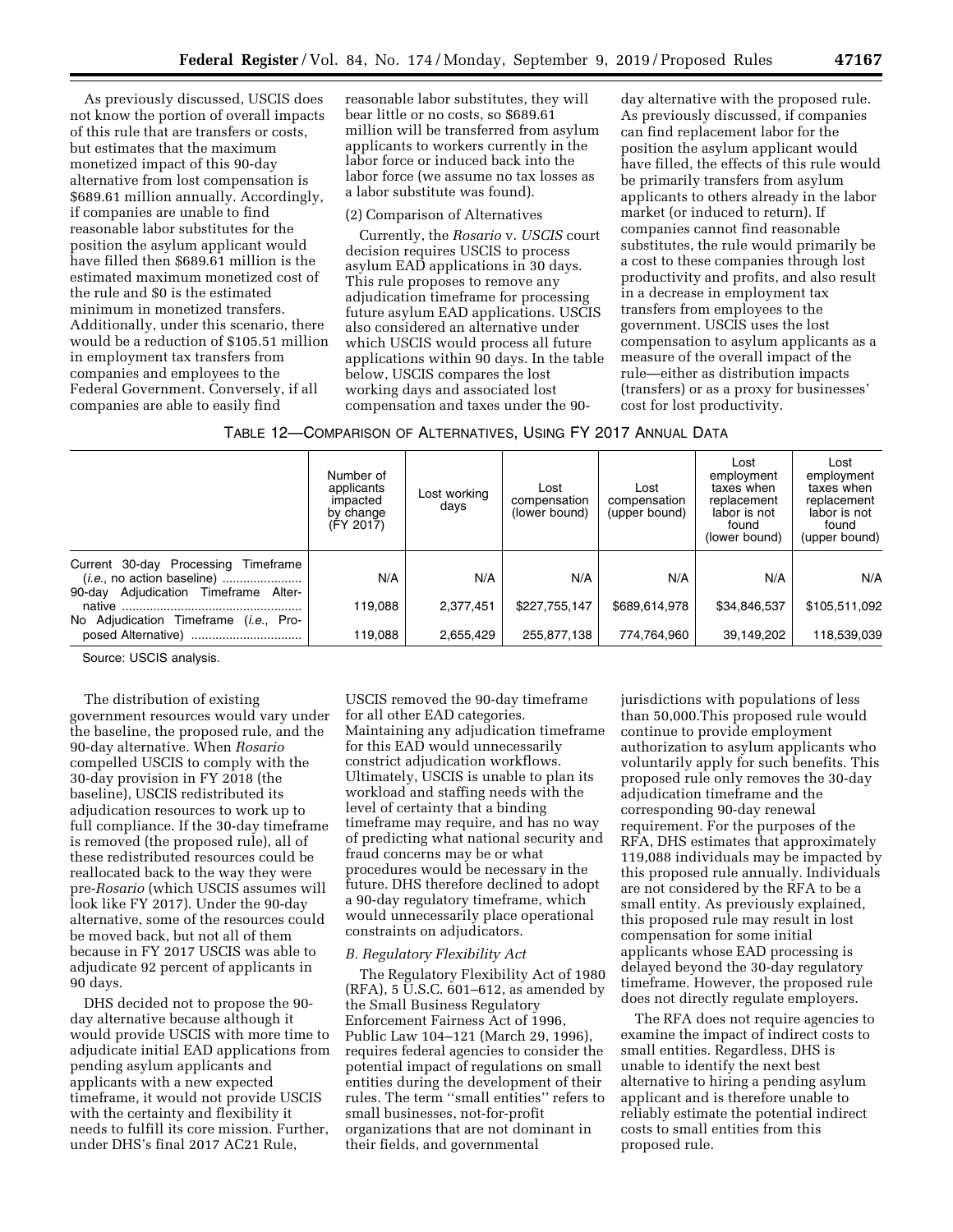As previously discussed, USCIS does not know the portion of overall impacts of this rule that are transfers or costs, but estimates that the maximum monetized impact of this 90-day alternative from lost compensation is \$689.61 million annually. Accordingly, if companies are unable to find reasonable labor substitutes for the position the asylum applicant would have filled then \$689.61 million is the estimated maximum monetized cost of the rule and \$0 is the estimated minimum in monetized transfers. Additionally, under this scenario, there would be a reduction of \$105.51 million in employment tax transfers from companies and employees to the Federal Government. Conversely, if all companies are able to easily find

reasonable labor substitutes, they will bear little or no costs, so \$689.61 million will be transferred from asylum applicants to workers currently in the labor force or induced back into the labor force (we assume no tax losses as a labor substitute was found).

## (2) Comparison of Alternatives

Currently, the *Rosario* v. *USCIS* court decision requires USCIS to process asylum EAD applications in 30 days. This rule proposes to remove any adjudication timeframe for processing future asylum EAD applications. USCIS also considered an alternative under which USCIS would process all future applications within 90 days. In the table below, USCIS compares the lost working days and associated lost compensation and taxes under the 90-

day alternative with the proposed rule. As previously discussed, if companies can find replacement labor for the position the asylum applicant would have filled, the effects of this rule would be primarily transfers from asylum applicants to others already in the labor market (or induced to return). If companies cannot find reasonable substitutes, the rule would primarily be a cost to these companies through lost productivity and profits, and also result in a decrease in employment tax transfers from employees to the government. USCIS uses the lost compensation to asylum applicants as a measure of the overall impact of the rule—either as distribution impacts (transfers) or as a proxy for businesses' cost for lost productivity.

| TABLE 12—COMPARISON OF ALTERNATIVES, USING FY 2017 ANNUAL DATA |  |
|----------------------------------------------------------------|--|
|----------------------------------------------------------------|--|

|                                                                                   | Number of<br>applicants<br>impacted<br>by change<br>(FY 2017) | Lost working<br>days | Lost<br>compensation<br>(lower bound) | Lost<br>compensation<br>(upper bound) | Lost<br>employment<br>taxes when<br>replacement<br>labor is not<br>found<br>(lower bound) | Lost<br>employment<br>taxes when<br>replacement<br>labor is not<br>found<br>(upper bound) |
|-----------------------------------------------------------------------------------|---------------------------------------------------------------|----------------------|---------------------------------------|---------------------------------------|-------------------------------------------------------------------------------------------|-------------------------------------------------------------------------------------------|
| Current 30-day Processing Timeframe<br>Adjudication Timeframe<br>Alter-<br>90-day | N/A<br>119.088                                                | N/A<br>2.377.451     | N/A<br>\$227,755,147                  | N/A<br>\$689.614.978                  | N/A<br>\$34,846,537                                                                       | N/A<br>\$105,511,092                                                                      |
| No Adjudication Timeframe ( <i>i.e.</i> , Pro-<br>posed Alternative)              | 119,088                                                       | 2,655,429            | 255,877,138                           | 774,764,960                           | 39,149,202                                                                                | 118,539,039                                                                               |

Source: USCIS analysis.

The distribution of existing government resources would vary under the baseline, the proposed rule, and the 90-day alternative. When *Rosario*  compelled USCIS to comply with the 30-day provision in FY 2018 (the baseline), USCIS redistributed its adjudication resources to work up to full compliance. If the 30-day timeframe is removed (the proposed rule), all of these redistributed resources could be reallocated back to the way they were pre-*Rosario* (which USCIS assumes will look like FY 2017). Under the 90-day alternative, some of the resources could be moved back, but not all of them because in FY 2017 USCIS was able to adjudicate 92 percent of applicants in 90 days.

DHS decided not to propose the 90 day alternative because although it would provide USCIS with more time to adjudicate initial EAD applications from pending asylum applicants and applicants with a new expected timeframe, it would not provide USCIS with the certainty and flexibility it needs to fulfill its core mission. Further, under DHS's final 2017 AC21 Rule,

USCIS removed the 90-day timeframe for all other EAD categories. Maintaining any adjudication timeframe for this EAD would unnecessarily constrict adjudication workflows. Ultimately, USCIS is unable to plan its workload and staffing needs with the level of certainty that a binding timeframe may require, and has no way of predicting what national security and fraud concerns may be or what procedures would be necessary in the future. DHS therefore declined to adopt a 90-day regulatory timeframe, which would unnecessarily place operational constraints on adjudicators.

#### *B. Regulatory Flexibility Act*

The Regulatory Flexibility Act of 1980  $(RFA)$ , 5 U.S.C. 601–612, as amended by the Small Business Regulatory Enforcement Fairness Act of 1996, Public Law 104–121 (March 29, 1996), requires federal agencies to consider the potential impact of regulations on small entities during the development of their rules. The term ''small entities'' refers to small businesses, not-for-profit organizations that are not dominant in their fields, and governmental

jurisdictions with populations of less than 50,000.This proposed rule would continue to provide employment authorization to asylum applicants who voluntarily apply for such benefits. This proposed rule only removes the 30-day adjudication timeframe and the corresponding 90-day renewal requirement. For the purposes of the RFA, DHS estimates that approximately 119,088 individuals may be impacted by this proposed rule annually. Individuals are not considered by the RFA to be a small entity. As previously explained, this proposed rule may result in lost compensation for some initial applicants whose EAD processing is delayed beyond the 30-day regulatory timeframe. However, the proposed rule does not directly regulate employers.

The RFA does not require agencies to examine the impact of indirect costs to small entities. Regardless, DHS is unable to identify the next best alternative to hiring a pending asylum applicant and is therefore unable to reliably estimate the potential indirect costs to small entities from this proposed rule.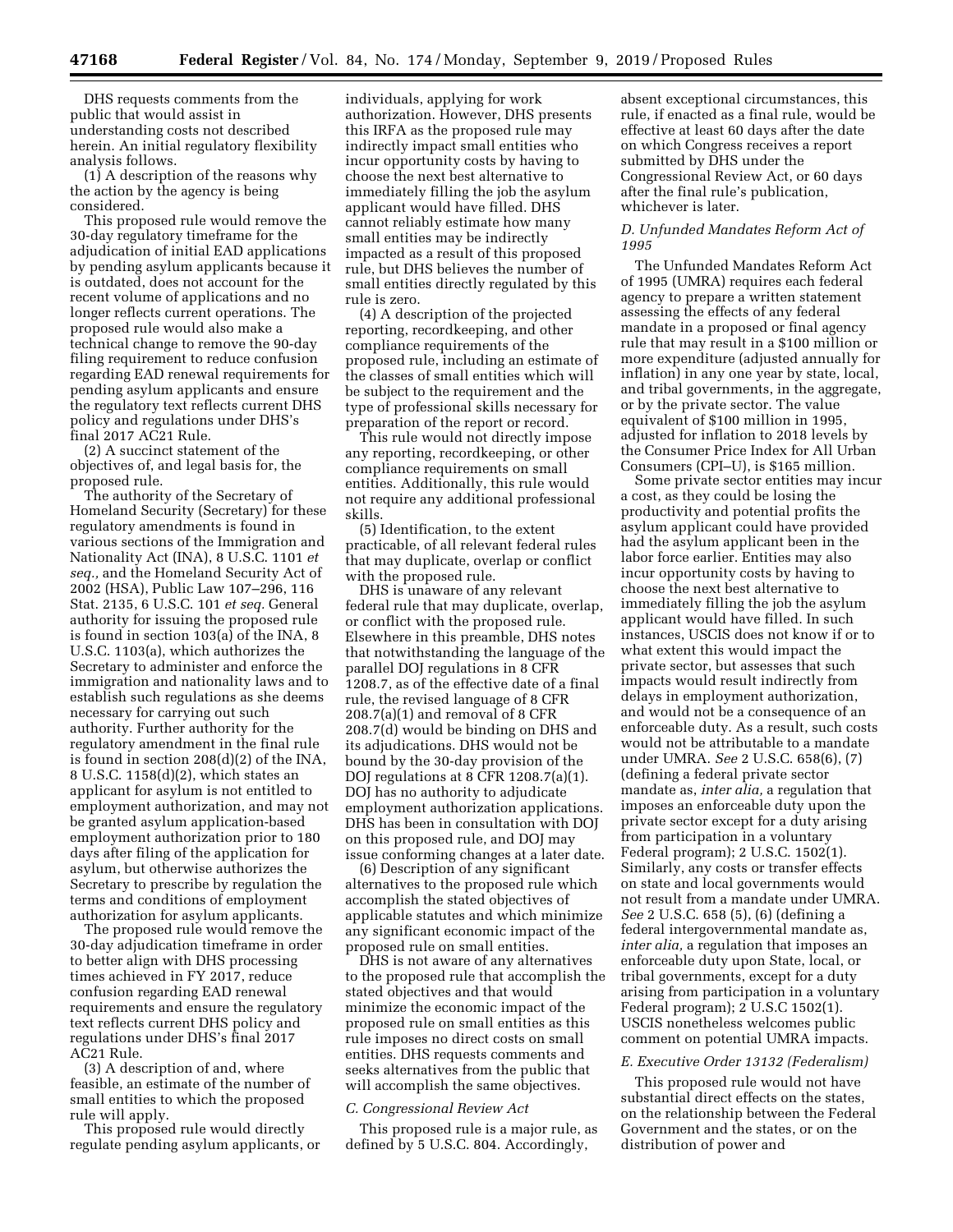DHS requests comments from the public that would assist in understanding costs not described herein. An initial regulatory flexibility analysis follows.

(1) A description of the reasons why the action by the agency is being considered.

This proposed rule would remove the 30-day regulatory timeframe for the adjudication of initial EAD applications by pending asylum applicants because it is outdated, does not account for the recent volume of applications and no longer reflects current operations. The proposed rule would also make a technical change to remove the 90-day filing requirement to reduce confusion regarding EAD renewal requirements for pending asylum applicants and ensure the regulatory text reflects current DHS policy and regulations under DHS's final 2017 AC21 Rule.

(2) A succinct statement of the objectives of, and legal basis for, the proposed rule.

The authority of the Secretary of Homeland Security (Secretary) for these regulatory amendments is found in various sections of the Immigration and Nationality Act (INA), 8 U.S.C. 1101 *et seq.,* and the Homeland Security Act of 2002 (HSA), Public Law 107–296, 116 Stat. 2135, 6 U.S.C. 101 *et seq.* General authority for issuing the proposed rule is found in section 103(a) of the INA, 8 U.S.C. 1103(a), which authorizes the Secretary to administer and enforce the immigration and nationality laws and to establish such regulations as she deems necessary for carrying out such authority. Further authority for the regulatory amendment in the final rule is found in section 208(d)(2) of the INA, 8 U.S.C. 1158(d)(2), which states an applicant for asylum is not entitled to employment authorization, and may not be granted asylum application-based employment authorization prior to 180 days after filing of the application for asylum, but otherwise authorizes the Secretary to prescribe by regulation the terms and conditions of employment authorization for asylum applicants.

The proposed rule would remove the 30-day adjudication timeframe in order to better align with DHS processing times achieved in FY 2017, reduce confusion regarding EAD renewal requirements and ensure the regulatory text reflects current DHS policy and regulations under DHS's final 2017 AC21 Rule.

(3) A description of and, where feasible, an estimate of the number of small entities to which the proposed rule will apply.

This proposed rule would directly regulate pending asylum applicants, or

individuals, applying for work authorization. However, DHS presents this IRFA as the proposed rule may indirectly impact small entities who incur opportunity costs by having to choose the next best alternative to immediately filling the job the asylum applicant would have filled. DHS cannot reliably estimate how many small entities may be indirectly impacted as a result of this proposed rule, but DHS believes the number of small entities directly regulated by this rule is zero.

(4) A description of the projected reporting, recordkeeping, and other compliance requirements of the proposed rule, including an estimate of the classes of small entities which will be subject to the requirement and the type of professional skills necessary for preparation of the report or record.

This rule would not directly impose any reporting, recordkeeping, or other compliance requirements on small entities. Additionally, this rule would not require any additional professional skills.

(5) Identification, to the extent practicable, of all relevant federal rules that may duplicate, overlap or conflict with the proposed rule.

DHS is unaware of any relevant federal rule that may duplicate, overlap, or conflict with the proposed rule. Elsewhere in this preamble, DHS notes that notwithstanding the language of the parallel DOJ regulations in 8 CFR 1208.7, as of the effective date of a final rule, the revised language of 8 CFR 208.7(a)(1) and removal of 8 CFR 208.7(d) would be binding on DHS and its adjudications. DHS would not be bound by the 30-day provision of the DOJ regulations at 8 CFR 1208.7(a)(1). DOJ has no authority to adjudicate employment authorization applications. DHS has been in consultation with DOJ on this proposed rule, and DOJ may issue conforming changes at a later date.

(6) Description of any significant alternatives to the proposed rule which accomplish the stated objectives of applicable statutes and which minimize any significant economic impact of the proposed rule on small entities.

DHS is not aware of any alternatives to the proposed rule that accomplish the stated objectives and that would minimize the economic impact of the proposed rule on small entities as this rule imposes no direct costs on small entities. DHS requests comments and seeks alternatives from the public that will accomplish the same objectives.

#### *C. Congressional Review Act*

This proposed rule is a major rule, as defined by 5 U.S.C. 804. Accordingly,

absent exceptional circumstances, this rule, if enacted as a final rule, would be effective at least 60 days after the date on which Congress receives a report submitted by DHS under the Congressional Review Act, or 60 days after the final rule's publication, whichever is later.

#### *D. Unfunded Mandates Reform Act of 1995*

The Unfunded Mandates Reform Act of 1995 (UMRA) requires each federal agency to prepare a written statement assessing the effects of any federal mandate in a proposed or final agency rule that may result in a \$100 million or more expenditure (adjusted annually for inflation) in any one year by state, local, and tribal governments, in the aggregate, or by the private sector. The value equivalent of \$100 million in 1995, adjusted for inflation to 2018 levels by the Consumer Price Index for All Urban Consumers (CPI–U), is \$165 million.

Some private sector entities may incur a cost, as they could be losing the productivity and potential profits the asylum applicant could have provided had the asylum applicant been in the labor force earlier. Entities may also incur opportunity costs by having to choose the next best alternative to immediately filling the job the asylum applicant would have filled. In such instances, USCIS does not know if or to what extent this would impact the private sector, but assesses that such impacts would result indirectly from delays in employment authorization, and would not be a consequence of an enforceable duty. As a result, such costs would not be attributable to a mandate under UMRA. *See* 2 U.S.C. 658(6), (7) (defining a federal private sector mandate as, *inter alia,* a regulation that imposes an enforceable duty upon the private sector except for a duty arising from participation in a voluntary Federal program); 2 U.S.C. 1502(1). Similarly, any costs or transfer effects on state and local governments would not result from a mandate under UMRA. *See* 2 U.S.C. 658 (5), (6) (defining a federal intergovernmental mandate as, *inter alia,* a regulation that imposes an enforceable duty upon State, local, or tribal governments, except for a duty arising from participation in a voluntary Federal program); 2 U.S.C 1502(1). USCIS nonetheless welcomes public comment on potential UMRA impacts.

#### *E. Executive Order 13132 (Federalism)*

This proposed rule would not have substantial direct effects on the states, on the relationship between the Federal Government and the states, or on the distribution of power and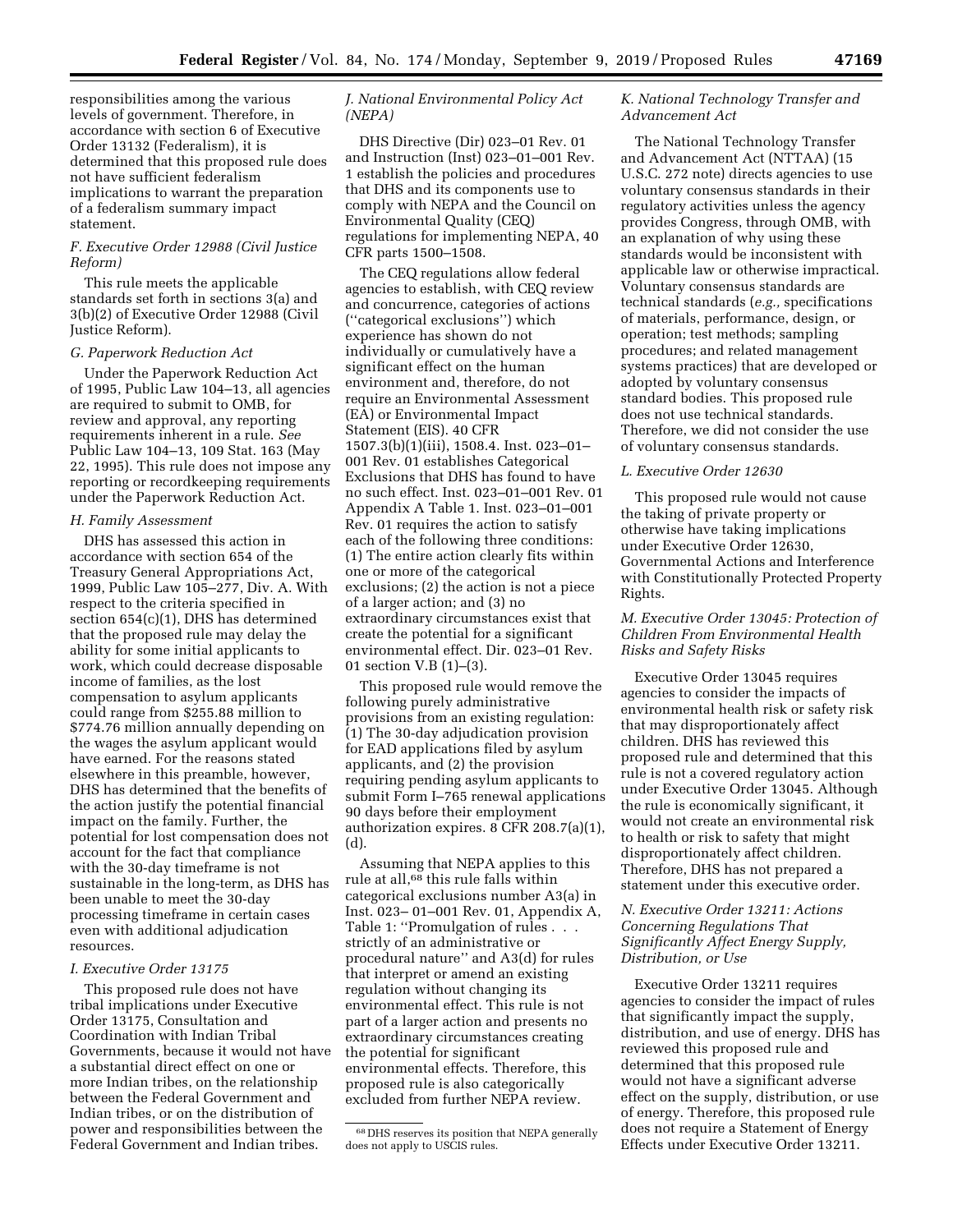responsibilities among the various levels of government. Therefore, in accordance with section 6 of Executive Order 13132 (Federalism), it is determined that this proposed rule does not have sufficient federalism implications to warrant the preparation of a federalism summary impact statement.

## *F. Executive Order 12988 (Civil Justice Reform)*

This rule meets the applicable standards set forth in sections 3(a) and 3(b)(2) of Executive Order 12988 (Civil Justice Reform).

## *G. Paperwork Reduction Act*

Under the Paperwork Reduction Act of 1995, Public Law 104–13, all agencies are required to submit to OMB, for review and approval, any reporting requirements inherent in a rule. *See*  Public Law 104–13, 109 Stat. 163 (May 22, 1995). This rule does not impose any reporting or recordkeeping requirements under the Paperwork Reduction Act.

## *H. Family Assessment*

DHS has assessed this action in accordance with section 654 of the Treasury General Appropriations Act, 1999, Public Law 105–277, Div. A. With respect to the criteria specified in section 654(c)(1), DHS has determined that the proposed rule may delay the ability for some initial applicants to work, which could decrease disposable income of families, as the lost compensation to asylum applicants could range from \$255.88 million to \$774.76 million annually depending on the wages the asylum applicant would have earned. For the reasons stated elsewhere in this preamble, however, DHS has determined that the benefits of the action justify the potential financial impact on the family. Further, the potential for lost compensation does not account for the fact that compliance with the 30-day timeframe is not sustainable in the long-term, as DHS has been unable to meet the 30-day processing timeframe in certain cases even with additional adjudication resources.

#### *I. Executive Order 13175*

This proposed rule does not have tribal implications under Executive Order 13175, Consultation and Coordination with Indian Tribal Governments, because it would not have a substantial direct effect on one or more Indian tribes, on the relationship between the Federal Government and Indian tribes, or on the distribution of power and responsibilities between the Federal Government and Indian tribes.

## *J. National Environmental Policy Act (NEPA)*

DHS Directive (Dir) 023–01 Rev. 01 and Instruction (Inst) 023–01–001 Rev. 1 establish the policies and procedures that DHS and its components use to comply with NEPA and the Council on Environmental Quality (CEQ) regulations for implementing NEPA, 40 CFR parts 1500–1508.

The CEQ regulations allow federal agencies to establish, with CEQ review and concurrence, categories of actions (''categorical exclusions'') which experience has shown do not individually or cumulatively have a significant effect on the human environment and, therefore, do not require an Environmental Assessment (EA) or Environmental Impact Statement (EIS). 40 CFR 1507.3(b)(1)(iii), 1508.4. Inst. 023–01– 001 Rev. 01 establishes Categorical Exclusions that DHS has found to have no such effect. Inst. 023–01–001 Rev. 01 Appendix A Table 1. Inst. 023–01–001 Rev. 01 requires the action to satisfy each of the following three conditions: (1) The entire action clearly fits within one or more of the categorical exclusions; (2) the action is not a piece of a larger action; and (3) no extraordinary circumstances exist that create the potential for a significant environmental effect. Dir. 023–01 Rev. 01 section V.B (1)–(3).

This proposed rule would remove the following purely administrative provisions from an existing regulation: (1) The 30-day adjudication provision for EAD applications filed by asylum applicants, and (2) the provision requiring pending asylum applicants to submit Form I–765 renewal applications 90 days before their employment authorization expires. 8 CFR 208.7(a)(1),  $(d)$ 

Assuming that NEPA applies to this rule at all,68 this rule falls within categorical exclusions number A3(a) in Inst. 023– 01–001 Rev. 01, Appendix A, Table 1: "Promulgation of rules . . . strictly of an administrative or procedural nature'' and A3(d) for rules that interpret or amend an existing regulation without changing its environmental effect. This rule is not part of a larger action and presents no extraordinary circumstances creating the potential for significant environmental effects. Therefore, this proposed rule is also categorically excluded from further NEPA review.

## *K. National Technology Transfer and Advancement Act*

The National Technology Transfer and Advancement Act (NTTAA) (15 U.S.C. 272 note) directs agencies to use voluntary consensus standards in their regulatory activities unless the agency provides Congress, through OMB, with an explanation of why using these standards would be inconsistent with applicable law or otherwise impractical. Voluntary consensus standards are technical standards (*e.g.,* specifications of materials, performance, design, or operation; test methods; sampling procedures; and related management systems practices) that are developed or adopted by voluntary consensus standard bodies. This proposed rule does not use technical standards. Therefore, we did not consider the use of voluntary consensus standards.

### *L. Executive Order 12630*

This proposed rule would not cause the taking of private property or otherwise have taking implications under Executive Order 12630, Governmental Actions and Interference with Constitutionally Protected Property Rights.

## *M. Executive Order 13045: Protection of Children From Environmental Health Risks and Safety Risks*

Executive Order 13045 requires agencies to consider the impacts of environmental health risk or safety risk that may disproportionately affect children. DHS has reviewed this proposed rule and determined that this rule is not a covered regulatory action under Executive Order 13045. Although the rule is economically significant, it would not create an environmental risk to health or risk to safety that might disproportionately affect children. Therefore, DHS has not prepared a statement under this executive order.

## *N. Executive Order 13211: Actions Concerning Regulations That Significantly Affect Energy Supply, Distribution, or Use*

Executive Order 13211 requires agencies to consider the impact of rules that significantly impact the supply, distribution, and use of energy. DHS has reviewed this proposed rule and determined that this proposed rule would not have a significant adverse effect on the supply, distribution, or use of energy. Therefore, this proposed rule does not require a Statement of Energy Effects under Executive Order 13211.

<sup>68</sup> DHS reserves its position that NEPA generally does not apply to USCIS rules.